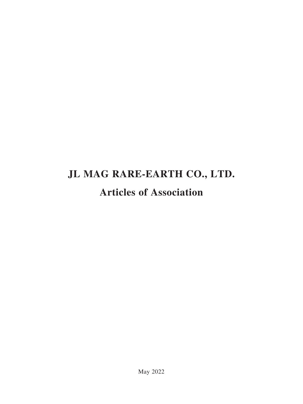# **JL MAG RARE-EARTH CO., LTD. Articles of Association**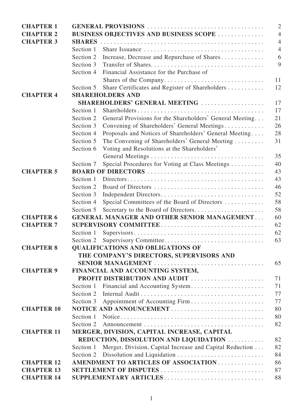| <b>CHAPTER 1</b>  | $\overline{2}$                                                                              |                                                                                                              |                |  |  |
|-------------------|---------------------------------------------------------------------------------------------|--------------------------------------------------------------------------------------------------------------|----------------|--|--|
| <b>CHAPTER 2</b>  | <b>BUSINESS OBJECTIVES AND BUSINESS SCOPE </b><br>$\overline{4}$                            |                                                                                                              |                |  |  |
| <b>CHAPTER 3</b>  | <b>SHARES</b>                                                                               |                                                                                                              | $\overline{4}$ |  |  |
|                   | Section 1                                                                                   |                                                                                                              | $\overline{4}$ |  |  |
|                   | Section 2                                                                                   | Increase, Decrease and Repurchase of Shares                                                                  | 6              |  |  |
|                   | Section 3                                                                                   |                                                                                                              | 9              |  |  |
|                   | Section 4                                                                                   | Financial Assistance for the Purchase of                                                                     |                |  |  |
|                   |                                                                                             | Shares of the Company                                                                                        | 11             |  |  |
|                   | Section 5                                                                                   | Share Certificates and Register of Shareholders                                                              | 12             |  |  |
| <b>CHAPTER 4</b>  |                                                                                             | <b>SHAREHOLDERS AND</b>                                                                                      |                |  |  |
|                   | SHAREHOLDERS' GENERAL MEETING<br>17                                                         |                                                                                                              |                |  |  |
|                   | Section 1                                                                                   |                                                                                                              | 17             |  |  |
|                   | Section 2                                                                                   | General Provisions for the Shareholders' General Meeting                                                     | 21             |  |  |
|                   | Section 3                                                                                   | Convening of Shareholders' General Meetings                                                                  | 26             |  |  |
|                   | Section 4                                                                                   | Proposals and Notices of Shareholders' General Meeting                                                       | 28             |  |  |
|                   | Section 5                                                                                   | The Convening of Shareholders' General Meeting                                                               | 31             |  |  |
|                   | Section 6                                                                                   | Voting and Resolutions at the Shareholders'                                                                  |                |  |  |
|                   |                                                                                             |                                                                                                              | 35             |  |  |
|                   | Section 7                                                                                   | Special Procedures for Voting at Class Meetings                                                              | 40             |  |  |
| <b>CHAPTER 5</b>  | 43                                                                                          |                                                                                                              |                |  |  |
|                   | Section 1                                                                                   | $Directions \dots \dots \dots \dots \dots \dots \dots \dots \dots \dots \dots \dots \dots \dots \dots \dots$ | 43             |  |  |
|                   | Section 2                                                                                   |                                                                                                              | 46             |  |  |
|                   | Section 3                                                                                   | Independent Directors                                                                                        | 52             |  |  |
|                   | Section 4                                                                                   | Special Committees of the Board of Directors                                                                 | 58             |  |  |
|                   | Section 5                                                                                   | Secretary to the Board of Directors                                                                          | 58<br>60       |  |  |
| <b>CHAPTER 6</b>  | <b>GENERAL MANAGER AND OTHER SENIOR MANAGEMENT</b>                                          |                                                                                                              |                |  |  |
| <b>CHAPTER 7</b>  | 62                                                                                          |                                                                                                              |                |  |  |
|                   | Section 1                                                                                   |                                                                                                              | 62             |  |  |
|                   | Section 2                                                                                   |                                                                                                              | 63             |  |  |
| <b>CHAPTER 8</b>  |                                                                                             | <b>QUALIFICATIONS AND OBLIGATIONS OF</b>                                                                     |                |  |  |
|                   |                                                                                             | THE COMPANY'S DIRECTORS, SUPERVISORS AND                                                                     |                |  |  |
|                   |                                                                                             | SENIOR MANAGEMENT                                                                                            | 65             |  |  |
| <b>CHAPTER 9</b>  | FINANCIAL AND ACCOUNTING SYSTEM,                                                            |                                                                                                              |                |  |  |
|                   |                                                                                             | PROFIT DISTRIBUTION AND AUDIT                                                                                | 71             |  |  |
|                   | Section 1                                                                                   | Financial and Accounting System                                                                              | 71             |  |  |
|                   | Section 2                                                                                   |                                                                                                              | 77             |  |  |
|                   | Section 3                                                                                   |                                                                                                              | 77             |  |  |
| <b>CHAPTER 10</b> |                                                                                             | NOTICE AND ANNOUNCEMENT                                                                                      | 80             |  |  |
|                   | Section 1                                                                                   |                                                                                                              | 80             |  |  |
|                   | Section 2                                                                                   |                                                                                                              | 82             |  |  |
| <b>CHAPTER 11</b> | MERGER, DIVISION, CAPITAL INCREASE, CAPITAL<br>REDUCTION, DISSOLUTION AND LIQUIDATION<br>82 |                                                                                                              |                |  |  |
|                   |                                                                                             |                                                                                                              | 82             |  |  |
|                   | Section 1                                                                                   | Merger, Division, Capital Increase and Capital Reduction                                                     | 84             |  |  |
| <b>CHAPTER 12</b> | Section 2                                                                                   |                                                                                                              | 86             |  |  |
| <b>CHAPTER 13</b> | AMENDMENT TO ARTICLES OF ASSOCIATION<br>SETTLEMENT OF DISPUTES                              |                                                                                                              |                |  |  |
| <b>CHAPTER 14</b> |                                                                                             |                                                                                                              | 87<br>88       |  |  |
|                   |                                                                                             | SUPPLEMENTARY ARTICLES                                                                                       |                |  |  |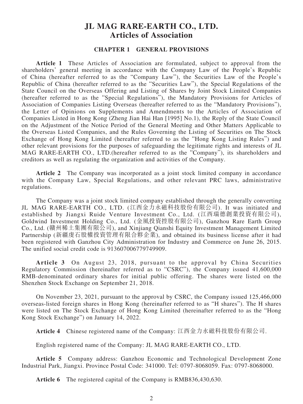# **JL MAG RARE-EARTH CO., LTD. Articles of Association**

# **CHAPTER 1 GENERAL PROVISIONS**

**Article 1** These Articles of Association are formulated, subject to approval from the shareholders' general meeting in accordance with the Company Law of the People's Republic of China (hereafter referred to as the "Company Law"), the Securities Law of the People's Republic of China (hereafter referred to as the "Securities Law"), the Special Regulations of the State Council on the Overseas Offering and Listing of Shares by Joint Stock Limited Companies (hereafter referred to as the "Special Regulations"), the Mandatory Provisions for Articles of Association of Companies Listing Overseas (hereafter referred to as the "Mandatory Provisions"), the Letter of Opinions on Supplements and Amendments to the Articles of Association of Companies Listed in Hong Kong (Zheng Jian Hai Han [1995] No.1), the Reply of the State Council on the Adjustment of the Notice Period of the General Meeting and Other Matters Applicable to the Overseas Listed Companies, and the Rules Governing the Listing of Securities on The Stock Exchange of Hong Kong Limited (hereafter referred to as the "Hong Kong Listing Rules") and other relevant provisions for the purposes of safeguarding the legitimate rights and interests of JL MAG RARE-EARTH CO., LTD.(hereafter referred to as the "Company"), its shareholders and creditors as well as regulating the organization and activities of the Company.

**Article 2** The Company was incorporated as a joint stock limited company in accordance with the Company Law, Special Regulations, and other relevant PRC laws, administrative regulations.

The Company was a joint stock limited company established through the generally converting JL MAG RARE-EARTH CO., LTD. (江西金力永磁科技股份有限公司). It was initiated and established by Jiangxi Ruide Venture Investment Co., Ltd. (江西瑞德創業投資有限公司), Goldwind Investment Holding Co., Ltd. (金風投資控股有限公司), Ganzhou Rare Earth Group Co., Ltd. (贛州稀土集團有限公司), and Xinjiang Qianshi Equity Investment Management Limited Partnership (新疆虔石股權投資管理有限合夥企業), and obtained its business license after it had been registered with Ganzhou City Administration for Industry and Commerce on June 26, 2015. The unified social credit code is 913607006779749909.

**Article 3** On August 23, 2018, pursuant to the approval by China Securities Regulatory Commission (hereinafter referred as to "CSRC"), the Company issued 41,600,000 RMB-denominated ordinary shares for initial public offering. The shares were listed on the Shenzhen Stock Exchange on September 21, 2018.

On November 23, 2021, pursuant to the approval by CSRC, the Company issued 125,466,000 overseas-listed foreign shares in Hong Kong (hereinafter referred to as "H shares"). The H shares were listed on The Stock Exchange of Hong Kong Limited (hereinafter referred to as the "Hong Kong Stock Exchange") on January 14, 2022.

**Article 4** Chinese registered name of the Company: 江西金力永磁科技股份有限公司.

English registered name of the Company: JL MAG RARE-EARTH CO., LTD.

**Article 5** Company address: Ganzhou Economic and Technological Development Zone Industrial Park, Jiangxi. Province Postal Code: 341000. Tel: 0797-8068059. Fax: 0797-8068000.

**Article 6** The registered capital of the Company is RMB836,430,630.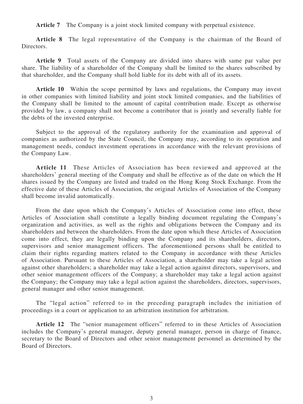**Article 7** The Company is a joint stock limited company with perpetual existence.

**Article 8** The legal representative of the Company is the chairman of the Board of Directors.

**Article 9** Total assets of the Company are divided into shares with same par value per share. The liability of a shareholder of the Company shall be limited to the shares subscribed by that shareholder, and the Company shall hold liable for its debt with all of its assets.

**Article 10** Within the scope permitted by laws and regulations, the Company may invest in other companies with limited liability and joint stock limited companies, and the liabilities of the Company shall be limited to the amount of capital contribution made. Except as otherwise provided by law, a company shall not become a contributor that is jointly and severally liable for the debts of the invested enterprise.

Subject to the approval of the regulatory authority for the examination and approval of companies as authorized by the State Council, the Company may, according to its operation and management needs, conduct investment operations in accordance with the relevant provisions of the Company Law.

**Article 11** These Articles of Association has been reviewed and approved at the shareholders' general meeting of the Company and shall be effective as of the date on which the H shares issued by the Company are listed and traded on the Hong Kong Stock Exchange. From the effective date of these Articles of Association, the original Articles of Association of the Company shall become invalid automatically.

From the date upon which the Company's Articles of Association come into effect, these Articles of Association shall constitute a legally binding document regulating the Company's organization and activities, as well as the rights and obligations between the Company and its shareholders and between the shareholders. From the date upon which these Articles of Association come into effect, they are legally binding upon the Company and its shareholders, directors, supervisors and senior management officers. The aforementioned persons shall be entitled to claim their rights regarding matters related to the Company in accordance with these Articles of Association. Pursuant to these Articles of Association, a shareholder may take a legal action against other shareholders; a shareholder may take a legal action against directors, supervisors, and other senior management officers of the Company; a shareholder may take a legal action against the Company; the Company may take a legal action against the shareholders, directors, supervisors, general manager and other senior management.

The "legal action" referred to in the preceding paragraph includes the initiation of proceedings in a court or application to an arbitration institution for arbitration.

**Article 12** The "senior management officers" referred to in these Articles of Association includes the Company's general manager, deputy general manager, person in charge of finance, secretary to the Board of Directors and other senior management personnel as determined by the Board of Directors.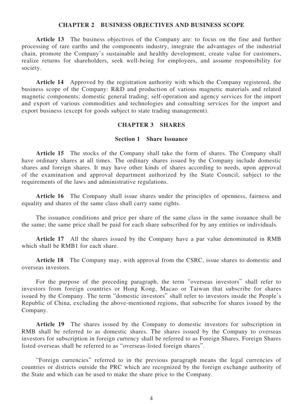#### **CHAPTER 2 BUSINESS OBJECTIVES AND BUSINESS SCOPE**

**Article 13** The business objectives of the Company are: to focus on the fine and further processing of rare earths and the components industry, integrate the advantages of the industrial chain, promote the Company's sustainable and healthy development, create value for customers, realize returns for shareholders, seek well-being for employees, and assume responsibility for society.

**Article 14** Approved by the registration authority with which the Company registered, the business scope of the Company: R&D and production of various magnetic materials and related magnetic components; domestic general trading; self-operation and agency services for the import and export of various commodities and technologies and consulting services for the import and export business (except for goods subject to state trading management).

#### **CHAPTER 3 SHARES**

#### **Section 1 Share Issuance**

**Article 15** The stocks of the Company shall take the form of shares. The Company shall have ordinary shares at all times. The ordinary shares issued by the Company include domestic shares and foreign shares. It may have other kinds of shares according to needs, upon approval of the examination and approval department authorized by the State Council, subject to the requirements of the laws and administrative regulations.

**Article 16** The Company shall issue shares under the principles of openness, fairness and equality and shares of the same class shall carry same rights.

The issuance conditions and price per share of the same class in the same issuance shall be the same; the same price shall be paid for each share subscribed for by any entities or individuals.

**Article 17** All the shares issued by the Company have a par value denominated in RMB which shall be RMB1 for each share.

**Article 18** The Company may, with approval from the CSRC, issue shares to domestic and overseas investors.

For the purpose of the preceding paragraph, the term "overseas investors" shall refer to investors from foreign countries or Hong Kong, Macao or Taiwan that subscribe for shares issued by the Company. The term "domestic investors" shall refer to investors inside the People's Republic of China, excluding the above-mentioned regions, that subscribe for shares issued by the Company.

**Article 19** The shares issued by the Company to domestic investors for subscription in RMB shall be referred to as domestic shares. The shares issued by the Company to overseas investors for subscription in foreign currency shall be referred to as Foreign Shares. Foreign Shares listed overseas shall be referred to as "overseas-listed foreign shares".

"Foreign currencies" referred to in the previous paragraph means the legal currencies of countries or districts outside the PRC which are recognized by the foreign exchange authority of the State and which can be used to make the share price to the Company.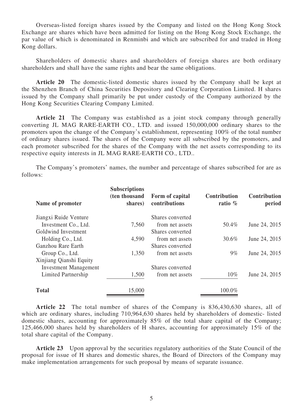Overseas-listed foreign shares issued by the Company and listed on the Hong Kong Stock Exchange are shares which have been admitted for listing on the Hong Kong Stock Exchange, the par value of which is denominated in Renminbi and which are subscribed for and traded in Hong Kong dollars.

Shareholders of domestic shares and shareholders of foreign shares are both ordinary shareholders and shall have the same rights and bear the same obligations.

**Article 20** The domestic-listed domestic shares issued by the Company shall be kept at the Shenzhen Branch of China Securities Depository and Clearing Corporation Limited. H shares issued by the Company shall primarily be put under custody of the Company authorized by the Hong Kong Securities Clearing Company Limited.

**Article 21** The Company was established as a joint stock company through generally converting JL MAG RARE-EARTH CO., LTD. and issued 150,000,000 ordinary shares to the promoters upon the change of the Company's establishment, representing 100% of the total number of ordinary shares issued. The shares of the Company were all subscribed by the promoters, and each promoter subscribed for the shares of the Company with the net assets corresponding to its respective equity interests in JL MAG RARE-EARTH CO., LTD..

The Company's promoters' names, the number and percentage of shares subscribed for are as follows:

| Name of promoter             | <b>Subscriptions</b><br>(ten thousand<br>shares) | Form of capital<br>contributions<br>Shares converted | <b>Contribution</b><br>ratio $%$ | Contribution<br>period |
|------------------------------|--------------------------------------------------|------------------------------------------------------|----------------------------------|------------------------|
| Jiangxi Ruide Venture        |                                                  |                                                      |                                  |                        |
| Investment Co., Ltd.         | 7,560                                            | from net assets                                      | 50.4%                            | June 24, 2015          |
| Goldwind Investment          |                                                  | Shares converted                                     |                                  |                        |
| Holding Co., Ltd.            | 4,590                                            | from net assets                                      | 30.6%                            | June 24, 2015          |
| Ganzhou Rare Earth           |                                                  | Shares converted                                     |                                  |                        |
| Group Co., Ltd.              | 1,350                                            | from net assets                                      | $9\%$                            | June 24, 2015          |
| Xinjiang Qianshi Equity      |                                                  |                                                      |                                  |                        |
| <b>Investment Management</b> |                                                  | Shares converted                                     |                                  |                        |
| Limited Partnership          | 1,500                                            | from net assets                                      | $10\%$                           | June 24, 2015          |
| <b>Total</b>                 | 15,000                                           |                                                      | 100.0%                           |                        |

**Article 22** The total number of shares of the Company is 836,430,630 shares, all of which are ordinary shares, including 710,964,630 shares held by shareholders of domestic- listed domestic shares, accounting for approximately 85% of the total share capital of the Company; 125,466,000 shares held by shareholders of H shares, accounting for approximately 15% of the total share capital of the Company.

Article 23 Upon approval by the securities regulatory authorities of the State Council of the proposal for issue of H shares and domestic shares, the Board of Directors of the Company may make implementation arrangements for such proposal by means of separate issuance.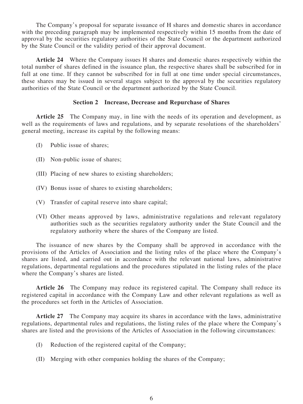The Company's proposal for separate issuance of H shares and domestic shares in accordance with the preceding paragraph may be implemented respectively within 15 months from the date of approval by the securities regulatory authorities of the State Council or the department authorized by the State Council or the validity period of their approval document.

**Article 24** Where the Company issues H shares and domestic shares respectively within the total number of shares defined in the issuance plan, the respective shares shall be subscribed for in full at one time. If they cannot be subscribed for in full at one time under special circumstances, these shares may be issued in several stages subject to the approval by the securities regulatory authorities of the State Council or the department authorized by the State Council.

# **Section 2 Increase, Decrease and Repurchase of Shares**

**Article 25** The Company may, in line with the needs of its operation and development, as well as the requirements of laws and regulations, and by separate resolutions of the shareholders' general meeting, increase its capital by the following means:

- (I) Public issue of shares;
- (II) Non-public issue of shares;
- (III) Placing of new shares to existing shareholders;
- (IV) Bonus issue of shares to existing shareholders;
- (V) Transfer of capital reserve into share capital;
- (VI) Other means approved by laws, administrative regulations and relevant regulatory authorities such as the securities regulatory authority under the State Council and the regulatory authority where the shares of the Company are listed.

The issuance of new shares by the Company shall be approved in accordance with the provisions of the Articles of Association and the listing rules of the place where the Company's shares are listed, and carried out in accordance with the relevant national laws, administrative regulations, departmental regulations and the procedures stipulated in the listing rules of the place where the Company's shares are listed.

**Article 26** The Company may reduce its registered capital. The Company shall reduce its registered capital in accordance with the Company Law and other relevant regulations as well as the procedures set forth in the Articles of Association.

**Article 27** The Company may acquire its shares in accordance with the laws, administrative regulations, departmental rules and regulations, the listing rules of the place where the Company's shares are listed and the provisions of the Articles of Association in the following circumstances:

- (I) Reduction of the registered capital of the Company;
- (II) Merging with other companies holding the shares of the Company;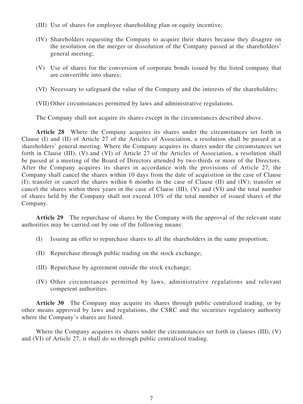- (III) Use of shares for employee shareholding plan or equity incentive;
- (IV) Shareholders requesting the Company to acquire their shares because they disagree on the resolution on the merger or dissolution of the Company passed at the shareholders' general meeting;
- (V) Use of shares for the conversion of corporate bonds issued by the listed company that are convertible into shares;
- (VI) Necessary to safeguard the value of the Company and the interests of the shareholders;
- (VII) Other circumstances permitted by laws and administrative regulations.

The Company shall not acquire its shares except in the circumstances described above.

**Article 28** Where the Company acquires its shares under the circumstances set forth in Clause (I) and (II) of Article 27 of the Articles of Association, a resolution shall be passed at a shareholders' general meeting. Where the Company acquires its shares under the circumstances set forth in Clause (III), (V) and (VI) of Article 27 of the Articles of Association, a resolution shall be passed at a meeting of the Board of Directors attended by two-thirds or more of the Directors. After the Company acquires its shares in accordance with the provisions of Article 27, the Company shall cancel the shares within 10 days from the date of acquisition in the case of Clause (I); transfer or cancel the shares within 6 months in the case of Clause (II) and (IV); transfer or cancel the shares within three years in the case of Clause (III), (V) and (VI) and the total number of shares held by the Company shall not exceed 10% of the total number of issued shares of the Company.

**Article 29** The repurchase of shares by the Company with the approval of the relevant state authorities may be carried out by one of the following means:

- (I) Issuing an offer to repurchase shares to all the shareholders in the same proportion;
- (II) Repurchase through public trading on the stock exchange;
- (III) Repurchase by agreement outside the stock exchange;
- (IV) Other circumstances permitted by laws, administrative regulations and relevant competent authorities.

**Article 30** The Company may acquire its shares through public centralized trading, or by other means approved by laws and regulations, the CSRC and the securities regulatory authority where the Company's shares are listed.

Where the Company acquires its shares under the circumstances set forth in clauses (III), (V) and (VI) of Article 27, it shall do so through public centralized trading.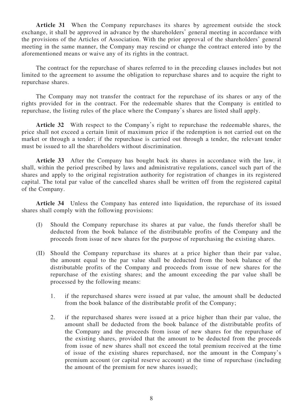**Article 31** When the Company repurchases its shares by agreement outside the stock exchange, it shall be approved in advance by the shareholders' general meeting in accordance with the provisions of the Articles of Association. With the prior approval of the shareholders' general meeting in the same manner, the Company may rescind or change the contract entered into by the aforementioned means or waive any of its rights in the contract.

The contract for the repurchase of shares referred to in the preceding clauses includes but not limited to the agreement to assume the obligation to repurchase shares and to acquire the right to repurchase shares.

The Company may not transfer the contract for the repurchase of its shares or any of the rights provided for in the contract. For the redeemable shares that the Company is entitled to repurchase, the listing rules of the place where the Company's shares are listed shall apply.

**Article 32** With respect to the Company's right to repurchase the redeemable shares, the price shall not exceed a certain limit of maximum price if the redemption is not carried out on the market or through a tender; if the repurchase is carried out through a tender, the relevant tender must be issued to all the shareholders without discrimination.

**Article 33** After the Company has bought back its shares in accordance with the law, it shall, within the period prescribed by laws and administrative regulations, cancel such part of the shares and apply to the original registration authority for registration of changes in its registered capital. The total par value of the cancelled shares shall be written off from the registered capital of the Company.

**Article 34** Unless the Company has entered into liquidation, the repurchase of its issued shares shall comply with the following provisions:

- (I) Should the Company repurchase its shares at par value, the funds therefor shall be deducted from the book balance of the distributable profits of the Company and the proceeds from issue of new shares for the purpose of repurchasing the existing shares.
- (II) Should the Company repurchase its shares at a price higher than their par value, the amount equal to the par value shall be deducted from the book balance of the distributable profits of the Company and proceeds from issue of new shares for the repurchase of the existing shares; and the amount exceeding the par value shall be processed by the following means:
	- 1. if the repurchased shares were issued at par value, the amount shall be deducted from the book balance of the distributable profit of the Company;
	- 2. if the repurchased shares were issued at a price higher than their par value, the amount shall be deducted from the book balance of the distributable profits of the Company and the proceeds from issue of new shares for the repurchase of the existing shares, provided that the amount to be deducted from the proceeds from issue of new shares shall not exceed the total premium received at the time of issue of the existing shares repurchased, nor the amount in the Company's premium account (or capital reserve account) at the time of repurchase (including the amount of the premium for new shares issued);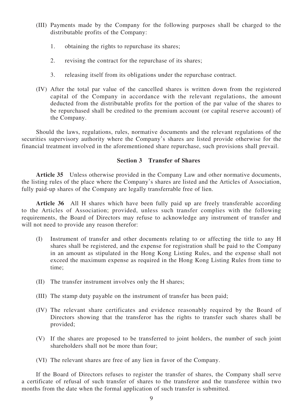- (III) Payments made by the Company for the following purposes shall be charged to the distributable profits of the Company:
	- 1. obtaining the rights to repurchase its shares;
	- 2. revising the contract for the repurchase of its shares;
	- 3. releasing itself from its obligations under the repurchase contract.
- (IV) After the total par value of the cancelled shares is written down from the registered capital of the Company in accordance with the relevant regulations, the amount deducted from the distributable profits for the portion of the par value of the shares to be repurchased shall be credited to the premium account (or capital reserve account) of the Company.

Should the laws, regulations, rules, normative documents and the relevant regulations of the securities supervisory authority where the Company's shares are listed provide otherwise for the financial treatment involved in the aforementioned share repurchase, such provisions shall prevail.

# **Section 3 Transfer of Shares**

**Article 35** Unless otherwise provided in the Company Law and other normative documents, the listing rules of the place where the Company's shares are listed and the Articles of Association, fully paid-up shares of the Company are legally transferrable free of lien.

**Article 36** All H shares which have been fully paid up are freely transferable according to the Articles of Association; provided, unless such transfer complies with the following requirements, the Board of Directors may refuse to acknowledge any instrument of transfer and will not need to provide any reason therefor:

- (I) Instrument of transfer and other documents relating to or affecting the title to any H shares shall be registered, and the expense for registration shall be paid to the Company in an amount as stipulated in the Hong Kong Listing Rules, and the expense shall not exceed the maximum expense as required in the Hong Kong Listing Rules from time to time;
- (II) The transfer instrument involves only the H shares;
- (III) The stamp duty payable on the instrument of transfer has been paid;
- (IV) The relevant share certificates and evidence reasonably required by the Board of Directors showing that the transferor has the rights to transfer such shares shall be provided;
- (V) If the shares are proposed to be transferred to joint holders, the number of such joint shareholders shall not be more than four;
- (VI) The relevant shares are free of any lien in favor of the Company.

If the Board of Directors refuses to register the transfer of shares, the Company shall serve a certificate of refusal of such transfer of shares to the transferor and the transferee within two months from the date when the formal application of such transfer is submitted.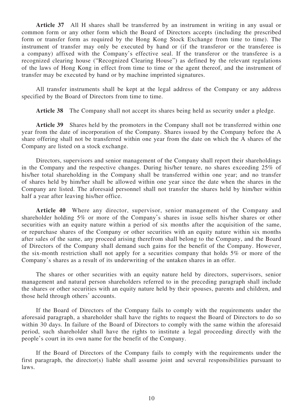**Article 37** All H shares shall be transferred by an instrument in writing in any usual or common form or any other form which the Board of Directors accepts (including the prescribed form or transfer form as required by the Hong Kong Stock Exchange from time to time). The instrument of transfer may only be executed by hand or (if the transferor or the transferee is a company) affixed with the Company's effective seal. If the transferor or the transferee is a recognized clearing house ("Recognized Clearing House") as defined by the relevant regulations of the laws of Hong Kong in effect from time to time or the agent thereof, and the instrument of transfer may be executed by hand or by machine imprinted signatures.

All transfer instruments shall be kept at the legal address of the Company or any address specified by the Board of Directors from time to time.

**Article 38** The Company shall not accept its shares being held as security under a pledge.

**Article 39** Shares held by the promoters in the Company shall not be transferred within one year from the date of incorporation of the Company. Shares issued by the Company before the A share offering shall not be transferred within one year from the date on which the A shares of the Company are listed on a stock exchange.

Directors, supervisors and senior management of the Company shall report their shareholdings in the Company and the respective changes. During his/her tenure, no shares exceeding 25% of his/her total shareholding in the Company shall be transferred within one year; and no transfer of shares held by him/her shall be allowed within one year since the date when the shares in the Company are listed. The aforesaid personnel shall not transfer the shares held by him/her within half a year after leaving his/her office.

**Article 40** Where any director, supervisor, senior management of the Company and shareholder holding 5% or more of the Company's shares in issue sells his/her shares or other securities with an equity nature within a period of six months after the acquisition of the same, or repurchase shares of the Company or other securities with an equity nature within six months after sales of the same, any proceed arising therefrom shall belong to the Company, and the Board of Directors of the Company shall demand such gains for the benefit of the Company. However, the six-month restriction shall not apply for a securities company that holds 5% or more of the Company's shares as a result of its underwriting of the untaken shares in an offer.

The shares or other securities with an equity nature held by directors, supervisors, senior management and natural person shareholders referred to in the preceding paragraph shall include the shares or other securities with an equity nature held by their spouses, parents and children, and those held through others' accounts.

If the Board of Directors of the Company fails to comply with the requirements under the aforesaid paragraph, a shareholder shall have the rights to request the Board of Directors to do so within 30 days. In failure of the Board of Directors to comply with the same within the aforesaid period, such shareholder shall have the rights to institute a legal proceeding directly with the people's court in its own name for the benefit of the Company.

If the Board of Directors of the Company fails to comply with the requirements under the first paragraph, the director(s) liable shall assume joint and several responsibilities pursuant to laws.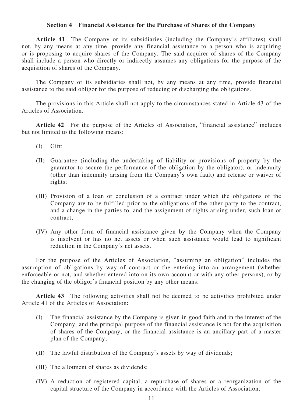#### **Section 4 Financial Assistance for the Purchase of Shares of the Company**

**Article 41** The Company or its subsidiaries (including the Company's affiliates) shall not, by any means at any time, provide any financial assistance to a person who is acquiring or is proposing to acquire shares of the Company. The said acquirer of shares of the Company shall include a person who directly or indirectly assumes any obligations for the purpose of the acquisition of shares of the Company.

The Company or its subsidiaries shall not, by any means at any time, provide financial assistance to the said obligor for the purpose of reducing or discharging the obligations.

The provisions in this Article shall not apply to the circumstances stated in Article 43 of the Articles of Association.

**Article 42** For the purpose of the Articles of Association, "financial assistance" includes but not limited to the following means:

- (I) Gift;
- (II) Guarantee (including the undertaking of liability or provisions of property by the guarantor to secure the performance of the obligation by the obligator), or indemnity (other than indemnity arising from the Company's own fault) and release or waiver of rights;
- (III) Provision of a loan or conclusion of a contract under which the obligations of the Company are to be fulfilled prior to the obligations of the other party to the contract, and a change in the parties to, and the assignment of rights arising under, such loan or contract;
- (IV) Any other form of financial assistance given by the Company when the Company is insolvent or has no net assets or when such assistance would lead to significant reduction in the Company's net assets.

For the purpose of the Articles of Association, "assuming an obligation" includes the assumption of obligations by way of contract or the entering into an arrangement (whether enforceable or not, and whether entered into on its own account or with any other persons), or by the changing of the obligor's financial position by any other means.

**Article 43** The following activities shall not be deemed to be activities prohibited under Article 41 of the Articles of Association:

- (I) The financial assistance by the Company is given in good faith and in the interest of the Company, and the principal purpose of the financial assistance is not for the acquisition of shares of the Company, or the financial assistance is an ancillary part of a master plan of the Company;
- (II) The lawful distribution of the Company's assets by way of dividends;
- (III) The allotment of shares as dividends;
- (IV) A reduction of registered capital, a repurchase of shares or a reorganization of the capital structure of the Company in accordance with the Articles of Association;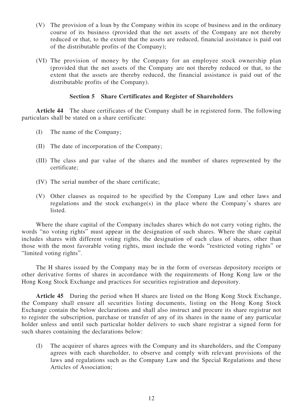- (V) The provision of a loan by the Company within its scope of business and in the ordinary course of its business (provided that the net assets of the Company are not thereby reduced or that, to the extent that the assets are reduced, financial assistance is paid out of the distributable profits of the Company);
- (VI) The provision of money by the Company for an employee stock ownership plan (provided that the net assets of the Company are not thereby reduced or that, to the extent that the assets are thereby reduced, the financial assistance is paid out of the distributable profits of the Company).

# **Section 5 Share Certificates and Register of Shareholders**

**Article 44** The share certificates of the Company shall be in registered form. The following particulars shall be stated on a share certificate:

- (I) The name of the Company;
- (II) The date of incorporation of the Company;
- (III) The class and par value of the shares and the number of shares represented by the certificate;
- (IV) The serial number of the share certificate;
- (V) Other clauses as required to be specified by the Company Law and other laws and regulations and the stock exchange(s) in the place where the Company's shares are listed.

Where the share capital of the Company includes shares which do not carry voting rights, the words "no voting rights" must appear in the designation of such shares. Where the share capital includes shares with different voting rights, the designation of each class of shares, other than those with the most favorable voting rights, must include the words "restricted voting rights" or "limited voting rights".

The H shares issued by the Company may be in the form of overseas depository receipts or other derivative forms of shares in accordance with the requirements of Hong Kong law or the Hong Kong Stock Exchange and practices for securities registration and depository.

**Article 45** During the period when H shares are listed on the Hong Kong Stock Exchange, the Company shall ensure all securities listing documents, listing on the Hong Kong Stock Exchange contain the below declarations and shall also instruct and procure its share registrar not to register the subscription, purchase or transfer of any of its shares in the name of any particular holder unless and until such particular holder delivers to such share registrar a signed form for such shares containing the declarations below:

(I) The acquirer of shares agrees with the Company and its shareholders, and the Company agrees with each shareholder, to observe and comply with relevant provisions of the laws and regulations such as the Company Law and the Special Regulations and these Articles of Association;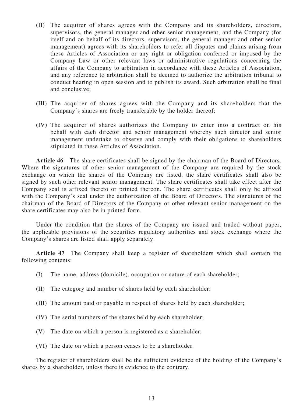- (II) The acquirer of shares agrees with the Company and its shareholders, directors, supervisors, the general manager and other senior management, and the Company (for itself and on behalf of its directors, supervisors, the general manager and other senior management) agrees with its shareholders to refer all disputes and claims arising from these Articles of Association or any right or obligation conferred or imposed by the Company Law or other relevant laws or administrative regulations concerning the affairs of the Company to arbitration in accordance with these Articles of Association, and any reference to arbitration shall be deemed to authorize the arbitration tribunal to conduct hearing in open session and to publish its award. Such arbitration shall be final and conclusive;
- (III) The acquirer of shares agrees with the Company and its shareholders that the Company's shares are freely transferable by the holder thereof;
- (IV) The acquirer of shares authorizes the Company to enter into a contract on his behalf with each director and senior management whereby such director and senior management undertake to observe and comply with their obligations to shareholders stipulated in these Articles of Association.

**Article 46** The share certificates shall be signed by the chairman of the Board of Directors. Where the signatures of other senior management of the Company are required by the stock exchange on which the shares of the Company are listed, the share certificates shall also be signed by such other relevant senior management. The share certificates shall take effect after the Company seal is affixed thereto or printed thereon. The share certificates shall only be affixed with the Company's seal under the authorization of the Board of Directors. The signatures of the chairman of the Board of Directors of the Company or other relevant senior management on the share certificates may also be in printed form.

Under the condition that the shares of the Company are issued and traded without paper, the applicable provisions of the securities regulatory authorities and stock exchange where the Company's shares are listed shall apply separately.

**Article 47** The Company shall keep a register of shareholders which shall contain the following contents:

- (I) The name, address (domicile), occupation or nature of each shareholder;
- (II) The category and number of shares held by each shareholder;
- (III) The amount paid or payable in respect of shares held by each shareholder;
- (IV) The serial numbers of the shares held by each shareholder;
- (V) The date on which a person is registered as a shareholder;
- (VI) The date on which a person ceases to be a shareholder.

The register of shareholders shall be the sufficient evidence of the holding of the Company's shares by a shareholder, unless there is evidence to the contrary.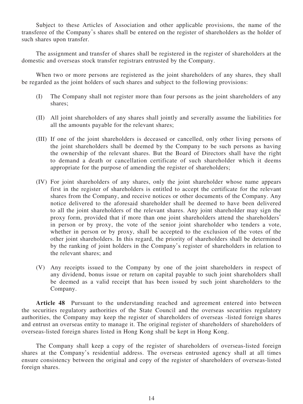Subject to these Articles of Association and other applicable provisions, the name of the transferee of the Company's shares shall be entered on the register of shareholders as the holder of such shares upon transfer.

The assignment and transfer of shares shall be registered in the register of shareholders at the domestic and overseas stock transfer registrars entrusted by the Company.

When two or more persons are registered as the joint shareholders of any shares, they shall be regarded as the joint holders of such shares and subject to the following provisions:

- (I) The Company shall not register more than four persons as the joint shareholders of any shares;
- (II) All joint shareholders of any shares shall jointly and severally assume the liabilities for all the amounts payable for the relevant shares;
- (III) If one of the joint shareholders is deceased or cancelled, only other living persons of the joint shareholders shall be deemed by the Company to be such persons as having the ownership of the relevant shares. But the Board of Directors shall have the right to demand a death or cancellation certificate of such shareholder which it deems appropriate for the purpose of amending the register of shareholders;
- (IV) For joint shareholders of any shares, only the joint shareholder whose name appears first in the register of shareholders is entitled to accept the certificate for the relevant shares from the Company, and receive notices or other documents of the Company. Any notice delivered to the aforesaid shareholder shall be deemed to have been delivered to all the joint shareholders of the relevant shares. Any joint shareholder may sign the proxy form, provided that if more than one joint shareholders attend the shareholders' in person or by proxy, the vote of the senior joint shareholder who tenders a vote, whether in person or by proxy, shall be accepted to the exclusion of the votes of the other joint shareholders. In this regard, the priority of shareholders shall be determined by the ranking of joint holders in the Company's register of shareholders in relation to the relevant shares; and
- (V) Any receipts issued to the Company by one of the joint shareholders in respect of any dividend, bonus issue or return on capital payable to such joint shareholders shall be deemed as a valid receipt that has been issued by such joint shareholders to the Company.

**Article 48** Pursuant to the understanding reached and agreement entered into between the securities regulatory authorities of the State Council and the overseas securities regulatory authorities, the Company may keep the register of shareholders of overseas -listed foreign shares and entrust an overseas entity to manage it. The original register of shareholders of shareholders of overseas-listed foreign shares listed in Hong Kong shall be kept in Hong Kong.

The Company shall keep a copy of the register of shareholders of overseas-listed foreign shares at the Company's residential address. The overseas entrusted agency shall at all times ensure consistency between the original and copy of the register of shareholders of overseas-listed foreign shares.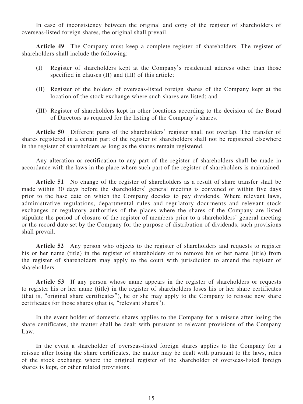In case of inconsistency between the original and copy of the register of shareholders of overseas-listed foreign shares, the original shall prevail.

**Article 49** The Company must keep a complete register of shareholders. The register of shareholders shall include the following:

- (I) Register of shareholders kept at the Company's residential address other than those specified in clauses (II) and (III) of this article;
- (II) Register of the holders of overseas-listed foreign shares of the Company kept at the location of the stock exchange where such shares are listed; and
- (III) Register of shareholders kept in other locations according to the decision of the Board of Directors as required for the listing of the Company's shares.

**Article 50** Different parts of the shareholders' register shall not overlap. The transfer of shares registered in a certain part of the register of shareholders shall not be registered elsewhere in the register of shareholders as long as the shares remain registered.

Any alteration or rectification to any part of the register of shareholders shall be made in accordance with the laws in the place where such part of the register of shareholders is maintained.

**Article 51** No change of the register of shareholders as a result of share transfer shall be made within 30 days before the shareholders' general meeting is convened or within five days prior to the base date on which the Company decides to pay dividends. Where relevant laws, administrative regulations, departmental rules and regulatory documents and relevant stock exchanges or regulatory authorities of the places where the shares of the Company are listed stipulate the period of closure of the register of members prior to a shareholders' general meeting or the record date set by the Company for the purpose of distribution of dividends, such provisions shall prevail.

**Article 52** Any person who objects to the register of shareholders and requests to register his or her name (title) in the register of shareholders or to remove his or her name (title) from the register of shareholders may apply to the court with jurisdiction to amend the register of shareholders.

**Article 53** If any person whose name appears in the register of shareholders or requests to register his or her name (title) in the register of shareholders loses his or her share certificates (that is, "original share certificates"), he or she may apply to the Company to reissue new share certificates for those shares (that is, "relevant shares").

In the event holder of domestic shares applies to the Company for a reissue after losing the share certificates, the matter shall be dealt with pursuant to relevant provisions of the Company Law.

In the event a shareholder of overseas-listed foreign shares applies to the Company for a reissue after losing the share certificates, the matter may be dealt with pursuant to the laws, rules of the stock exchange where the original register of the shareholder of overseas-listed foreign shares is kept, or other related provisions.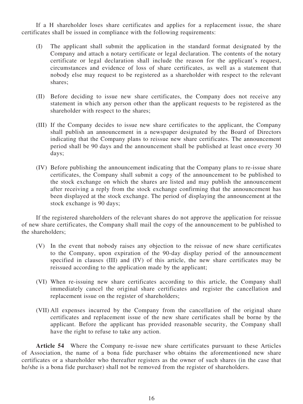If a H shareholder loses share certificates and applies for a replacement issue, the share certificates shall be issued in compliance with the following requirements:

- (I) The applicant shall submit the application in the standard format designated by the Company and attach a notary certificate or legal declaration. The contents of the notary certificate or legal declaration shall include the reason for the applicant's request, circumstances and evidence of loss of share certificates, as well as a statement that nobody else may request to be registered as a shareholder with respect to the relevant shares;
- (II) Before deciding to issue new share certificates, the Company does not receive any statement in which any person other than the applicant requests to be registered as the shareholder with respect to the shares;
- (III) If the Company decides to issue new share certificates to the applicant, the Company shall publish an announcement in a newspaper designated by the Board of Directors indicating that the Company plans to reissue new share certificates. The announcement period shall be 90 days and the announcement shall be published at least once every 30 days;
- (IV) Before publishing the announcement indicating that the Company plans to re-issue share certificates, the Company shall submit a copy of the announcement to be published to the stock exchange on which the shares are listed and may publish the announcement after receiving a reply from the stock exchange confirming that the announcement has been displayed at the stock exchange. The period of displaying the announcement at the stock exchange is 90 days;

If the registered shareholders of the relevant shares do not approve the application for reissue of new share certificates, the Company shall mail the copy of the announcement to be published to the shareholders;

- (V) In the event that nobody raises any objection to the reissue of new share certificates to the Company, upon expiration of the 90-day display period of the announcement specified in clauses (III) and (IV) of this article, the new share certificates may be reissued according to the application made by the applicant;
- (VI) When re-issuing new share certificates according to this article, the Company shall immediately cancel the original share certificates and register the cancellation and replacement issue on the register of shareholders;
- (VII) All expenses incurred by the Company from the cancellation of the original share certificates and replacement issue of the new share certificates shall be borne by the applicant. Before the applicant has provided reasonable security, the Company shall have the right to refuse to take any action.

**Article 54** Where the Company re-issue new share certificates pursuant to these Articles of Association, the name of a bona fide purchaser who obtains the aforementioned new share certificates or a shareholder who thereafter registers as the owner of such shares (in the case that he/she is a bona fide purchaser) shall not be removed from the register of shareholders.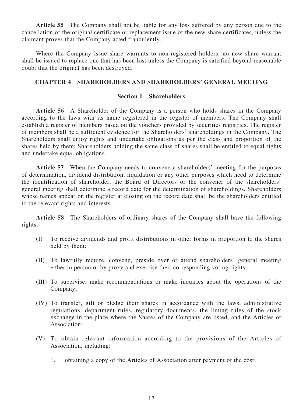**Article 55** The Company shall not be liable for any loss suffered by any person due to the cancellation of the original certificate or replacement issue of the new share certificates, unless the claimant proves that the Company acted fraudulently.

Where the Company issue share warrants to non-registered holders, no new share warrant shall be issued to replace one that has been lost unless the Company is satisfied beyond reasonable doubt that the original has been destroyed.

# **CHAPTER 4 SHAREHOLDERS AND SHAREHOLDERS' GENERAL MEETING**

### **Section 1 Shareholders**

**Article 56** A Shareholder of the Company is a person who holds shares in the Company according to the laws with its name registered in the register of members. The Company shall establish a register of members based on the vouchers provided by securities registries. The register of members shall be a sufficient evidence for the Shareholders' shareholdings in the Company. The Shareholders shall enjoy rights and undertake obligations as per the class and proportion of the shares held by them; Shareholders holding the same class of shares shall be entitled to equal rights and undertake equal obligations.

**Article 57** When the Company needs to convene a shareholders' meeting for the purposes of determination, dividend distribution, liquidation or any other purposes which need to determine the identification of shareholder, the Board of Directors or the convener of the shareholders' general meeting shall determine a record date for the determination of shareholdings. Shareholders whose names appear on the register at closing on the record date shall be the shareholders entitled to the relevant rights and interests.

**Article 58** The Shareholders of ordinary shares of the Company shall have the following rights:

- (I) To receive dividends and profit distributions in other forms in proportion to the shares held by them;
- (II) To lawfully require, convene, preside over or attend shareholders' general meeting either in person or by proxy and exercise their corresponding voting rights;
- (III) To supervise, make recommendations or make inquiries about the operations of the Company;
- (IV) To transfer, gift or pledge their shares in accordance with the laws, administrative regulations, department rules, regulatory documents, the listing rules of the stock exchange in the place where the Shares of the Company are listed, and the Articles of Association;
- (V) To obtain relevant information according to the provisions of the Articles of Association, including:
	- 1. obtaining a copy of the Articles of Association after payment of the cost;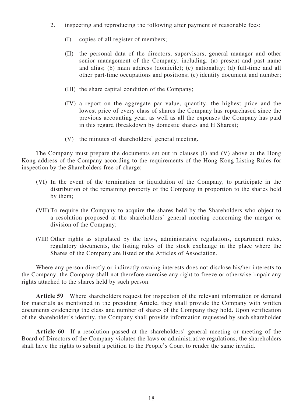- 2. inspecting and reproducing the following after payment of reasonable fees:
	- (I) copies of all register of members;
	- (II) the personal data of the directors, supervisors, general manager and other senior management of the Company, including: (a) present and past name and alias; (b) main address (domicile); (c) nationality; (d) full-time and all other part-time occupations and positions; (e) identity document and number;
	- (III) the share capital condition of the Company;
	- (IV) a report on the aggregate par value, quantity, the highest price and the lowest price of every class of shares the Company has repurchased since the previous accounting year, as well as all the expenses the Company has paid in this regard (breakdown by domestic shares and H Shares);
	- (V) the minutes of shareholders' general meeting.

The Company must prepare the documents set out in clauses (I) and (V) above at the Hong Kong address of the Company according to the requirements of the Hong Kong Listing Rules for inspection by the Shareholders free of charge;

- (VI) In the event of the termination or liquidation of the Company, to participate in the distribution of the remaining property of the Company in proportion to the shares held by them;
- (VII) To require the Company to acquire the shares held by the Shareholders who object to a resolution proposed at the shareholders' general meeting concerning the merger or division of the Company;
- (VIII) Other rights as stipulated by the laws, administrative regulations, department rules, regulatory documents, the listing rules of the stock exchange in the place where the Shares of the Company are listed or the Articles of Association.

Where any person directly or indirectly owning interests does not disclose his/her interests to the Company, the Company shall not therefore exercise any right to freeze or otherwise impair any rights attached to the shares held by such person.

**Article 59** Where shareholders request for inspection of the relevant information or demand for materials as mentioned in the presiding Article, they shall provide the Company with written documents evidencing the class and number of shares of the Company they hold. Upon verification of the shareholder's identity, the Company shall provide information requested by such shareholder

**Article 60** If a resolution passed at the shareholders' general meeting or meeting of the Board of Directors of the Company violates the laws or administrative regulations, the shareholders shall have the rights to submit a petition to the People's Court to render the same invalid.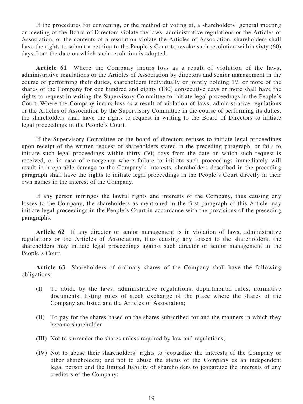If the procedures for convening, or the method of voting at, a shareholders' general meeting or meeting of the Board of Directors violate the laws, administrative regulations or the Articles of Association, or the contents of a resolution violate the Articles of Association, shareholders shall have the rights to submit a petition to the People's Court to revoke such resolution within sixty (60) days from the date on which such resolution is adopted.

**Article 61** Where the Company incurs loss as a result of violation of the laws, administrative regulations or the Articles of Association by directors and senior management in the course of performing their duties, shareholders individually or jointly holding 1% or more of the shares of the Company for one hundred and eighty (180) consecutive days or more shall have the rights to request in writing the Supervisory Committee to initiate legal proceedings in the People's Court. Where the Company incurs loss as a result of violation of laws, administrative regulations or the Articles of Association by the Supervisory Committee in the course of performing its duties, the shareholders shall have the rights to request in writing to the Board of Directors to initiate legal proceedings in the People's Court.

If the Supervisory Committee or the board of directors refuses to initiate legal proceedings upon receipt of the written request of shareholders stated in the preceding paragraph, or fails to initiate such legal proceedings within thirty (30) days from the date on which such request is received, or in case of emergency where failure to initiate such proceedings immediately will result in irreparable damage to the Company's interests, shareholders described in the preceding paragraph shall have the rights to initiate legal proceedings in the People's Court directly in their own names in the interest of the Company.

If any person infringes the lawful rights and interests of the Company, thus causing any losses to the Company, the shareholders as mentioned in the first paragraph of this Article may initiate legal proceedings in the People's Court in accordance with the provisions of the preceding paragraphs.

**Article 62** If any director or senior management is in violation of laws, administrative regulations or the Articles of Association, thus causing any losses to the shareholders, the shareholders may initiate legal proceedings against such director or senior management in the People's Court.

**Article 63** Shareholders of ordinary shares of the Company shall have the following obligations:

- (I) To abide by the laws, administrative regulations, departmental rules, normative documents, listing rules of stock exchange of the place where the shares of the Company are listed and the Articles of Association;
- (II) To pay for the shares based on the shares subscribed for and the manners in which they became shareholder;
- (III) Not to surrender the shares unless required by law and regulations;
- (IV) Not to abuse their shareholders' rights to jeopardize the interests of the Company or other shareholders; and not to abuse the status of the Company as an independent legal person and the limited liability of shareholders to jeopardize the interests of any creditors of the Company;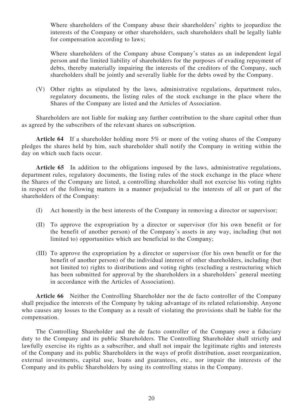Where shareholders of the Company abuse their shareholders' rights to jeopardize the interests of the Company or other shareholders, such shareholders shall be legally liable for compensation according to laws;

Where shareholders of the Company abuse Company's status as an independent legal person and the limited liability of shareholders for the purposes of evading repayment of debts, thereby materially impairing the interests of the creditors of the Company, such shareholders shall be jointly and severally liable for the debts owed by the Company.

(V) Other rights as stipulated by the laws, administrative regulations, department rules, regulatory documents, the listing rules of the stock exchange in the place where the Shares of the Company are listed and the Articles of Association.

Shareholders are not liable for making any further contribution to the share capital other than as agreed by the subscribers of the relevant shares on subscription.

**Article 64** If a shareholder holding more 5% or more of the voting shares of the Company pledges the shares held by him, such shareholder shall notify the Company in writing within the day on which such facts occur.

**Article 65** In addition to the obligations imposed by the laws, administrative regulations, department rules, regulatory documents, the listing rules of the stock exchange in the place where the Shares of the Company are listed, a controlling shareholder shall not exercise his voting rights in respect of the following matters in a manner prejudicial to the interests of all or part of the shareholders of the Company:

- (I) Act honestly in the best interests of the Company in removing a director or supervisor;
- (II) To approve the expropriation by a director or supervisor (for his own benefit or for the benefit of another person) of the Company's assets in any way, including (but not limited to) opportunities which are beneficial to the Company;
- (III) To approve the expropriation by a director or supervisor (for his own benefit or for the benefit of another person) of the individual interest of other shareholders, including (but not limited to) rights to distributions and voting rights (excluding a restructuring which has been submitted for approval by the shareholders in a shareholders' general meeting in accordance with the Articles of Association).

**Article 66** Neither the Controlling Shareholder nor the de facto controller of the Company shall prejudice the interests of the Company by taking advantage of its related relationship. Anyone who causes any losses to the Company as a result of violating the provisions shall be liable for the compensation.

The Controlling Shareholder and the de facto controller of the Company owe a fiduciary duty to the Company and its public Shareholders. The Controlling Shareholder shall strictly and lawfully exercise its rights as a subscriber, and shall not impair the legitimate rights and interests of the Company and its public Shareholders in the ways of profit distribution, asset reorganization, external investments, capital use, loans and guarantees, etc., nor impair the interests of the Company and its public Shareholders by using its controlling status in the Company.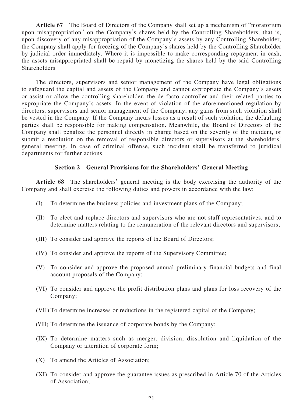**Article 67** The Board of Directors of the Company shall set up a mechanism of "moratorium upon misappropriation" on the Company's shares held by the Controlling Shareholders, that is, upon discovery of any misappropriation of the Company's assets by any Controlling Shareholder, the Company shall apply for freezing of the Company's shares held by the Controlling Shareholder by judicial order immediately. Where it is impossible to make corresponding repayment in cash, the assets misappropriated shall be repaid by monetizing the shares held by the said Controlling **Shareholders** 

The directors, supervisors and senior management of the Company have legal obligations to safeguard the capital and assets of the Company and cannot expropriate the Company's assets or assist or allow the controlling shareholder, the de facto controller and their related parties to expropriate the Company's assets. In the event of violation of the aforementioned regulation by directors, supervisors and senior management of the Company, any gains from such violation shall be vested in the Company. If the Company incurs losses as a result of such violation, the defaulting parties shall be responsible for making compensation. Meanwhile, the Board of Directors of the Company shall penalize the personnel directly in charge based on the severity of the incident, or submit a resolution on the removal of responsible directors or supervisors at the shareholders' general meeting. In case of criminal offense, such incident shall be transferred to juridical departments for further actions.

#### **Section 2 General Provisions for the Shareholders' General Meeting**

**Article 68** The shareholders' general meeting is the body exercising the authority of the Company and shall exercise the following duties and powers in accordance with the law:

- (I) To determine the business policies and investment plans of the Company;
- (II) To elect and replace directors and supervisors who are not staff representatives, and to determine matters relating to the remuneration of the relevant directors and supervisors;
- (III) To consider and approve the reports of the Board of Directors;
- (IV) To consider and approve the reports of the Supervisory Committee;
- (V) To consider and approve the proposed annual preliminary financial budgets and final account proposals of the Company;
- (VI) To consider and approve the profit distribution plans and plans for loss recovery of the Company;
- (VII) To determine increases or reductions in the registered capital of the Company;
- (VIII) To determine the issuance of corporate bonds by the Company;
- (IX) To determine matters such as merger, division, dissolution and liquidation of the Company or alteration of corporate form;
- (X) To amend the Articles of Association;
- (XI) To consider and approve the guarantee issues as prescribed in Article 70 of the Articles of Association;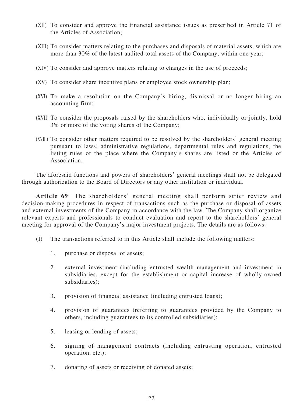- (XII) To consider and approve the financial assistance issues as prescribed in Article 71 of the Articles of Association;
- (XIII) To consider matters relating to the purchases and disposals of material assets, which are more than 30% of the latest audited total assets of the Company, within one year;
- (XIV) To consider and approve matters relating to changes in the use of proceeds;
- (XV) To consider share incentive plans or employee stock ownership plan;
- (XVI) To make a resolution on the Company's hiring, dismissal or no longer hiring an accounting firm;
- (XVII) To consider the proposals raised by the shareholders who, individually or jointly, hold 3% or more of the voting shares of the Company;
- (XVIII) To consider other matters required to be resolved by the shareholders' general meeting pursuant to laws, administrative regulations, departmental rules and regulations, the listing rules of the place where the Company's shares are listed or the Articles of Association.

The aforesaid functions and powers of shareholders' general meetings shall not be delegated through authorization to the Board of Directors or any other institution or individual.

**Article 69** The shareholders' general meeting shall perform strict review and decision-making procedures in respect of transactions such as the purchase or disposal of assets and external investments of the Company in accordance with the law. The Company shall organize relevant experts and professionals to conduct evaluation and report to the shareholders' general meeting for approval of the Company's major investment projects. The details are as follows:

- (I) The transactions referred to in this Article shall include the following matters:
	- 1. purchase or disposal of assets;
	- 2. external investment (including entrusted wealth management and investment in subsidiaries, except for the establishment or capital increase of wholly-owned subsidiaries);
	- 3. provision of financial assistance (including entrusted loans);
	- 4. provision of guarantees (referring to guarantees provided by the Company to others, including guarantees to its controlled subsidiaries);
	- 5. leasing or lending of assets;
	- 6. signing of management contracts (including entrusting operation, entrusted operation, etc.);
	- 7. donating of assets or receiving of donated assets;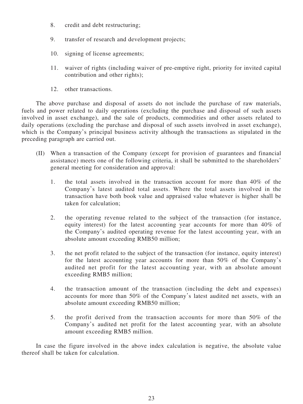- 8. credit and debt restructuring;
- 9. transfer of research and development projects;
- 10. signing of license agreements;
- 11. waiver of rights (including waiver of pre-emptive right, priority for invited capital contribution and other rights);
- 12. other transactions.

The above purchase and disposal of assets do not include the purchase of raw materials, fuels and power related to daily operations (excluding the purchase and disposal of such assets involved in asset exchange), and the sale of products, commodities and other assets related to daily operations (excluding the purchase and disposal of such assets involved in asset exchange), which is the Company's principal business activity although the transactions as stipulated in the preceding paragraph are carried out.

- (II) When a transaction of the Company (except for provision of guarantees and financial assistance) meets one of the following criteria, it shall be submitted to the shareholders' general meeting for consideration and approval:
	- 1. the total assets involved in the transaction account for more than 40% of the Company's latest audited total assets. Where the total assets involved in the transaction have both book value and appraised value whatever is higher shall be taken for calculation;
	- 2. the operating revenue related to the subject of the transaction (for instance, equity interest) for the latest accounting year accounts for more than 40% of the Company's audited operating revenue for the latest accounting year, with an absolute amount exceeding RMB50 million;
	- 3. the net profit related to the subject of the transaction (for instance, equity interest) for the latest accounting year accounts for more than 50% of the Company's audited net profit for the latest accounting year, with an absolute amount exceeding RMB5 million;
	- 4. the transaction amount of the transaction (including the debt and expenses) accounts for more than 50% of the Company's latest audited net assets, with an absolute amount exceeding RMB50 million;
	- 5. the profit derived from the transaction accounts for more than 50% of the Company's audited net profit for the latest accounting year, with an absolute amount exceeding RMB5 million.

In case the figure involved in the above index calculation is negative, the absolute value thereof shall be taken for calculation.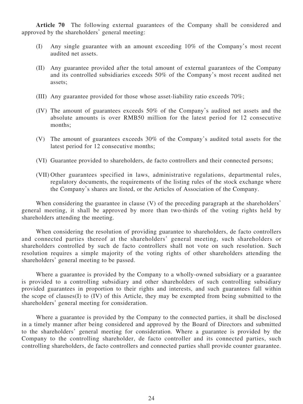**Article 70** The following external guarantees of the Company shall be considered and approved by the shareholders' general meeting:

- (I) Any single guarantee with an amount exceeding 10% of the Company's most recent audited net assets.
- (II) Any guarantee provided after the total amount of external guarantees of the Company and its controlled subsidiaries exceeds 50% of the Company's most recent audited net assets;
- (III) Any guarantee provided for those whose asset-liability ratio exceeds 70%;
- (IV) The amount of guarantees exceeds 50% of the Company's audited net assets and the absolute amounts is over RMB50 million for the latest period for 12 consecutive months;
- (V) The amount of guarantees exceeds 30% of the Company's audited total assets for the latest period for 12 consecutive months;
- (VI) Guarantee provided to shareholders, de facto controllers and their connected persons;
- (VII) Other guarantees specified in laws, administrative regulations, departmental rules, regulatory documents, the requirements of the listing rules of the stock exchange where the Company's shares are listed, or the Articles of Association of the Company.

When considering the guarantee in clause (V) of the preceding paragraph at the shareholders' general meeting, it shall be approved by more than two-thirds of the voting rights held by shareholders attending the meeting.

When considering the resolution of providing guarantee to shareholders, de facto controllers and connected parties thereof at the shareholders' general meeting, such shareholders or shareholders controlled by such de facto controllers shall not vote on such resolution. Such resolution requires a simple majority of the voting rights of other shareholders attending the shareholders' general meeting to be passed.

Where a guarantee is provided by the Company to a wholly-owned subsidiary or a guarantee is provided to a controlling subsidiary and other shareholders of such controlling subsidiary provided guarantees in proportion to their rights and interests, and such guarantees fall within the scope of clauses(I) to (IV) of this Article, they may be exempted from being submitted to the shareholders' general meeting for consideration.

Where a guarantee is provided by the Company to the connected parties, it shall be disclosed in a timely manner after being considered and approved by the Board of Directors and submitted to the shareholders' general meeting for consideration. Where a guarantee is provided by the Company to the controlling shareholder, de facto controller and its connected parties, such controlling shareholders, de facto controllers and connected parties shall provide counter guarantee.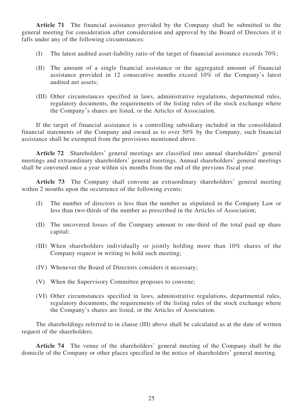**Article 71** The financial assistance provided by the Company shall be submitted to the general meeting for consideration after consideration and approval by the Board of Directors if it falls under any of the following circumstances:

- (I) The latest audited asset-liability ratio of the target of financial assistance exceeds 70%;
- (II) The amount of a single financial assistance or the aggregated amount of financial assistance provided in 12 consecutive months exceed 10% of the Company's latest audited net assets;
- (III) Other circumstances specified in laws, administrative regulations, departmental rules, regulatory documents, the requirements of the listing rules of the stock exchange where the Company's shares are listed, or the Articles of Association.

If the target of financial assistance is a controlling subsidiary included in the consolidated financial statements of the Company and owned as to over 50% by the Company, such financial assistance shall be exempted from the provisions mentioned above.

**Article 72** Shareholders' general meetings are classified into annual shareholders' general meetings and extraordinary shareholders' general meetings. Annual shareholders' general meetings shall be convened once a year within six months from the end of the previous fiscal year.

**Article 73** The Company shall convene an extraordinary shareholders' general meeting within 2 months upon the occurrence of the following events:

- (I) The number of directors is less than the number as stipulated in the Company Law or less than two-thirds of the number as prescribed in the Articles of Association;
- (II) The uncovered losses of the Company amount to one-third of the total paid up share capital;
- (III) When shareholders individually or jointly holding more than 10% shares of the Company request in writing to hold such meeting;
- (IV) Whenever the Board of Directors considers it necessary;
- (V) When the Supervisory Committee proposes to convene;
- (VI) Other circumstances specified in laws, administrative regulations, departmental rules, regulatory documents, the requirements of the listing rules of the stock exchange where the Company's shares are listed, or the Articles of Association.

The shareholdings referred to in clause (III) above shall be calculated as at the date of written request of the shareholders.

**Article 74** The venue of the shareholders' general meeting of the Company shall be the domicile of the Company or other places specified in the notice of shareholders' general meeting.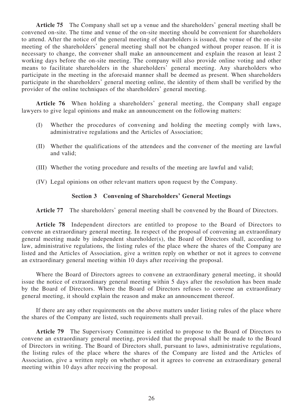**Article 75** The Company shall set up a venue and the shareholders' general meeting shall be convened on-site. The time and venue of the on-site meeting should be convenient for shareholders to attend. After the notice of the general meeting of shareholders is issued, the venue of the on-site meeting of the shareholders' general meeting shall not be changed without proper reason. If it is necessary to change, the convener shall make an announcement and explain the reason at least 2 working days before the on-site meeting. The company will also provide online voting and other means to facilitate shareholders in the shareholders' general meeting. Any shareholders who participate in the meeting in the aforesaid manner shall be deemed as present. When shareholders participate in the shareholders' general meeting online, the identity of them shall be verified by the provider of the online techniques of the shareholders' general meeting.

**Article 76** When holding a shareholders' general meeting, the Company shall engage lawyers to give legal opinions and make an announcement on the following matters:

- (I) Whether the procedures of convening and holding the meeting comply with laws, administrative regulations and the Articles of Association;
- (II) Whether the qualifications of the attendees and the convener of the meeting are lawful and valid;
- (III) Whether the voting procedure and results of the meeting are lawful and valid;
- (IV) Legal opinions on other relevant matters upon request by the Company.

### **Section 3 Convening of Shareholders' General Meetings**

**Article 77** The shareholders' general meeting shall be convened by the Board of Directors.

**Article 78** Independent directors are entitled to propose to the Board of Directors to convene an extraordinary general meeting. In respect of the proposal of convening an extraordinary general meeting made by independent shareholder(s), the Board of Directors shall, according to law, administrative regulations, the listing rules of the place where the shares of the Company are listed and the Articles of Association, give a written reply on whether or not it agrees to convene an extraordinary general meeting within 10 days after receiving the proposal.

Where the Board of Directors agrees to convene an extraordinary general meeting, it should issue the notice of extraordinary general meeting within 5 days after the resolution has been made by the Board of Directors. Where the Board of Directors refuses to convene an extraordinary general meeting, it should explain the reason and make an announcement thereof.

If there are any other requirements on the above matters under listing rules of the place where the shares of the Company are listed, such requirements shall prevail.

**Article 79** The Supervisory Committee is entitled to propose to the Board of Directors to convene an extraordinary general meeting, provided that the proposal shall be made to the Board of Directors in writing. The Board of Directors shall, pursuant to laws, administrative regulations, the listing rules of the place where the shares of the Company are listed and the Articles of Association, give a written reply on whether or not it agrees to convene an extraordinary general meeting within 10 days after receiving the proposal.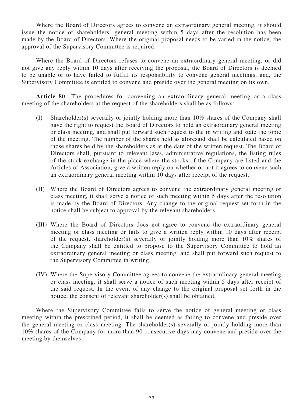Where the Board of Directors agrees to convene an extraordinary general meeting, it should issue the notice of shareholders' general meeting within 5 days after the resolution has been made by the Board of Directors. Where the original proposal needs to be varied in the notice, the approval of the Supervisory Committee is required.

Where the Board of Directors refuses to convene an extraordinary general meeting, or did not give any reply within 10 days after receiving the proposal, the Board of Directors is deemed to be unable or to have failed to fulfill its responsibility to convene general meetings, and, the Supervisory Committee is entitled to convene and preside over the general meeting on its own.

**Article 80** The procedures for convening an extraordinary general meeting or a class meeting of the shareholders at the request of the shareholders shall be as follows:

- (I) Shareholder(s) severally or jointly holding more than 10% shares of the Company shall have the right to request the Board of Directors to hold an extraordinary general meeting or class meeting, and shall put forward such request to the in writing and state the topic of the meeting. The number of the shares held as aforesaid shall be calculated based on those shares held by the shareholders as at the date of the written request. The Board of Directors shall, pursuant to relevant laws, administrative regulations, the listing rules of the stock exchange in the place where the stocks of the Company are listed and the Articles of Association, give a written reply on whether or not it agrees to convene such an extraordinary general meeting within 10 days after receipt of the request.
- (II) Where the Board of Directors agrees to convene the extraordinary general meeting or class meeting, it shall serve a notice of such meeting within 5 days after the resolution is made by the Board of Directors. Any change to the original request set forth in the notice shall be subject to approval by the relevant shareholders.
- (III) Where the Board of Directors does not agree to convene the extraordinary general meeting or class meeting or fails to give a written reply within 10 days after receipt of the request, shareholder(s) severally or jointly holding more than 10% shares of the Company shall be entitled to propose to the Supervisory Committee to hold an extraordinary general meeting or class meeting, and shall put forward such request to the Supervisory Committee in writing.
- (IV) Where the Supervisory Committee agrees to convene the extraordinary general meeting or class meeting, it shall serve a notice of such meeting within 5 days after receipt of the said request. In the event of any change to the original proposal set forth in the notice, the consent of relevant shareholder(s) shall be obtained.

Where the Supervisory Committee fails to serve the notice of general meeting or class meeting within the prescribed period, it shall be deemed as failing to convene and preside over the general meeting or class meeting. The shareholder(s) severally or jointly holding more than 10% shares of the Company for more than 90 consecutive days may convene and preside over the meeting by themselves.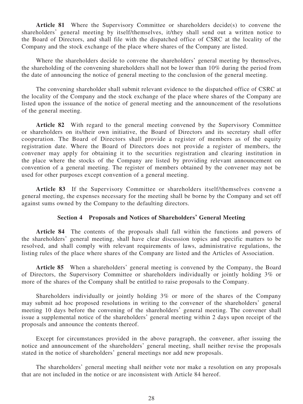**Article 81** Where the Supervisory Committee or shareholders decide(s) to convene the shareholders' general meeting by itself/themselves, it/they shall send out a written notice to the Board of Directors, and shall file with the dispatched office of CSRC at the locality of the Company and the stock exchange of the place where shares of the Company are listed.

Where the shareholders decide to convene the shareholders' general meeting by themselves, the shareholding of the convening shareholders shall not be lower than 10% during the period from the date of announcing the notice of general meeting to the conclusion of the general meeting.

The convening shareholder shall submit relevant evidence to the dispatched office of CSRC at the locality of the Company and the stock exchange of the place where shares of the Company are listed upon the issuance of the notice of general meeting and the announcement of the resolutions of the general meeting.

**Article 82** With regard to the general meeting convened by the Supervisory Committee or shareholders on its/their own initiative, the Board of Directors and its secretary shall offer cooperation. The Board of Directors shall provide a register of members as of the equity registration date. Where the Board of Directors does not provide a register of members, the convener may apply for obtaining it to the securities registration and clearing institution in the place where the stocks of the Company are listed by providing relevant announcement on convention of a general meeting. The register of members obtained by the convener may not be used for other purposes except convention of a general meeting.

**Article 83** If the Supervisory Committee or shareholders itself/themselves convene a general meeting, the expenses necessary for the meeting shall be borne by the Company and set off against sums owned by the Company to the defaulting directors.

# **Section 4 Proposals and Notices of Shareholders' General Meeting**

**Article 84** The contents of the proposals shall fall within the functions and powers of the shareholders' general meeting, shall have clear discussion topics and specific matters to be resolved, and shall comply with relevant requirements of laws, administrative regulations, the listing rules of the place where shares of the Company are listed and the Articles of Association.

**Article 85** When a shareholders' general meeting is convened by the Company, the Board of Directors, the Supervisory Committee or shareholders individually or jointly holding 3% or more of the shares of the Company shall be entitled to raise proposals to the Company.

Shareholders individually or jointly holding 3% or more of the shares of the Company may submit ad hoc proposed resolutions in writing to the convener of the shareholders' general meeting 10 days before the convening of the shareholders' general meeting. The convener shall issue a supplemental notice of the shareholders' general meeting within 2 days upon receipt of the proposals and announce the contents thereof.

Except for circumstances provided in the above paragraph, the convener, after issuing the notice and announcement of the shareholders' general meeting, shall neither revise the proposals stated in the notice of shareholders' general meetings nor add new proposals.

The shareholders' general meeting shall neither vote nor make a resolution on any proposals that are not included in the notice or are inconsistent with Article 84 hereof.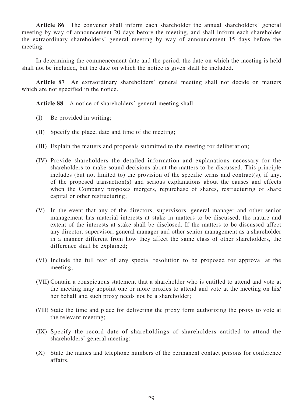**Article 86** The convener shall inform each shareholder the annual shareholders' general meeting by way of announcement 20 days before the meeting, and shall inform each shareholder the extraordinary shareholders' general meeting by way of announcement 15 days before the meeting.

In determining the commencement date and the period, the date on which the meeting is held shall not be included, but the date on which the notice is given shall be included.

**Article 87** An extraordinary shareholders' general meeting shall not decide on matters which are not specified in the notice.

**Article 88** A notice of shareholders' general meeting shall:

- (I) Be provided in writing;
- (II) Specify the place, date and time of the meeting;
- (III) Explain the matters and proposals submitted to the meeting for deliberation;
- (IV) Provide shareholders the detailed information and explanations necessary for the shareholders to make sound decisions about the matters to be discussed. This principle includes (but not limited to) the provision of the specific terms and contract(s), if any, of the proposed transaction(s) and serious explanations about the causes and effects when the Company proposes mergers, repurchase of shares, restructuring of share capital or other restructuring;
- (V) In the event that any of the directors, supervisors, general manager and other senior management has material interests at stake in matters to be discussed, the nature and extent of the interests at stake shall be disclosed. If the matters to be discussed affect any director, supervisor, general manager and other senior management as a shareholder in a manner different from how they affect the same class of other shareholders, the difference shall be explained;
- (VI) Include the full text of any special resolution to be proposed for approval at the meeting;
- (VII) Contain a conspicuous statement that a shareholder who is entitled to attend and vote at the meeting may appoint one or more proxies to attend and vote at the meeting on his/ her behalf and such proxy needs not be a shareholder;
- (VIII) State the time and place for delivering the proxy form authorizing the proxy to vote at the relevant meeting;
- (IX) Specify the record date of shareholdings of shareholders entitled to attend the shareholders' general meeting;
- (X) State the names and telephone numbers of the permanent contact persons for conference affairs.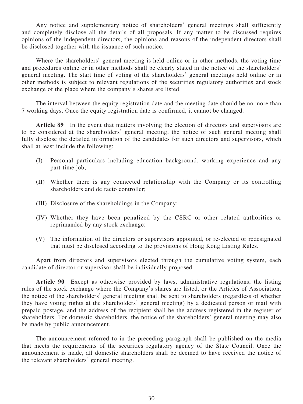Any notice and supplementary notice of shareholders' general meetings shall sufficiently and completely disclose all the details of all proposals. If any matter to be discussed requires opinions of the independent directors, the opinions and reasons of the independent directors shall be disclosed together with the issuance of such notice.

Where the shareholders' general meeting is held online or in other methods, the voting time and procedures online or in other methods shall be clearly stated in the notice of the shareholders' general meeting. The start time of voting of the shareholders' general meetings held online or in other methods is subject to relevant regulations of the securities regulatory authorities and stock exchange of the place where the company's shares are listed.

The interval between the equity registration date and the meeting date should be no more than 7 working days. Once the equity registration date is confirmed, it cannot be changed.

**Article 89** In the event that matters involving the election of directors and supervisors are to be considered at the shareholders' general meeting, the notice of such general meeting shall fully disclose the detailed information of the candidates for such directors and supervisors, which shall at least include the following:

- (I) Personal particulars including education background, working experience and any part-time job;
- (II) Whether there is any connected relationship with the Company or its controlling shareholders and de facto controller;
- (III) Disclosure of the shareholdings in the Company;
- (IV) Whether they have been penalized by the CSRC or other related authorities or reprimanded by any stock exchange;
- (V) The information of the directors or supervisors appointed, or re-elected or redesignated that must be disclosed according to the provisions of Hong Kong Listing Rules.

Apart from directors and supervisors elected through the cumulative voting system, each candidate of director or supervisor shall be individually proposed.

**Article 90** Except as otherwise provided by laws, administrative regulations, the listing rules of the stock exchange where the Company's shares are listed, or the Articles of Association, the notice of the shareholders' general meeting shall be sent to shareholders (regardless of whether they have voting rights at the shareholders' general meeting) by a dedicated person or mail with prepaid postage, and the address of the recipient shall be the address registered in the register of shareholders. For domestic shareholders, the notice of the shareholders' general meeting may also be made by public announcement.

The announcement referred to in the preceding paragraph shall be published on the media that meets the requirements of the securities regulatory agency of the State Council. Once the announcement is made, all domestic shareholders shall be deemed to have received the notice of the relevant shareholders' general meeting.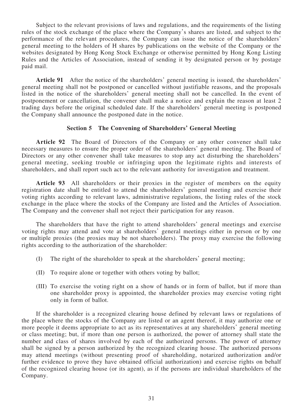Subject to the relevant provisions of laws and regulations, and the requirements of the listing rules of the stock exchange of the place where the Company's shares are listed, and subject to the performance of the relevant procedures, the Company can issue the notice of the shareholders' general meeting to the holders of H shares by publications on the website of the Company or the websites designated by Hong Kong Stock Exchange or otherwise permitted by Hong Kong Listing Rules and the Articles of Association, instead of sending it by designated person or by postage paid mail.

**Article 91** After the notice of the shareholders' general meeting is issued, the shareholders' general meeting shall not be postponed or cancelled without justifiable reasons, and the proposals listed in the notice of the shareholders' general meeting shall not be cancelled. In the event of postponement or cancellation, the convener shall make a notice and explain the reason at least 2 trading days before the original scheduled date. If the shareholders' general meeting is postponed the Company shall announce the postponed date in the notice.

# **Section 5 The Convening of Shareholders' General Meeting**

**Article 92** The Board of Directors of the Company or any other convener shall take necessary measures to ensure the proper order of the shareholders' general meeting. The Board of Directors or any other convener shall take measures to stop any act disturbing the shareholders' general meeting, seeking trouble or infringing upon the legitimate rights and interests of shareholders, and shall report such act to the relevant authority for investigation and treatment.

**Article 93** All shareholders or their proxies in the register of members on the equity registration date shall be entitled to attend the shareholders' general meeting and exercise their voting rights according to relevant laws, administrative regulations, the listing rules of the stock exchange in the place where the stocks of the Company are listed and the Articles of Association. The Company and the convener shall not reject their participation for any reason.

The shareholders that have the right to attend shareholders' general meetings and exercise voting rights may attend and vote at shareholders' general meetings either in person or by one or multiple proxies (the proxies may be not shareholders). The proxy may exercise the following rights according to the authorization of the shareholder:

- (I) The right of the shareholder to speak at the shareholders' general meeting;
- (II) To require alone or together with others voting by ballot;
- (III) To exercise the voting right on a show of hands or in form of ballot, but if more than one shareholder proxy is appointed, the shareholder proxies may exercise voting right only in form of ballot.

If the shareholder is a recognized clearing house defined by relevant laws or regulations of the place where the stocks of the Company are listed or an agent thereof, it may authorize one or more people it deems appropriate to act as its representatives at any shareholders' general meeting or class meeting; but, if more than one person is authorized, the power of attorney shall state the number and class of shares involved by each of the authorized persons. The power of attorney shall be signed by a person authorized by the recognized clearing house. The authorized persons may attend meetings (without presenting proof of shareholding, notarized authorization and/or further evidence to prove they have obtained official authorization) and exercise rights on behalf of the recognized clearing house (or its agent), as if the persons are individual shareholders of the Company.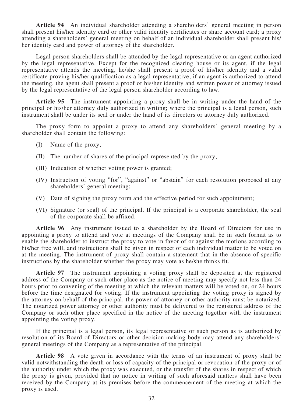**Article 94** An individual shareholder attending a shareholders' general meeting in person shall present his/her identity card or other valid identity certificates or share account card; a proxy attending a shareholders' general meeting on behalf of an individual shareholder shall present his/ her identity card and power of attorney of the shareholder.

Legal person shareholders shall be attended by the legal representative or an agent authorized by the legal representative. Except for the recognized clearing house or its agent, if the legal representative attends the meeting, he/she shall present a proof of his/her identity and a valid certificate proving his/her qualification as a legal representative; if an agent is authorized to attend the meeting, the agent shall present a proof of his/her identity and written power of attorney issued by the legal representative of the legal person shareholder according to law.

**Article 95** The instrument appointing a proxy shall be in writing under the hand of the principal or his/her attorney duly authorized in writing; where the principal is a legal person, such instrument shall be under its seal or under the hand of its directors or attorney duly authorized.

The proxy form to appoint a proxy to attend any shareholders' general meeting by a shareholder shall contain the following:

- (I) Name of the proxy;
- (II) The number of shares of the principal represented by the proxy;
- (III) Indication of whether voting power is granted;
- (IV) Instruction of voting "for", "against" or "abstain" for each resolution proposed at any shareholders' general meeting;
- (V) Date of signing the proxy form and the effective period for such appointment;
- (VI) Signature (or seal) of the principal. If the principal is a corporate shareholder, the seal of the corporate shall be affixed.

**Article 96** Any instrument issued to a shareholder by the Board of Directors for use in appointing a proxy to attend and vote at meetings of the Company shall be in such format as to enable the shareholder to instruct the proxy to vote in favor of or against the motions according to his/her free will, and instructions shall be given in respect of each individual matter to be voted on at the meeting. The instrument of proxy shall contain a statement that in the absence of specific instructions by the shareholder whether the proxy may vote as he/she thinks fit.

**Article 97** The instrument appointing a voting proxy shall be deposited at the registered address of the Company or such other place as the notice of meeting may specify not less than 24 hours prior to convening of the meeting at which the relevant matters will be voted on, or 24 hours before the time designated for voting. If the instrument appointing the voting proxy is signed by the attorney on behalf of the principal, the power of attorney or other authority must be notarized. The notarized power attorney or other authority must be delivered to the registered address of the Company or such other place specified in the notice of the meeting together with the instrument appointing the voting proxy.

If the principal is a legal person, its legal representative or such person as is authorized by resolution of its Board of Directors or other decision-making body may attend any shareholders' general meetings of the Company as a representative of the principal.

**Article 98** A vote given in accordance with the terms of an instrument of proxy shall be valid notwithstanding the death or loss of capacity of the principal or revocation of the proxy or of the authority under which the proxy was executed, or the transfer of the shares in respect of which the proxy is given, provided that no notice in writing of such aforesaid matters shall have been received by the Company at its premises before the commencement of the meeting at which the proxy is used.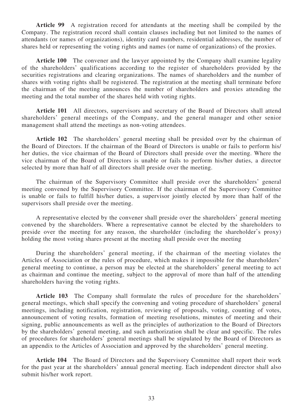**Article 99** A registration record for attendants at the meeting shall be compiled by the Company. The registration record shall contain clauses including but not limited to the names of attendants (or names of organizations), identity card numbers, residential addresses, the number of shares held or representing the voting rights and names (or name of organizations) of the proxies.

**Article 100** The convener and the lawyer appointed by the Company shall examine legality of the shareholders' qualifications according to the register of shareholders provided by the securities registrations and clearing organizations. The names of shareholders and the number of shares with voting rights shall be registered. The registration at the meeting shall terminate before the chairman of the meeting announces the number of shareholders and proxies attending the meeting and the total number of the shares held with voting rights.

**Article 101** All directors, supervisors and secretary of the Board of Directors shall attend shareholders' general meetings of the Company, and the general manager and other senior management shall attend the meetings as non-voting attendees.

**Article 102** The shareholders' general meeting shall be presided over by the chairman of the Board of Directors. If the chairman of the Board of Directors is unable or fails to perform his/ her duties, the vice chairman of the Board of Directors shall preside over the meeting. Where the vice chairman of the Board of Directors is unable or fails to perform his/her duties, a director selected by more than half of all directors shall preside over the meeting.

The chairman of the Supervisory Committee shall preside over the shareholders' general meeting convened by the Supervisory Committee. If the chairman of the Supervisory Committee is unable or fails to fulfill his/her duties, a supervisor jointly elected by more than half of the supervisors shall preside over the meeting.

A representative elected by the convener shall preside over the shareholders' general meeting convened by the shareholders. Where a representative cannot be elected by the shareholders to preside over the meeting for any reason, the shareholder (including the shareholder's proxy) holding the most voting shares present at the meeting shall preside over the meeting

During the shareholders' general meeting, if the chairman of the meeting violates the Articles of Association or the rules of procedure, which makes it impossible for the shareholders' general meeting to continue, a person may be elected at the shareholders' general meeting to act as chairman and continue the meeting, subject to the approval of more than half of the attending shareholders having the voting rights.

**Article 103** The Company shall formulate the rules of procedure for the shareholders' general meetings, which shall specify the convening and voting procedure of shareholders' general meetings, including notification, registration, reviewing of proposals, voting, counting of votes, announcement of voting results, formation of meeting resolutions, minutes of meeting and their signing, public announcements as well as the principles of authorization to the Board of Directors by the shareholders' general meeting, and such authorization shall be clear and specific. The rules of procedures for shareholders' general meetings shall be stipulated by the Board of Directors as an appendix to the Articles of Association and approved by the shareholders' general meeting.

**Article 104** The Board of Directors and the Supervisory Committee shall report their work for the past year at the shareholders' annual general meeting. Each independent director shall also submit his/her work report.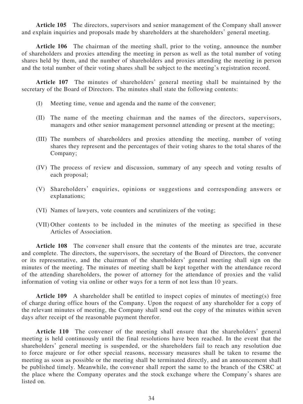**Article 105** The directors, supervisors and senior management of the Company shall answer and explain inquiries and proposals made by shareholders at the shareholders' general meeting.

**Article 106** The chairman of the meeting shall, prior to the voting, announce the number of shareholders and proxies attending the meeting in person as well as the total number of voting shares held by them, and the number of shareholders and proxies attending the meeting in person and the total number of their voting shares shall be subject to the meeting's registration record.

**Article 107** The minutes of shareholders' general meeting shall be maintained by the secretary of the Board of Directors. The minutes shall state the following contents:

- (I) Meeting time, venue and agenda and the name of the convener;
- (II) The name of the meeting chairman and the names of the directors, supervisors, managers and other senior management personnel attending or present at the meeting;
- (III) The numbers of shareholders and proxies attending the meeting, number of voting shares they represent and the percentages of their voting shares to the total shares of the Company;
- (IV) The process of review and discussion, summary of any speech and voting results of each proposal;
- (V) Shareholders' enquiries, opinions or suggestions and corresponding answers or explanations;
- (VI) Names of lawyers, vote counters and scrutinizers of the voting;
- (VII) Other contents to be included in the minutes of the meeting as specified in these Articles of Association.

**Article 108** The convener shall ensure that the contents of the minutes are true, accurate and complete. The directors, the supervisors, the secretary of the Board of Directors, the convener or its representative, and the chairman of the shareholders' general meeting shall sign on the minutes of the meeting. The minutes of meeting shall be kept together with the attendance record of the attending shareholders, the power of attorney for the attendance of proxies and the valid information of voting via online or other ways for a term of not less than 10 years.

Article 109 A shareholder shall be entitled to inspect copies of minutes of meeting(s) free of charge during office hours of the Company. Upon the request of any shareholder for a copy of the relevant minutes of meeting, the Company shall send out the copy of the minutes within seven days after receipt of the reasonable payment therefor.

**Article 110** The convener of the meeting shall ensure that the shareholders' general meeting is held continuously until the final resolutions have been reached. In the event that the shareholders' general meeting is suspended, or the shareholders fail to reach any resolution due to force majeure or for other special reasons, necessary measures shall be taken to resume the meeting as soon as possible or the meeting shall be terminated directly, and an announcement shall be published timely. Meanwhile, the convener shall report the same to the branch of the CSRC at the place where the Company operates and the stock exchange where the Company's shares are listed on.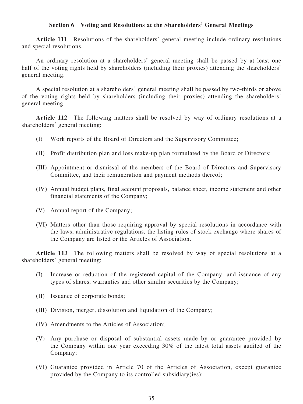# **Section 6 Voting and Resolutions at the Shareholders' General Meetings**

**Article 111** Resolutions of the shareholders' general meeting include ordinary resolutions and special resolutions.

An ordinary resolution at a shareholders' general meeting shall be passed by at least one half of the voting rights held by shareholders (including their proxies) attending the shareholders' general meeting.

A special resolution at a shareholders' general meeting shall be passed by two-thirds or above of the voting rights held by shareholders (including their proxies) attending the shareholders' general meeting.

**Article 112** The following matters shall be resolved by way of ordinary resolutions at a shareholders' general meeting:

- (I) Work reports of the Board of Directors and the Supervisory Committee;
- (II) Profit distribution plan and loss make-up plan formulated by the Board of Directors;
- (III) Appointment or dismissal of the members of the Board of Directors and Supervisory Committee, and their remuneration and payment methods thereof;
- (IV) Annual budget plans, final account proposals, balance sheet, income statement and other financial statements of the Company;
- (V) Annual report of the Company;
- (VI) Matters other than those requiring approval by special resolutions in accordance with the laws, administrative regulations, the listing rules of stock exchange where shares of the Company are listed or the Articles of Association.

**Article 113** The following matters shall be resolved by way of special resolutions at a shareholders' general meeting:

- (I) Increase or reduction of the registered capital of the Company, and issuance of any types of shares, warranties and other similar securities by the Company;
- (II) Issuance of corporate bonds;
- (III) Division, merger, dissolution and liquidation of the Company;
- (IV) Amendments to the Articles of Association;
- (V) Any purchase or disposal of substantial assets made by or guarantee provided by the Company within one year exceeding 30% of the latest total assets audited of the Company;
- (VI) Guarantee provided in Article 70 of the Articles of Association, except guarantee provided by the Company to its controlled subsidiary(ies);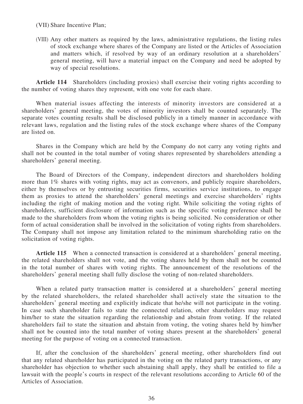## (VII) Share Incentive Plan;

(VIII) Any other matters as required by the laws, administrative regulations, the listing rules of stock exchange where shares of the Company are listed or the Articles of Association and matters which, if resolved by way of an ordinary resolution at a shareholders' general meeting, will have a material impact on the Company and need be adopted by way of special resolutions.

**Article 114** Shareholders (including proxies) shall exercise their voting rights according to the number of voting shares they represent, with one vote for each share.

When material issues affecting the interests of minority investors are considered at a shareholders' general meeting, the votes of minority investors shall be counted separately. The separate votes counting results shall be disclosed publicly in a timely manner in accordance with relevant laws, regulation and the listing rules of the stock exchange where shares of the Company are listed on.

Shares in the Company which are held by the Company do not carry any voting rights and shall not be counted in the total number of voting shares represented by shareholders attending a shareholders' general meeting.

The Board of Directors of the Company, independent directors and shareholders holding more than 1% shares with voting rights, may act as convenors, and publicly require shareholders, either by themselves or by entrusting securities firms, securities service institutions, to engage them as proxies to attend the shareholders' general meetings and exercise shareholders' rights including the right of making motion and the voting right. While soliciting the voting rights of shareholders, sufficient disclosure of information such as the specific voting preference shall be made to the shareholders from whom the voting rights is being solicited. No consideration or other form of actual consideration shall be involved in the solicitation of voting rights from shareholders. The Company shall not impose any limitation related to the minimum shareholding ratio on the solicitation of voting rights.

**Article 115** When a connected transaction is considered at a shareholders' general meeting, the related shareholders shall not vote, and the voting shares held by them shall not be counted in the total number of shares with voting rights. The announcement of the resolutions of the shareholders' general meeting shall fully disclose the voting of non-related shareholders.

When a related party transaction matter is considered at a shareholders' general meeting by the related shareholders, the related shareholder shall actively state the situation to the shareholders' general meeting and explicitly indicate that he/she will not participate in the voting. In case such shareholder fails to state the connected relation, other shareholders may request him/her to state the situation regarding the relationship and abstain from voting. If the related shareholders fail to state the situation and abstain from voting, the voting shares held by him/her shall not be counted into the total number of voting shares present at the shareholders' general meeting for the purpose of voting on a connected transaction.

If, after the conclusion of the shareholders' general meeting, other shareholders find out that any related shareholder has participated in the voting on the related party transactions, or any shareholder has objection to whether such abstaining shall apply, they shall be entitled to file a lawsuit with the people's courts in respect of the relevant resolutions according to Article 60 of the Articles of Association.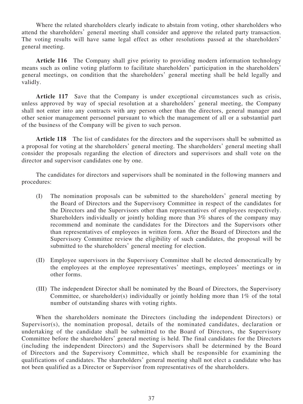Where the related shareholders clearly indicate to abstain from voting, other shareholders who attend the shareholders' general meeting shall consider and approve the related party transaction. The voting results will have same legal effect as other resolutions passed at the shareholders' general meeting.

**Article 116** The Company shall give priority to providing modern information technology means such as online voting platform to facilitate shareholders' participation in the shareholders' general meetings, on condition that the shareholders' general meeting shall be held legally and validly.

**Article 117** Save that the Company is under exceptional circumstances such as crisis, unless approved by way of special resolution at a shareholders' general meeting, the Company shall not enter into any contracts with any person other than the directors, general manager and other senior management personnel pursuant to which the management of all or a substantial part of the business of the Company will be given to such person.

**Article 118** The list of candidates for the directors and the supervisors shall be submitted as a proposal for voting at the shareholders' general meeting. The shareholders' general meeting shall consider the proposals regarding the election of directors and supervisors and shall vote on the director and supervisor candidates one by one.

The candidates for directors and supervisors shall be nominated in the following manners and procedures:

- (I) The nomination proposals can be submitted to the shareholders' general meeting by the Board of Directors and the Supervisory Committee in respect of the candidates for the Directors and the Supervisors other than representatives of employees respectively. Shareholders individually or jointly holding more than 3% shares of the company may recommend and nominate the candidates for the Directors and the Supervisors other than representatives of employees in written form. After the Board of Directors and the Supervisory Committee review the eligibility of such candidates, the proposal will be submitted to the shareholders' general meeting for election.
- (II) Employee supervisors in the Supervisory Committee shall be elected democratically by the employees at the employee representatives' meetings, employees' meetings or in other forms.
- (III) The independent Director shall be nominated by the Board of Directors, the Supervisory Committee, or shareholder(s) individually or jointly holding more than 1% of the total number of outstanding shares with voting rights.

When the shareholders nominate the Directors (including the independent Directors) or Supervisor(s), the nomination proposal, details of the nominated candidates, declaration or undertaking of the candidate shall be submitted to the Board of Directors, the Supervisory Committee before the shareholders' general meeting is held. The final candidates for the Directors (including the independent Directors) and the Supervisors shall be determined by the Board of Directors and the Supervisory Committee, which shall be responsible for examining the qualifications of candidates. The shareholders' general meeting shall not elect a candidate who has not been qualified as a Director or Supervisor from representatives of the shareholders.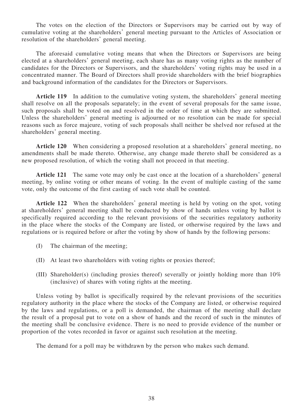The votes on the election of the Directors or Supervisors may be carried out by way of cumulative voting at the shareholders' general meeting pursuant to the Articles of Association or resolution of the shareholders' general meeting.

The aforesaid cumulative voting means that when the Directors or Supervisors are being elected at a shareholders' general meeting, each share has as many voting rights as the number of candidates for the Directors or Supervisors, and the shareholders' voting rights may be used in a concentrated manner. The Board of Directors shall provide shareholders with the brief biographies and background information of the candidates for the Directors or Supervisors.

**Article 119** In addition to the cumulative voting system, the shareholders' general meeting shall resolve on all the proposals separately; in the event of several proposals for the same issue, such proposals shall be voted on and resolved in the order of time at which they are submitted. Unless the shareholders' general meeting is adjourned or no resolution can be made for special reasons such as force majeure, voting of such proposals shall neither be shelved nor refused at the shareholders' general meeting.

**Article 120** When considering a proposed resolution at a shareholders' general meeting, no amendments shall be made thereto. Otherwise, any change made thereto shall be considered as a new proposed resolution, of which the voting shall not proceed in that meeting.

**Article 121** The same vote may only be cast once at the location of a shareholders' general meeting, by online voting or other means of voting. In the event of multiple casting of the same vote, only the outcome of the first casting of such vote shall be counted.

**Article 122** When the shareholders' general meeting is held by voting on the spot, voting at shareholders' general meeting shall be conducted by show of hands unless voting by ballot is specifically required according to the relevant provisions of the securities regulatory authority in the place where the stocks of the Company are listed, or otherwise required by the laws and regulations or is required before or after the voting by show of hands by the following persons:

- (I) The chairman of the meeting;
- (II) At least two shareholders with voting rights or proxies thereof;
- (III) Shareholder(s) (including proxies thereof) severally or jointly holding more than 10% (inclusive) of shares with voting rights at the meeting.

Unless voting by ballot is specifically required by the relevant provisions of the securities regulatory authority in the place where the stocks of the Company are listed, or otherwise required by the laws and regulations, or a poll is demanded, the chairman of the meeting shall declare the result of a proposal put to vote on a show of hands and the record of such in the minutes of the meeting shall be conclusive evidence. There is no need to provide evidence of the number or proportion of the votes recorded in favor or against such resolution at the meeting.

The demand for a poll may be withdrawn by the person who makes such demand.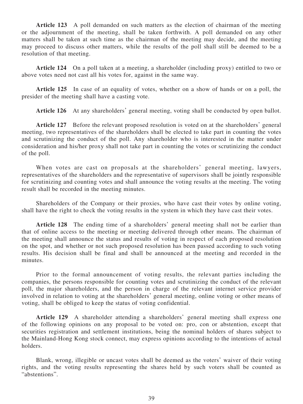**Article 123** A poll demanded on such matters as the election of chairman of the meeting or the adjournment of the meeting, shall be taken forthwith. A poll demanded on any other matters shall be taken at such time as the chairman of the meeting may decide, and the meeting may proceed to discuss other matters, while the results of the poll shall still be deemed to be a resolution of that meeting.

**Article 124** On a poll taken at a meeting, a shareholder (including proxy) entitled to two or above votes need not cast all his votes for, against in the same way.

**Article 125** In case of an equality of votes, whether on a show of hands or on a poll, the presider of the meeting shall have a casting vote.

**Article 126** At any shareholders' general meeting, voting shall be conducted by open ballot.

**Article 127** Before the relevant proposed resolution is voted on at the shareholders' general meeting, two representatives of the shareholders shall be elected to take part in counting the votes and scrutinizing the conduct of the poll. Any shareholder who is interested in the matter under consideration and his/her proxy shall not take part in counting the votes or scrutinizing the conduct of the poll.

When votes are cast on proposals at the shareholders' general meeting, lawyers, representatives of the shareholders and the representative of supervisors shall be jointly responsible for scrutinizing and counting votes and shall announce the voting results at the meeting. The voting result shall be recorded in the meeting minutes.

Shareholders of the Company or their proxies, who have cast their votes by online voting, shall have the right to check the voting results in the system in which they have cast their votes.

**Article 128** The ending time of a shareholders' general meeting shall not be earlier than that of online access to the meeting or meeting delivered through other means. The chairman of the meeting shall announce the status and results of voting in respect of each proposed resolution on the spot, and whether or not such proposed resolution has been passed according to such voting results. His decision shall be final and shall be announced at the meeting and recorded in the minutes.

Prior to the formal announcement of voting results, the relevant parties including the companies, the persons responsible for counting votes and scrutinizing the conduct of the relevant poll, the major shareholders, and the person in charge of the relevant internet service provider involved in relation to voting at the shareholders' general meeting, online voting or other means of voting, shall be obliged to keep the status of voting confidential.

**Article 129** A shareholder attending a shareholders' general meeting shall express one of the following opinions on any proposal to be voted on: pro, con or abstention, except that securities registration and settlement institutions, being the nominal holders of shares subject to the Mainland-Hong Kong stock connect, may express opinions according to the intentions of actual holders.

Blank, wrong, illegible or uncast votes shall be deemed as the voters' waiver of their voting rights, and the voting results representing the shares held by such voters shall be counted as "abstentions".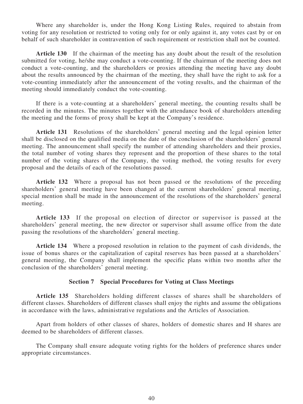Where any shareholder is, under the Hong Kong Listing Rules, required to abstain from voting for any resolution or restricted to voting only for or only against it, any votes cast by or on behalf of such shareholder in contravention of such requirement or restriction shall not be counted.

**Article 130** If the chairman of the meeting has any doubt about the result of the resolution submitted for voting, he/she may conduct a vote-counting. If the chairman of the meeting does not conduct a vote-counting, and the shareholders or proxies attending the meeting have any doubt about the results announced by the chairman of the meeting, they shall have the right to ask for a vote-counting immediately after the announcement of the voting results, and the chairman of the meeting should immediately conduct the vote-counting.

If there is a vote-counting at a shareholders' general meeting, the counting results shall be recorded in the minutes. The minutes together with the attendance book of shareholders attending the meeting and the forms of proxy shall be kept at the Company's residence.

**Article 131** Resolutions of the shareholders' general meeting and the legal opinion letter shall be disclosed on the qualified media on the date of the conclusion of the shareholders' general meeting. The announcement shall specify the number of attending shareholders and their proxies, the total number of voting shares they represent and the proportion of these shares to the total number of the voting shares of the Company, the voting method, the voting results for every proposal and the details of each of the resolutions passed.

**Article 132** Where a proposal has not been passed or the resolutions of the preceding shareholders' general meeting have been changed at the current shareholders' general meeting, special mention shall be made in the announcement of the resolutions of the shareholders' general meeting.

**Article 133** If the proposal on election of director or supervisor is passed at the shareholders' general meeting, the new director or supervisor shall assume office from the date passing the resolutions of the shareholders' general meeting.

**Article 134** Where a proposed resolution in relation to the payment of cash dividends, the issue of bonus shares or the capitalization of capital reserves has been passed at a shareholders' general meeting, the Company shall implement the specific plans within two months after the conclusion of the shareholders' general meeting.

### **Section 7 Special Procedures for Voting at Class Meetings**

**Article 135** Shareholders holding different classes of shares shall be shareholders of different classes. Shareholders of different classes shall enjoy the rights and assume the obligations in accordance with the laws, administrative regulations and the Articles of Association.

Apart from holders of other classes of shares, holders of domestic shares and H shares are deemed to be shareholders of different classes.

The Company shall ensure adequate voting rights for the holders of preference shares under appropriate circumstances.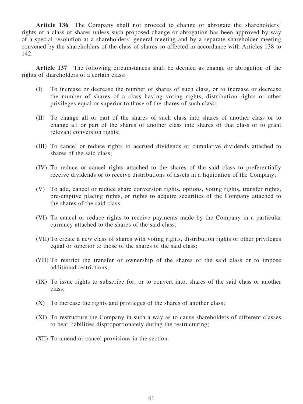**Article 136** The Company shall not proceed to change or abrogate the shareholders' rights of a class of shares unless such proposed change or abrogation has been approved by way of a special resolution at a shareholders' general meeting and by a separate shareholder meeting convened by the shareholders of the class of shares so affected in accordance with Articles 138 to 142.

**Article 137** The following circumstances shall be deemed as change or abrogation of the rights of shareholders of a certain class:

- (I) To increase or decrease the number of shares of such class, or to increase or decrease the number of shares of a class having voting rights, distribution rights or other privileges equal or superior to those of the shares of such class;
- (II) To change all or part of the shares of such class into shares of another class or to change all or part of the shares of another class into shares of that class or to grant relevant conversion rights;
- (III) To cancel or reduce rights to accrued dividends or cumulative dividends attached to shares of the said class;
- (IV) To reduce or cancel rights attached to the shares of the said class to preferentially receive dividends or to receive distributions of assets in a liquidation of the Company;
- (V) To add, cancel or reduce share conversion rights, options, voting rights, transfer rights, pre-emptive placing rights, or rights to acquire securities of the Company attached to the shares of the said class;
- (VI) To cancel or reduce rights to receive payments made by the Company in a particular currency attached to the shares of the said class;
- (VII) To create a new class of shares with voting rights, distribution rights or other privileges equal or superior to those of the shares of the said class;
- (VIII) To restrict the transfer or ownership of the shares of the said class or to impose additional restrictions;
- (IX) To issue rights to subscribe for, or to convert into, shares of the said class or another class;
- (X) To increase the rights and privileges of the shares of another class;
- (XI) To restructure the Company in such a way as to cause shareholders of different classes to bear liabilities disproportionately during the restructuring;
- (XII) To amend or cancel provisions in the section.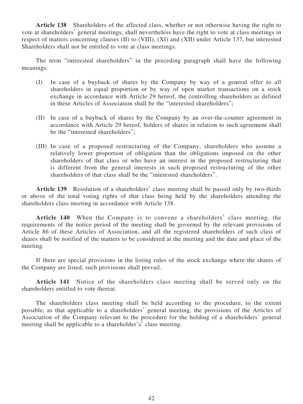**Article 138** Shareholders of the affected class, whether or not otherwise having the right to vote at shareholders' general meetings, shall nevertheless have the right to vote at class meetings in respect of matters concerning clauses (II) to (VIII), (XI) and (XII) under Article 137, but interested Shareholders shall not be entitled to vote at class meetings.

The term "interested shareholders" in the preceding paragraph shall have the following meanings:

- (I) In case of a buyback of shares by the Company by way of a general offer to all shareholders in equal proportion or by way of open market transactions on a stock exchange in accordance with Article 29 hereof, the controlling shareholders as defined in these Articles of Association shall be the "interested shareholders";
- (II) In case of a buyback of shares by the Company by an over-the-counter agreement in accordance with Article 29 hereof, holders of shares in relation to such agreement shall be the "interested shareholders";
- (III) In case of a proposed restructuring of the Company, shareholders who assume a relatively lower proportion of obligation than the obligations imposed on the other shareholders of that class or who have an interest in the proposed restructuring that is different from the general interests in such proposed restructuring of the other shareholders of that class shall be the "interested shareholders".

**Article 139** Resolution of a shareholders' class meeting shall be passed only by two-thirds or above of the total voting rights of that class being held by the shareholders attending the shareholders class meeting in accordance with Article 138.

**Article 140** When the Company is to convene a shareholders' class meeting, the requirements of the notice period of the meeting shall be governed by the relevant provisions of Article 86 of these Articles of Association, and all the registered shareholders of such class of shares shall be notified of the matters to be considered at the meeting and the date and place of the meeting.

If there are special provisions in the listing rules of the stock exchange where the shares of the Company are listed, such provisions shall prevail.

**Article 141** Notice of the shareholders class meeting shall be served only on the shareholders entitled to vote thereat.

The shareholders class meeting shall be held according to the procedure, to the extent possible, as that applicable to a shareholders' general meeting, the provisions of the Articles of Association of the Company relevant to the procedure for the holding of a shareholders' general meeting shall be applicable to a shareholder's' class meeting.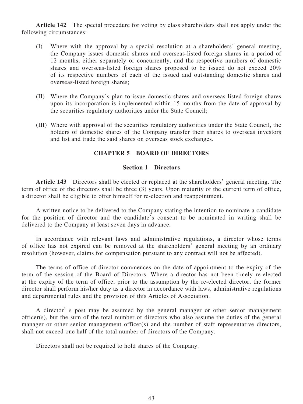**Article 142** The special procedure for voting by class shareholders shall not apply under the following circumstances:

- (I) Where with the approval by a special resolution at a shareholders' general meeting, the Company issues domestic shares and overseas-listed foreign shares in a period of 12 months, either separately or concurrently, and the respective numbers of domestic shares and overseas-listed foreign shares proposed to be issued do not exceed 20% of its respective numbers of each of the issued and outstanding domestic shares and overseas-listed foreign shares;
- (II) Where the Company's plan to issue domestic shares and overseas-listed foreign shares upon its incorporation is implemented within 15 months from the date of approval by the securities regulatory authorities under the State Council;
- (III) Where with approval of the securities regulatory authorities under the State Council, the holders of domestic shares of the Company transfer their shares to overseas investors and list and trade the said shares on overseas stock exchanges.

# **CHAPTER 5 BOARD OF DIRECTORS**

# **Section 1 Directors**

**Article 143** Directors shall be elected or replaced at the shareholders' general meeting. The term of office of the directors shall be three (3) years. Upon maturity of the current term of office, a director shall be eligible to offer himself for re-election and reappointment.

A written notice to be delivered to the Company stating the intention to nominate a candidate for the position of director and the candidate's consent to be nominated in writing shall be delivered to the Company at least seven days in advance.

In accordance with relevant laws and administrative regulations, a director whose terms of office has not expired can be removed at the shareholders' general meeting by an ordinary resolution (however, claims for compensation pursuant to any contract will not be affected).

The terms of office of director commences on the date of appointment to the expiry of the term of the session of the Board of Directors. Where a director has not been timely re-elected at the expiry of the term of office, prior to the assumption by the re-elected director, the former director shall perform his/her duty as a director in accordance with laws, administrative regulations and departmental rules and the provision of this Articles of Association.

A director' s post may be assumed by the general manager or other senior management officer(s), but the sum of the total number of directors who also assume the duties of the general manager or other senior management officer(s) and the number of staff representative directors, shall not exceed one half of the total number of directors of the Company.

Directors shall not be required to hold shares of the Company.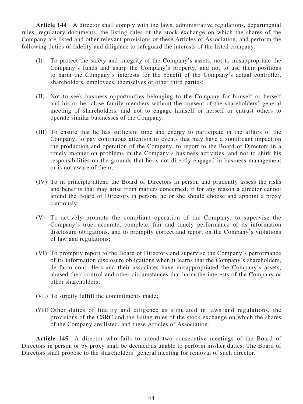**Article 144** A director shall comply with the laws, administrative regulations, departmental rules, regulatory documents, the listing rules of the stock exchange on which the shares of the Company are listed and other relevant provisions of these Articles of Association, and perform the following duties of fidelity and diligence to safeguard the interests of the listed company:

- (I) To protect the safety and integrity of the Company's assets, not to misappropriate the Company's funds and usurp the Company's property, and not to use their positions to harm the Company's interests for the benefit of the Company's actual controller, shareholders, employees, themselves or other third parties;
- (II) Not to seek business opportunities belonging to the Company for himself or herself and his or her close family members without the consent of the shareholders' general meeting of shareholders, and not to engage himself or herself or entrust others to operate similar businesses of the Company;
- (III) To ensure that he has sufficient time and energy to participate in the affairs of the Company, to pay continuous attention to events that may have a significant impact on the production and operation of the Company, to report to the Board of Directors in a timely manner on problems in the Company's business activities, and not to shirk his responsibilities on the grounds that he is not directly engaged in business management or is not aware of them;
- (IV) To in principle attend the Board of Directors in person and prudently assess the risks and benefits that may arise from matters concerned; if for any reason a director cannot attend the Board of Directors in person, he or she should choose and appoint a proxy cautiously;
- (V) To actively promote the compliant operation of the Company, to supervise the Company's true, accurate, complete, fair and timely performance of its information disclosure obligations, and to promptly correct and report on the Company's violations of law and regulations;
- (VI) To promptly report to the Board of Directors and supervise the Company's performance of its information disclosure obligations when it learns that the Company's shareholders, de facto controllers and their associates have misappropriated the Company's assets, abused their control and other circumstances that harm the interests of the Company or other shareholders;
- (VII) To strictly fulfill the commitments made;
- (VIII) Other duties of fidelity and diligence as stipulated in laws and regulations, the provisions of the CSRC and the listing rules of the stock exchange on which the shares of the Company are listed, and these Articles of Association.

**Article 145** A director who fails to attend two consecutive meetings of the Board of Directors in person or by proxy shall be deemed as unable to perform his/her duties. The Board of Directors shall propose to the shareholders' general meeting for removal of such director.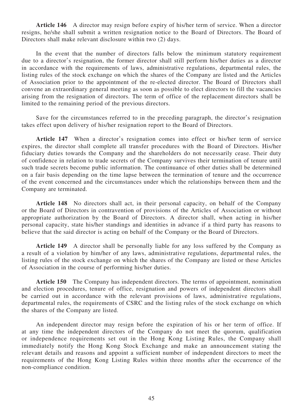**Article 146** A director may resign before expiry of his/her term of service. When a director resigns, he/she shall submit a written resignation notice to the Board of Directors. The Board of Directors shall make relevant disclosure within two (2) days.

In the event that the number of directors falls below the minimum statutory requirement due to a director's resignation, the former director shall still perform his/her duties as a director in accordance with the requirements of laws, administrative regulations, departmental rules, the listing rules of the stock exchange on which the shares of the Company are listed and the Articles of Association prior to the appointment of the re-elected director. The Board of Directors shall convene an extraordinary general meeting as soon as possible to elect directors to fill the vacancies arising from the resignation of directors. The term of office of the replacement directors shall be limited to the remaining period of the previous directors.

Save for the circumstances referred to in the preceding paragraph, the director's resignation takes effect upon delivery of his/her resignation report to the Board of Directors.

**Article 147** When a director's resignation comes into effect or his/her term of service expires, the director shall complete all transfer procedures with the Board of Directors. His/her fiduciary duties towards the Company and the shareholders do not necessarily cease. Their duty of confidence in relation to trade secrets of the Company survives their termination of tenure until such trade secrets become public information. The continuance of other duties shall be determined on a fair basis depending on the time lapse between the termination of tenure and the occurrence of the event concerned and the circumstances under which the relationships between them and the Company are terminated.

**Article 148** No directors shall act, in their personal capacity, on behalf of the Company or the Board of Directors in contravention of provisions of the Articles of Association or without appropriate authorization by the Board of Directors. A director shall, when acting in his/her personal capacity, state his/her standings and identities in advance if a third party has reasons to believe that the said director is acting on behalf of the Company or the Board of Directors.

**Article 149** A director shall be personally liable for any loss suffered by the Company as a result of a violation by him/her of any laws, administrative regulations, departmental rules, the listing rules of the stock exchange on which the shares of the Company are listed or these Articles of Association in the course of performing his/her duties.

**Article 150** The Company has independent directors. The terms of appointment, nomination and election procedures, tenure of office, resignation and powers of independent directors shall be carried out in accordance with the relevant provisions of laws, administrative regulations, departmental rules, the requirements of CSRC and the listing rules of the stock exchange on which the shares of the Company are listed.

An independent director may resign before the expiration of his or her term of office. If at any time the independent directors of the Company do not meet the quorum, qualification or independence requirements set out in the Hong Kong Listing Rules, the Company shall immediately notify the Hong Kong Stock Exchange and make an announcement stating the relevant details and reasons and appoint a sufficient number of independent directors to meet the requirements of the Hong Kong Listing Rules within three months after the occurrence of the non-compliance condition.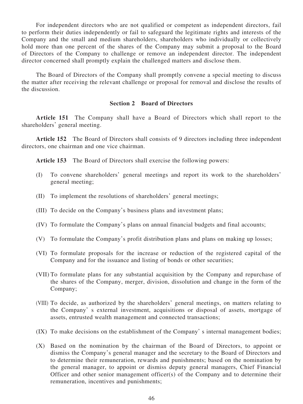For independent directors who are not qualified or competent as independent directors, fail to perform their duties independently or fail to safeguard the legitimate rights and interests of the Company and the small and medium shareholders, shareholders who individually or collectively hold more than one percent of the shares of the Company may submit a proposal to the Board of Directors of the Company to challenge or remove an independent director. The independent director concerned shall promptly explain the challenged matters and disclose them.

The Board of Directors of the Company shall promptly convene a special meeting to discuss the matter after receiving the relevant challenge or proposal for removal and disclose the results of the discussion.

# **Section 2 Board of Directors**

**Article 151** The Company shall have a Board of Directors which shall report to the shareholders' general meeting.

**Article 152** The Board of Directors shall consists of 9 directors including three independent directors, one chairman and one vice chairman.

**Article 153** The Board of Directors shall exercise the following powers:

- (I) To convene shareholders' general meetings and report its work to the shareholders' general meeting;
- (II) To implement the resolutions of shareholders' general meetings;
- (III) To decide on the Company's business plans and investment plans;
- (IV) To formulate the Company's plans on annual financial budgets and final accounts;
- (V) To formulate the Company's profit distribution plans and plans on making up losses;
- (VI) To formulate proposals for the increase or reduction of the registered capital of the Company and for the issuance and listing of bonds or other securities;
- (VII) To formulate plans for any substantial acquisition by the Company and repurchase of the shares of the Company, merger, division, dissolution and change in the form of the Company;
- (VIII) To decide, as authorized by the shareholders' general meetings, on matters relating to the Company' s external investment, acquisitions or disposal of assets, mortgage of assets, entrusted wealth management and connected transactions;
- (IX) To make decisions on the establishment of the Company' s internal management bodies;
- (X) Based on the nomination by the chairman of the Board of Directors, to appoint or dismiss the Company's general manager and the secretary to the Board of Directors and to determine their remuneration, rewards and punishments; based on the nomination by the general manager, to appoint or dismiss deputy general managers, Chief Financial Officer and other senior management officer(s) of the Company and to determine their remuneration, incentives and punishments;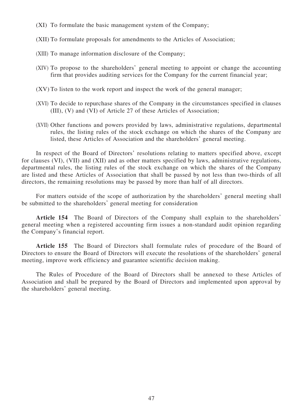- (XI) To formulate the basic management system of the Company;
- (XII) To formulate proposals for amendments to the Articles of Association;
- (XIII) To manage information disclosure of the Company;
- (XIV) To propose to the shareholders' general meeting to appoint or change the accounting firm that provides auditing services for the Company for the current financial year;
- (XV) To listen to the work report and inspect the work of the general manager;
- (XVI) To decide to repurchase shares of the Company in the circumstances specified in clauses (III), (V) and (VI) of Article 27 of these Articles of Association;
- (XVII) Other functions and powers provided by laws, administrative regulations, departmental rules, the listing rules of the stock exchange on which the shares of the Company are listed, these Articles of Association and the shareholders' general meeting.

In respect of the Board of Directors' resolutions relating to matters specified above, except for clauses (VI), (VII) and (XII) and as other matters specified by laws, administrative regulations, departmental rules, the listing rules of the stock exchange on which the shares of the Company are listed and these Articles of Association that shall be passed by not less than two-thirds of all directors, the remaining resolutions may be passed by more than half of all directors.

For matters outside of the scope of authorization by the shareholders' general meeting shall be submitted to the shareholders' general meeting for consideration

**Article 154** The Board of Directors of the Company shall explain to the shareholders' general meeting when a registered accounting firm issues a non-standard audit opinion regarding the Company's financial report.

**Article 155** The Board of Directors shall formulate rules of procedure of the Board of Directors to ensure the Board of Directors will execute the resolutions of the shareholders' general meeting, improve work efficiency and guarantee scientific decision making.

The Rules of Procedure of the Board of Directors shall be annexed to these Articles of Association and shall be prepared by the Board of Directors and implemented upon approval by the shareholders' general meeting.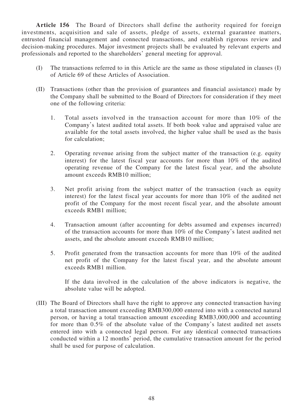**Article 156** The Board of Directors shall define the authority required for foreign investments, acquisition and sale of assets, pledge of assets, external guarantee matters, entrusted financial management and connected transactions, and establish rigorous review and decision-making procedures. Major investment projects shall be evaluated by relevant experts and professionals and reported to the shareholders' general meeting for approval.

- (I) The transactions referred to in this Article are the same as those stipulated in clauses (I) of Article 69 of these Articles of Association.
- (II) Transactions (other than the provision of guarantees and financial assistance) made by the Company shall be submitted to the Board of Directors for consideration if they meet one of the following criteria:
	- 1. Total assets involved in the transaction account for more than 10% of the Company's latest audited total assets. If both book value and appraised value are available for the total assets involved, the higher value shall be used as the basis for calculation;
	- 2. Operating revenue arising from the subject matter of the transaction (e.g. equity interest) for the latest fiscal year accounts for more than 10% of the audited operating revenue of the Company for the latest fiscal year, and the absolute amount exceeds RMB10 million;
	- 3. Net profit arising from the subject matter of the transaction (such as equity interest) for the latest fiscal year accounts for more than 10% of the audited net profit of the Company for the most recent fiscal year, and the absolute amount exceeds RMB1 million;
	- 4. Transaction amount (after accounting for debts assumed and expenses incurred) of the transaction accounts for more than 10% of the Company's latest audited net assets, and the absolute amount exceeds RMB10 million;
	- 5. Profit generated from the transaction accounts for more than 10% of the audited net profit of the Company for the latest fiscal year, and the absolute amount exceeds RMB1 million.

If the data involved in the calculation of the above indicators is negative, the absolute value will be adopted.

(III) The Board of Directors shall have the right to approve any connected transaction having a total transaction amount exceeding RMB300,000 entered into with a connected natural person, or having a total transaction amount exceeding RMB3,000,000 and accounting for more than 0.5% of the absolute value of the Company's latest audited net assets entered into with a connected legal person. For any identical connected transactions conducted within a 12 months' period, the cumulative transaction amount for the period shall be used for purpose of calculation.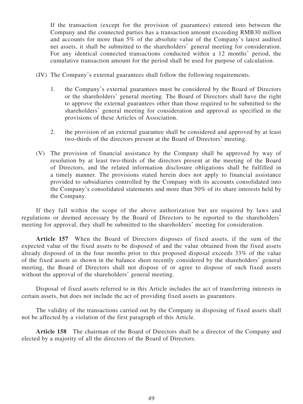If the transaction (except for the provision of guarantees) entered into between the Company and the connected parties has a transaction amount exceeding RMB30 million and accounts for more than 5% of the absolute value of the Company's latest audited net assets, it shall be submitted to the shareholders' general meeting for consideration. For any identical connected transactions conducted within a 12 months' period, the cumulative transaction amount for the period shall be used for purpose of calculation.

- (IV) The Company's external guarantees shall follow the following requirements.
	- 1. the Company's external guarantees must be considered by the Board of Directors or the shareholders' general meeting. The Board of Directors shall have the right to approve the external guarantees other than those required to be submitted to the shareholders' general meeting for consideration and approval as specified in the provisions of these Articles of Association.
	- 2. the provision of an external guarantee shall be considered and approved by at least two-thirds of the directors present at the Board of Directors' meeting.
- (V) The provision of financial assistance by the Company shall be approved by way of resolution by at least two-thirds of the directors present at the meeting of the Board of Directors, and the related information disclosure obligations shall be fulfilled in a timely manner. The provisions stated herein does not apply to financial assistance provided to subsidiaries controlled by the Company with its accounts consolidated into the Company's consolidated statements and more than 50% of its share interests held by the Company.

If they fall within the scope of the above authorization but are required by laws and regulations or deemed necessary by the Board of Directors to be reported to the shareholders' meeting for approval, they shall be submitted to the shareholders' meeting for consideration.

**Article 157** When the Board of Directors disposes of fixed assets, if the sum of the expected value of the fixed assets to be disposed of and the value obtained from the fixed assets already disposed of in the four months prior to this proposed disposal exceeds 33% of the value of the fixed assets as shown in the balance sheet recently considered by the shareholders' general meeting, the Board of Directors shall not dispose of or agree to dispose of such fixed assets without the approval of the shareholders' general meeting.

Disposal of fixed assets referred to in this Article includes the act of transferring interests in certain assets, but does not include the act of providing fixed assets as guarantees.

The validity of the transactions carried out by the Company in disposing of fixed assets shall not be affected by a violation of the first paragraph of this Article.

**Article 158** The chairman of the Board of Directors shall be a director of the Company and elected by a majority of all the directors of the Board of Directors.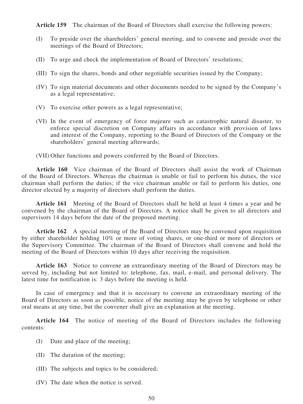**Article 159** The chairman of the Board of Directors shall exercise the following powers:

- (I) To preside over the shareholders' general meeting, and to convene and preside over the meetings of the Board of Directors;
- (II) To urge and check the implementation of Board of Directors' resolutions;
- (III) To sign the shares, bonds and other negotiable securities issued by the Company;
- (IV) To sign material documents and other documents needed to be signed by the Company's as a legal representative;
- (V) To exercise other powers as a legal representative;
- (VI) In the event of emergency of force majeure such as catastrophic natural disaster, to enforce special discretion on Company affairs in accordance with provision of laws and interest of the Company, reporting to the Board of Directors of the Company or the shareholders' general meeting afterwards;

(VII) Other functions and powers conferred by the Board of Directors.

**Article 160** Vice chairman of the Board of Directors shall assist the work of Chairman of the Board of Directors. Whereas the chairman is unable or fail to perform his duties, the vice chairman shall perform the duties; if the vice chairman unable or fail to perform his duties, one director elected by a majority of directors shall perform the duties.

**Article 161** Meeting of the Board of Directors shall be held at least 4 times a year and be convened by the chairman of the Board of Directors. A notice shall be given to all directors and supervisors 14 days before the date of the proposed meeting.

**Article 162** A special meeting of the Board of Directors may be convened upon requisition by either shareholder holding 10% or more of voting shares, or one-third or more of directors or the Supervisory Committee. The chairman of the Board of Directors shall convene and hold the meeting of the Board of Directors within 10 days after receiving the requisition.

**Article 163** Notice to convene an extraordinary meeting of the Board of Directors may be served by, including but not limited to: telephone, fax, mail, e-mail, and personal delivery. The latest time for notification is: 3 days before the meeting is held.

In case of emergency and that it is necessary to convene an extraordinary meeting of the Board of Directors as soon as possible, notice of the meeting may be given by telephone or other oral means at any time, but the convener shall give an explanation at the meeting.

**Article 164** The notice of meeting of the Board of Directors includes the following contents:

- (I) Date and place of the meeting;
- (II) The duration of the meeting;
- (III) The subjects and topics to be considered;
- (IV) The date when the notice is served.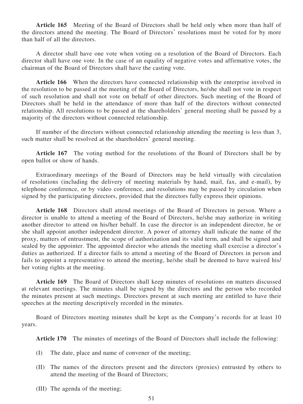**Article 165** Meeting of the Board of Directors shall be held only when more than half of the directors attend the meeting. The Board of Directors' resolutions must be voted for by more than half of all the directors.

A director shall have one vote when voting on a resolution of the Board of Directors. Each director shall have one vote. In the case of an equality of negative votes and affirmative votes, the chairman of the Board of Directors shall have the casting vote.

**Article 166** When the directors have connected relationship with the enterprise involved in the resolution to be passed at the meeting of the Board of Directors, he/she shall not vote in respect of such resolution and shall not vote on behalf of other directors. Such meeting of the Board of Directors shall be held in the attendance of more than half of the directors without connected relationship. All resolutions to be passed at the shareholders' general meeting shall be passed by a majority of the directors without connected relationship.

If number of the directors without connected relationship attending the meeting is less than 3, such matter shall be resolved at the shareholders' general meeting.

**Article 167** The voting method for the resolutions of the Board of Directors shall be by open ballot or show of hands.

Extraordinary meetings of the Board of Directors may be held virtually with circulation of resolutions (including the delivery of meeting materials by hand, mail, fax, and e-mail), by telephone conference, or by video conference, and resolutions may be passed by circulation when signed by the participating directors, provided that the directors fully express their opinions.

**Article 168** Directors shall attend meetings of the Board of Directors in person. Where a director is unable to attend a meeting of the Board of Directors, he/she may authorize in writing another director to attend on his/her behalf. In case the director is an independent director, he or she shall appoint another independent director. A power of attorney shall indicate the name of the proxy, matters of entrustment, the scope of authorization and its valid term, and shall be signed and sealed by the appointer. The appointed director who attends the meeting shall exercise a director's duties as authorized. If a director fails to attend a meeting of the Board of Directors in person and fails to appoint a representative to attend the meeting, he/she shall be deemed to have waived his/ her voting rights at the meeting.

**Article 169** The Board of Directors shall keep minutes of resolutions on matters discussed at relevant meetings. The minutes shall be signed by the directors and the person who recorded the minutes present at such meetings. Directors present at such meeting are entitled to have their speeches at the meeting descriptively recorded in the minutes.

Board of Directors meeting minutes shall be kept as the Company's records for at least 10 years.

**Article 170** The minutes of meetings of the Board of Directors shall include the following:

- (I) The date, place and name of convener of the meeting;
- (II) The names of the directors present and the directors (proxies) entrusted by others to attend the meeting of the Board of Directors;
- (III) The agenda of the meeting;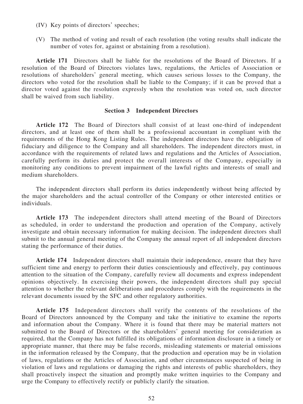- (IV) Key points of directors' speeches;
- (V) The method of voting and result of each resolution (the voting results shall indicate the number of votes for, against or abstaining from a resolution).

**Article 171** Directors shall be liable for the resolutions of the Board of Directors. If a resolution of the Board of Directors violates laws, regulations, the Articles of Association or resolutions of shareholders' general meeting, which causes serious losses to the Company, the directors who voted for the resolution shall be liable to the Company; if it can be proved that a director voted against the resolution expressly when the resolution was voted on, such director shall be waived from such liability.

### **Section 3 Independent Directors**

**Article 172** The Board of Directors shall consist of at least one-third of independent directors, and at least one of them shall be a professional accountant in compliant with the requirements of the Hong Kong Listing Rules. The independent directors have the obligation of fiduciary and diligence to the Company and all shareholders. The independent directors must, in accordance with the requirements of related laws and regulations and the Articles of Association, carefully perform its duties and protect the overall interests of the Company, especially in monitoring any conditions to prevent impairment of the lawful rights and interests of small and medium shareholders.

The independent directors shall perform its duties independently without being affected by the major shareholders and the actual controller of the Company or other interested entities or individuals.

**Article 173** The independent directors shall attend meeting of the Board of Directors as scheduled, in order to understand the production and operation of the Company, actively investigate and obtain necessary information for making decision. The independent directors shall submit to the annual general meeting of the Company the annual report of all independent directors stating the performance of their duties.

**Article 174** Independent directors shall maintain their independence, ensure that they have sufficient time and energy to perform their duties conscientiously and effectively, pay continuous attention to the situation of the Company, carefully review all documents and express independent opinions objectively. In exercising their powers, the independent directors shall pay special attention to whether the relevant deliberations and procedures comply with the requirements in the relevant documents issued by the SFC and other regulatory authorities.

**Article 175** Independent directors shall verify the contents of the resolutions of the Board of Directors announced by the Company and take the initiative to examine the reports and information about the Company. Where it is found that there may be material matters not submitted to the Board of Directors or the shareholders' general meeting for consideration as required, that the Company has not fulfilled its obligations of information disclosure in a timely or appropriate manner, that there may be false records, misleading statements or material omissions in the information released by the Company, that the production and operation may be in violation of laws, regulations or the Articles of Association, and other circumstances suspected of being in violation of laws and regulations or damaging the rights and interests of public shareholders, they shall proactively inspect the situation and promptly make written inquiries to the Company and urge the Company to effectively rectify or publicly clarify the situation.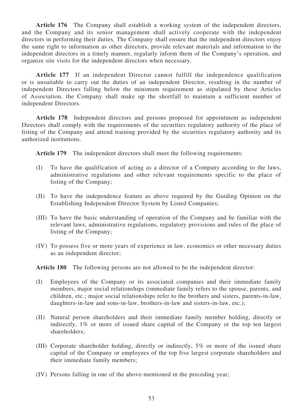**Article 176** The Company shall establish a working system of the independent directors, and the Company and its senior management shall actively cooperate with the independent directors in performing their duties. The Company shall ensure that the independent directors enjoy the same right to information as other directors, provide relevant materials and information to the independent directors in a timely manner, regularly inform them of the Company's operation, and organize site visits for the independent directors when necessary.

**Article 177** If an independent Director cannot fulfill the independence qualification or is unsuitable to carry out the duties of an independent Director, resulting in the number of independent Directors falling below the minimum requirement as stipulated by these Articles of Association, the Company shall make up the shortfall to maintain a sufficient number of independent Directors.

**Article 178** Independent directors and persons proposed for appointment as independent Directors shall comply with the requirements of the securities regulatory authority of the place of listing of the Company and attend training provided by the securities regulatory authority and its authorized institutions.

**Article 179** The independent directors shall meet the following requirements:

- (I) To have the qualification of acting as a director of a Company according to the laws, administrative regulations and other relevant requirements specific to the place of listing of the Company;
- (II) To have the independence feature as above required by the Guiding Opinion on the Establishing Independent Director System by Listed Companies;
- (III) To have the basic understanding of operation of the Company and be familiar with the relevant laws, administrative regulations, regulatory provisions and rules of the place of listing of the Company;
- (IV) To possess five or more years of experience in law, economics or other necessary duties as an independent director;

**Article 180** The following persons are not allowed to be the independent director:

- (I) Employees of the Company or its associated companies and their immediate family members, major social relationships (immediate family refers to the spouse, parents, and children, etc.; major social relationships refer to the brothers and sisters, parents-in-law, daughters-in-law and sons-in-law, brothers-in-law and sisters-in-law, etc.);
- (II) Natural person shareholders and their immediate family member holding, directly or indirectly, 1% or more of issued share capital of the Company or the top ten largest shareholders;
- (III) Corporate shareholder holding, directly or indirectly, 5% or more of the issued share capital of the Company or employees of the top five largest corporate shareholders and their immediate family members;
- (IV) Persons falling in one of the above-mentioned in the preceding year;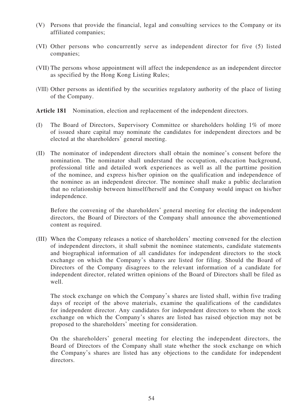- (V) Persons that provide the financial, legal and consulting services to the Company or its affiliated companies;
- (VI) Other persons who concurrently serve as independent director for five (5) listed companies;
- (VII) The persons whose appointment will affect the independence as an independent director as specified by the Hong Kong Listing Rules;
- (VIII) Other persons as identified by the securities regulatory authority of the place of listing of the Company.

Article 181 Nomination, election and replacement of the independent directors.

- (I) The Board of Directors, Supervisory Committee or shareholders holding 1% of more of issued share capital may nominate the candidates for independent directors and be elected at the shareholders' general meeting.
- (II) The nominator of independent directors shall obtain the nominee's consent before the nomination. The nominator shall understand the occupation, education background, professional title and detailed work experiences as well as all the parttime position of the nominee, and express his/her opinion on the qualification and independence of the nominee as an independent director. The nominee shall make a public declaration that no relationship between himself/herself and the Company would impact on his/her independence.

Before the convening of the shareholders' general meeting for electing the independent directors, the Board of Directors of the Company shall announce the abovementioned content as required.

(III) When the Company releases a notice of shareholders' meeting convened for the election of independent directors, it shall submit the nominee statements, candidate statements and biographical information of all candidates for independent directors to the stock exchange on which the Company's shares are listed for filing. Should the Board of Directors of the Company disagrees to the relevant information of a candidate for independent director, related written opinions of the Board of Directors shall be filed as well.

The stock exchange on which the Company's shares are listed shall, within five trading days of receipt of the above materials, examine the qualifications of the candidates for independent director. Any candidates for independent directors to whom the stock exchange on which the Company's shares are listed has raised objection may not be proposed to the shareholders' meeting for consideration.

On the shareholders' general meeting for electing the independent directors, the Board of Directors of the Company shall state whether the stock exchange on which the Company's shares are listed has any objections to the candidate for independent directors.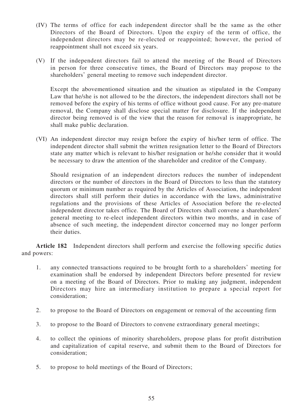- (IV) The terms of office for each independent director shall be the same as the other Directors of the Board of Directors. Upon the expiry of the term of office, the independent directors may be re-elected or reappointed; however, the period of reappointment shall not exceed six years.
- (V) If the independent directors fail to attend the meeting of the Board of Directors in person for three consecutive times, the Board of Directors may propose to the shareholders' general meeting to remove such independent director.

Except the abovementioned situation and the situation as stipulated in the Company Law that he/she is not allowed to be the directors, the independent directors shall not be removed before the expiry of his terms of office without good cause. For any pre-mature removal, the Company shall disclose special matter for disclosure. If the independent director being removed is of the view that the reason for removal is inappropriate, he shall make public declaration.

(VI) An independent director may resign before the expiry of his/her term of office. The independent director shall submit the written resignation letter to the Board of Directors state any matter which is relevant to his/her resignation or he/she consider that it would be necessary to draw the attention of the shareholder and creditor of the Company.

Should resignation of an independent directors reduces the number of independent directors or the number of directors in the Board of Directors to less than the statutory quorum or minimum number as required by the Articles of Association, the independent directors shall still perform their duties in accordance with the laws, administrative regulations and the provisions of these Articles of Association before the re-elected independent director takes office. The Board of Directors shall convene a shareholders' general meeting to re-elect independent directors within two months, and in case of absence of such meeting, the independent director concerned may no longer perform their duties.

**Article 182** Independent directors shall perform and exercise the following specific duties and powers:

- 1. any connected transactions required to be brought forth to a shareholders' meeting for examination shall be endorsed by independent Directors before presented for review on a meeting of the Board of Directors. Prior to making any judgment, independent Directors may hire an intermediary institution to prepare a special report for consideration;
- 2. to propose to the Board of Directors on engagement or removal of the accounting firm
- 3. to propose to the Board of Directors to convene extraordinary general meetings;
- 4. to collect the opinions of minority shareholders, propose plans for profit distribution and capitalization of capital reserve, and submit them to the Board of Directors for consideration;
- 5. to propose to hold meetings of the Board of Directors;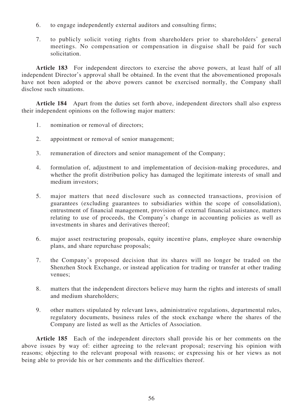- 6. to engage independently external auditors and consulting firms;
- 7. to publicly solicit voting rights from shareholders prior to shareholders' general meetings. No compensation or compensation in disguise shall be paid for such solicitation.

**Article 183** For independent directors to exercise the above powers, at least half of all independent Director's approval shall be obtained. In the event that the abovementioned proposals have not been adopted or the above powers cannot be exercised normally, the Company shall disclose such situations.

**Article 184** Apart from the duties set forth above, independent directors shall also express their independent opinions on the following major matters:

- 1. nomination or removal of directors;
- 2. appointment or removal of senior management;
- 3. remuneration of directors and senior management of the Company;
- 4. formulation of, adjustment to and implementation of decision-making procedures, and whether the profit distribution policy has damaged the legitimate interests of small and medium investors;
- 5. major matters that need disclosure such as connected transactions, provision of guarantees (excluding guarantees to subsidiaries within the scope of consolidation), entrustment of financial management, provision of external financial assistance, matters relating to use of proceeds, the Company's change in accounting policies as well as investments in shares and derivatives thereof;
- 6. major asset restructuring proposals, equity incentive plans, employee share ownership plans, and share repurchase proposals;
- 7. the Company's proposed decision that its shares will no longer be traded on the Shenzhen Stock Exchange, or instead application for trading or transfer at other trading venues;
- 8. matters that the independent directors believe may harm the rights and interests of small and medium shareholders;
- 9. other matters stipulated by relevant laws, administrative regulations, departmental rules, regulatory documents, business rules of the stock exchange where the shares of the Company are listed as well as the Articles of Association.

**Article 185** Each of the independent directors shall provide his or her comments on the above issues by way of: either agreeing to the relevant proposal; reserving his opinion with reasons; objecting to the relevant proposal with reasons; or expressing his or her views as not being able to provide his or her comments and the difficulties thereof.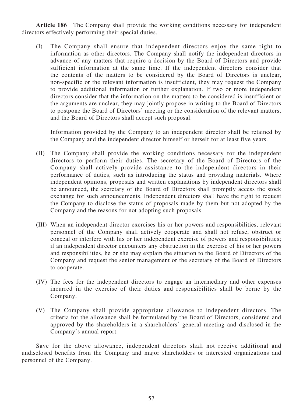**Article 186** The Company shall provide the working conditions necessary for independent directors effectively performing their special duties.

(I) The Company shall ensure that independent directors enjoy the same right to information as other directors. The Company shall notify the independent directors in advance of any matters that require a decision by the Board of Directors and provide sufficient information at the same time. If the independent directors consider that the contents of the matters to be considered by the Board of Directors is unclear, non-specific or the relevant information is insufficient, they may request the Company to provide additional information or further explanation. If two or more independent directors consider that the information on the matters to be considered is insufficient or the arguments are unclear, they may jointly propose in writing to the Board of Directors to postpone the Board of Directors' meeting or the consideration of the relevant matters, and the Board of Directors shall accept such proposal.

Information provided by the Company to an independent director shall be retained by the Company and the independent director himself or herself for at least five years.

- (II) The Company shall provide the working conditions necessary for the independent directors to perform their duties. The secretary of the Board of Directors of the Company shall actively provide assistance to the independent directors in their performance of duties, such as introducing the status and providing materials. Where independent opinions, proposals and written explanations by independent directors shall be announced, the secretary of the Board of Directors shall promptly access the stock exchange for such announcements. Independent directors shall have the right to request the Company to disclose the status of proposals made by them but not adopted by the Company and the reasons for not adopting such proposals.
- (III) When an independent director exercises his or her powers and responsibilities, relevant personnel of the Company shall actively cooperate and shall not refuse, obstruct or conceal or interfere with his or her independent exercise of powers and responsibilities; if an independent director encounters any obstruction in the exercise of his or her powers and responsibilities, he or she may explain the situation to the Board of Directors of the Company and request the senior management or the secretary of the Board of Directors to cooperate.
- (IV) The fees for the independent directors to engage an intermediary and other expenses incurred in the exercise of their duties and responsibilities shall be borne by the Company.
- (V) The Company shall provide appropriate allowance to independent directors. The criteria for the allowance shall be formulated by the Board of Directors, considered and approved by the shareholders in a shareholders' general meeting and disclosed in the Company's annual report.

Save for the above allowance, independent directors shall not receive additional and undisclosed benefits from the Company and major shareholders or interested organizations and personnel of the Company.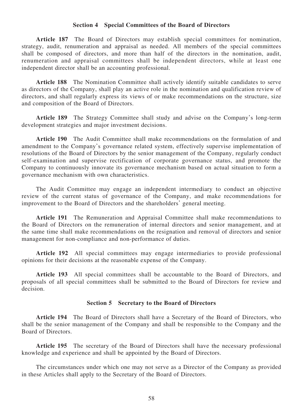#### **Section 4 Special Committees of the Board of Directors**

**Article 187** The Board of Directors may establish special committees for nomination, strategy, audit, renumeration and appraisal as needed. All members of the special committees shall be composed of directors, and more than half of the directors in the nomination, audit, renumeration and appraisal committees shall be independent directors, while at least one independent director shall be an accounting professional.

**Article 188** The Nomination Committee shall actively identify suitable candidates to serve as directors of the Company, shall play an active role in the nomination and qualification review of directors, and shall regularly express its views of or make recommendations on the structure, size and composition of the Board of Directors.

**Article 189** The Strategy Committee shall study and advise on the Company's long-term development strategies and major investment decisions.

**Article 190** The Audit Committee shall make recommendations on the formulation of and amendment to the Company's governance related system, effectively supervise implementation of resolutions of the Board of Directors by the senior management of the Company, regularly conduct self-examination and supervise rectification of corporate governance status, and promote the Company to continuously innovate its governance mechanism based on actual situation to form a governance mechanism with own characteristics.

The Audit Committee may engage an independent intermediary to conduct an objective review of the current status of governance of the Company, and make recommendations for improvement to the Board of Directors and the shareholders' general meeting.

**Article 191** The Remuneration and Appraisal Committee shall make recommendations to the Board of Directors on the remuneration of internal directors and senior management, and at the same time shall make recommendations on the resignation and removal of directors and senior management for non-compliance and non-performance of duties.

**Article 192** All special committees may engage intermediaries to provide professional opinions for their decisions at the reasonable expense of the Company.

**Article 193** All special committees shall be accountable to the Board of Directors, and proposals of all special committees shall be submitted to the Board of Directors for review and decision.

### **Section 5 Secretary to the Board of Directors**

**Article 194** The Board of Directors shall have a Secretary of the Board of Directors, who shall be the senior management of the Company and shall be responsible to the Company and the Board of Directors.

**Article 195** The secretary of the Board of Directors shall have the necessary professional knowledge and experience and shall be appointed by the Board of Directors.

The circumstances under which one may not serve as a Director of the Company as provided in these Articles shall apply to the Secretary of the Board of Directors.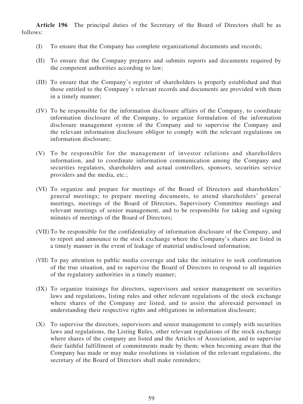**Article 196** The principal duties of the Secretary of the Board of Directors shall be as follows:

- (I) To ensure that the Company has complete organizational documents and records;
- (II) To ensure that the Company prepares and submits reports and documents required by the competent authorities according to law;
- (III) To ensure that the Company's register of shareholders is properly established and that those entitled to the Company's relevant records and documents are provided with them in a timely manner;
- (IV) To be responsible for the information disclosure affairs of the Company, to coordinate information disclosure of the Company, to organize formulation of the information disclosure management system of the Company and to supervise the Company and the relevant information disclosure obligor to comply with the relevant regulations on information disclosure;
- (V) To be responsible for the management of investor relations and shareholders information, and to coordinate information communication among the Company and securities regulators, shareholders and actual controllers, sponsors, securities service providers and the media, etc.;
- (VI) To organize and prepare for meetings of the Board of Directors and shareholders' general meetings; to prepare meeting documents, to attend shareholders' general meetings, meetings of the Board of Directors, Supervisory Committee meetings and relevant meetings of senior management, and to be responsible for taking and signing minutes of meetings of the Board of Directors;
- (VII) To be responsible for the confidentiality of information disclosure of the Company, and to report and announce to the stock exchange where the Company's shares are listed in a timely manner in the event of leakage of material undisclosed information;
- (VIII) To pay attention to public media coverage and take the initiative to seek confirmation of the true situation, and to supervise the Board of Directors to respond to all inquiries of the regulatory authorities in a timely manner;
- (IX) To organize trainings for directors, supervisors and senior management on securities laws and regulations, listing rules and other relevant regulations of the stock exchange where shares of the Company are listed, and to assist the aforesaid personnel in understanding their respective rights and obligations in information disclosure;
- (X) To supervise the directors, supervisors and senior management to comply with securities laws and regulations, the Listing Rules, other relevant regulations of the stock exchange where shares of the company are listed and the Articles of Association, and to supervise their faithful fulfillment of commitments made by them; when becoming aware that the Company has made or may make resolutions in violation of the relevant regulations, the secretary of the Board of Directors shall make reminders;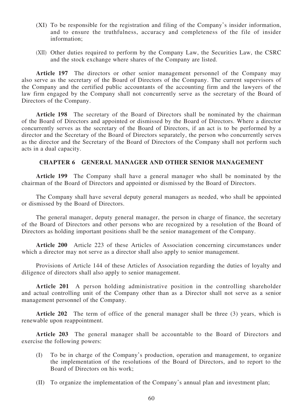- (XI) To be responsible for the registration and filing of the Company's insider information, and to ensure the truthfulness, accuracy and completeness of the file of insider information;
- (XII) Other duties required to perform by the Company Law, the Securities Law, the CSRC and the stock exchange where shares of the Company are listed.

**Article 197** The directors or other senior management personnel of the Company may also serve as the secretary of the Board of Directors of the Company. The current supervisors of the Company and the certified public accountants of the accounting firm and the lawyers of the law firm engaged by the Company shall not concurrently serve as the secretary of the Board of Directors of the Company.

**Article 198** The secretary of the Board of Directors shall be nominated by the chairman of the Board of Directors and appointed or dismissed by the Board of Directors. Where a director concurrently serves as the secretary of the Board of Directors, if an act is to be performed by a director and the Secretary of the Board of Directors separately, the person who concurrently serves as the director and the Secretary of the Board of Directors of the Company shall not perform such acts in a dual capacity.

### **CHAPTER 6 GENERAL MANAGER AND OTHER SENIOR MANAGEMENT**

**Article 199** The Company shall have a general manager who shall be nominated by the chairman of the Board of Directors and appointed or dismissed by the Board of Directors.

The Company shall have several deputy general managers as needed, who shall be appointed or dismissed by the Board of Directors.

The general manager, deputy general manager, the person in charge of finance, the secretary of the Board of Directors and other persons who are recognized by a resolution of the Board of Directors as holding important positions shall be the senior management of the Company.

**Article 200** Article 223 of these Articles of Association concerning circumstances under which a director may not serve as a director shall also apply to senior management.

Provisions of Article 144 of these Articles of Association regarding the duties of loyalty and diligence of directors shall also apply to senior management.

**Article 201** A person holding administrative position in the controlling shareholder and actual controlling unit of the Company other than as a Director shall not serve as a senior management personnel of the Company.

**Article 202** The term of office of the general manager shall be three (3) years, which is renewable upon reappointment.

**Article 203** The general manager shall be accountable to the Board of Directors and exercise the following powers:

- (I) To be in charge of the Company's production, operation and management, to organize the implementation of the resolutions of the Board of Directors, and to report to the Board of Directors on his work;
- (II) To organize the implementation of the Company's annual plan and investment plan;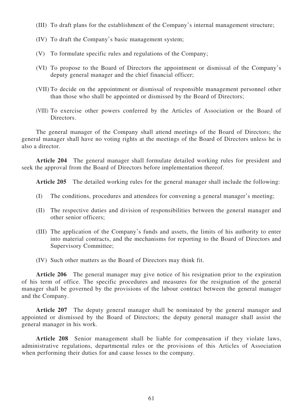- (III) To draft plans for the establishment of the Company's internal management structure;
- (IV) To draft the Company's basic management system;
- (V) To formulate specific rules and regulations of the Company;
- (VI) To propose to the Board of Directors the appointment or dismissal of the Company's deputy general manager and the chief financial officer;
- (VII) To decide on the appointment or dismissal of responsible management personnel other than those who shall be appointed or dismissed by the Board of Directors;
- (VIII) To exercise other powers conferred by the Articles of Association or the Board of Directors.

The general manager of the Company shall attend meetings of the Board of Directors; the general manager shall have no voting rights at the meetings of the Board of Directors unless he is also a director.

**Article 204** The general manager shall formulate detailed working rules for president and seek the approval from the Board of Directors before implementation thereof.

**Article 205** The detailed working rules for the general manager shall include the following:

- (I) The conditions, procedures and attendees for convening a general manager's meeting;
- (II) The respective duties and division of responsibilities between the general manager and other senior officers;
- (III) The application of the Company's funds and assets, the limits of his authority to enter into material contracts, and the mechanisms for reporting to the Board of Directors and Supervisory Committee;
- (IV) Such other matters as the Board of Directors may think fit.

**Article 206** The general manager may give notice of his resignation prior to the expiration of his term of office. The specific procedures and measures for the resignation of the general manager shall be governed by the provisions of the labour contract between the general manager and the Company.

**Article 207** The deputy general manager shall be nominated by the general manager and appointed or dismissed by the Board of Directors; the deputy general manager shall assist the general manager in his work.

**Article 208** Senior management shall be liable for compensation if they violate laws, administrative regulations, departmental rules or the provisions of this Articles of Association when performing their duties for and cause losses to the company.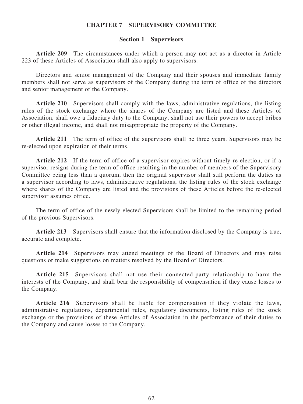### **CHAPTER 7 SUPERVISORY COMMITTEE**

#### **Section 1 Supervisors**

**Article 209** The circumstances under which a person may not act as a director in Article 223 of these Articles of Association shall also apply to supervisors.

Directors and senior management of the Company and their spouses and immediate family members shall not serve as supervisors of the Company during the term of office of the directors and senior management of the Company.

**Article 210** Supervisors shall comply with the laws, administrative regulations, the listing rules of the stock exchange where the shares of the Company are listed and these Articles of Association, shall owe a fiduciary duty to the Company, shall not use their powers to accept bribes or other illegal income, and shall not misappropriate the property of the Company.

**Article 211** The term of office of the supervisors shall be three years. Supervisors may be re-elected upon expiration of their terms.

**Article 212** If the term of office of a supervisor expires without timely re-election, or if a supervisor resigns during the term of office resulting in the number of members of the Supervisory Committee being less than a quorum, then the original supervisor shall still perform the duties as a supervisor according to laws, administrative regulations, the listing rules of the stock exchange where shares of the Company are listed and the provisions of these Articles before the re-elected supervisor assumes office.

The term of office of the newly elected Supervisors shall be limited to the remaining period of the previous Supervisors.

**Article 213** Supervisors shall ensure that the information disclosed by the Company is true, accurate and complete.

**Article 214** Supervisors may attend meetings of the Board of Directors and may raise questions or make suggestions on matters resolved by the Board of Directors.

**Article 215** Supervisors shall not use their connected-party relationship to harm the interests of the Company, and shall bear the responsibility of compensation if they cause losses to the Company.

**Article 216** Supervisors shall be liable for compensation if they violate the laws, administrative regulations, departmental rules, regulatory documents, listing rules of the stock exchange or the provisions of these Articles of Association in the performance of their duties to the Company and cause losses to the Company.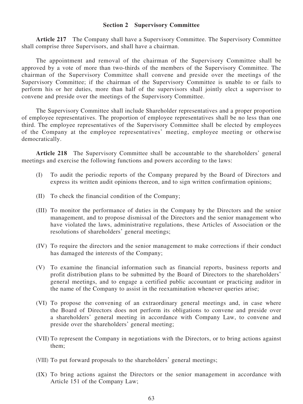### **Section 2 Supervisory Committee**

**Article 217** The Company shall have a Supervisory Committee. The Supervisory Committee shall comprise three Supervisors, and shall have a chairman.

The appointment and removal of the chairman of the Supervisory Committee shall be approved by a vote of more than two-thirds of the members of the Supervisory Committee. The chairman of the Supervisory Committee shall convene and preside over the meetings of the Supervisory Committee; if the chairman of the Supervisory Committee is unable to or fails to perform his or her duties, more than half of the supervisors shall jointly elect a supervisor to convene and preside over the meetings of the Supervisory Committee.

The Supervisory Committee shall include Shareholder representatives and a proper proportion of employee representatives. The proportion of employee representatives shall be no less than one third. The employee representatives of the Supervisory Committee shall be elected by employees of the Company at the employee representatives' meeting, employee meeting or otherwise democratically.

**Article 218** The Supervisory Committee shall be accountable to the shareholders' general meetings and exercise the following functions and powers according to the laws:

- (I) To audit the periodic reports of the Company prepared by the Board of Directors and express its written audit opinions thereon, and to sign written confirmation opinions;
- (II) To check the financial condition of the Company;
- (III) To monitor the performance of duties in the Company by the Directors and the senior management, and to propose dismissal of the Directors and the senior management who have violated the laws, administrative regulations, these Articles of Association or the resolutions of shareholders' general meetings;
- (IV) To require the directors and the senior management to make corrections if their conduct has damaged the interests of the Company;
- (V) To examine the financial information such as financial reports, business reports and profit distribution plans to be submitted by the Board of Directors to the shareholders' general meetings, and to engage a certified public accountant or practicing auditor in the name of the Company to assist in the reexamination whenever queries arise;
- (VI) To propose the convening of an extraordinary general meetings and, in case where the Board of Directors does not perform its obligations to convene and preside over a shareholders' general meeting in accordance with Company Law, to convene and preside over the shareholders' general meeting;
- (VII) To represent the Company in negotiations with the Directors, or to bring actions against them;
- (VIII) To put forward proposals to the shareholders' general meetings;
- (IX) To bring actions against the Directors or the senior management in accordance with Article 151 of the Company Law;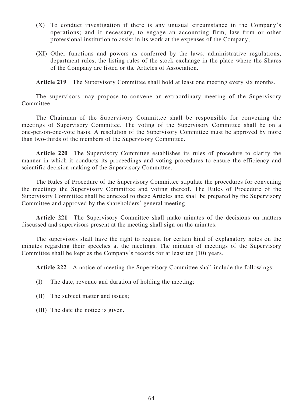- (X) To conduct investigation if there is any unusual circumstance in the Company's operations; and if necessary, to engage an accounting firm, law firm or other professional institution to assist in its work at the expenses of the Company;
- (XI) Other functions and powers as conferred by the laws, administrative regulations, department rules, the listing rules of the stock exchange in the place where the Shares of the Company are listed or the Articles of Association.

**Article 219** The Supervisory Committee shall hold at least one meeting every six months.

The supervisors may propose to convene an extraordinary meeting of the Supervisory Committee.

The Chairman of the Supervisory Committee shall be responsible for convening the meetings of Supervisory Committee. The voting of the Supervisory Committee shall be on a one-person-one-vote basis. A resolution of the Supervisory Committee must be approved by more than two-thirds of the members of the Supervisory Committee.

**Article 220** The Supervisory Committee establishes its rules of procedure to clarify the manner in which it conducts its proceedings and voting procedures to ensure the efficiency and scientific decision-making of the Supervisory Committee.

The Rules of Procedure of the Supervisory Committee stipulate the procedures for convening the meetings the Supervisory Committee and voting thereof. The Rules of Procedure of the Supervisory Committee shall be annexed to these Articles and shall be prepared by the Supervisory Committee and approved by the shareholders' general meeting.

Article 221 The Supervisory Committee shall make minutes of the decisions on matters discussed and supervisors present at the meeting shall sign on the minutes.

The supervisors shall have the right to request for certain kind of explanatory notes on the minutes regarding their speeches at the meetings. The minutes of meetings of the Supervisory Committee shall be kept as the Company's records for at least ten (10) years.

**Article 222** A notice of meeting the Supervisory Committee shall include the followings:

- (I) The date, revenue and duration of holding the meeting;
- (II) The subject matter and issues;
- (III) The date the notice is given.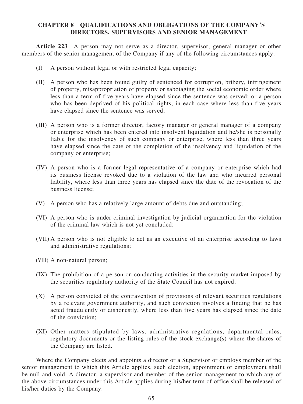# **CHAPTER 8 QUALIFICATIONS AND OBLIGATIONS OF THE COMPANY'S DIRECTORS, SUPERVISORS AND SENIOR MANAGEMENT**

**Article 223** A person may not serve as a director, supervisor, general manager or other members of the senior management of the Company if any of the following circumstances apply:

- (I) A person without legal or with restricted legal capacity;
- (II) A person who has been found guilty of sentenced for corruption, bribery, infringement of property, misappropriation of property or sabotaging the social economic order where less than a term of five years have elapsed since the sentence was served; or a person who has been deprived of his political rights, in each case where less than five years have elapsed since the sentence was served;
- (III) A person who is a former director, factory manager or general manager of a company or enterprise which has been entered into insolvent liquidation and he/she is personally liable for the insolvency of such company or enterprise, where less than three years have elapsed since the date of the completion of the insolvency and liquidation of the company or enterprise;
- (IV) A person who is a former legal representative of a company or enterprise which had its business license revoked due to a violation of the law and who incurred personal liability, where less than three years has elapsed since the date of the revocation of the business license;
- (V) A person who has a relatively large amount of debts due and outstanding;
- (VI) A person who is under criminal investigation by judicial organization for the violation of the criminal law which is not yet concluded;
- (VII) A person who is not eligible to act as an executive of an enterprise according to laws and administrative regulations;
- (VIII) A non-natural person;
- (IX) The prohibition of a person on conducting activities in the security market imposed by the securities regulatory authority of the State Council has not expired;
- (X) A person convicted of the contravention of provisions of relevant securities regulations by a relevant government authority, and such conviction involves a finding that he has acted fraudulently or dishonestly, where less than five years has elapsed since the date of the conviction;
- (XI) Other matters stipulated by laws, administrative regulations, departmental rules, regulatory documents or the listing rules of the stock exchange(s) where the shares of the Company are listed.

Where the Company elects and appoints a director or a Supervisor or employs member of the senior management to which this Article applies, such election, appointment or employment shall be null and void. A director, a supervisor and member of the senior management to which any of the above circumstances under this Article applies during his/her term of office shall be released of his/her duties by the Company.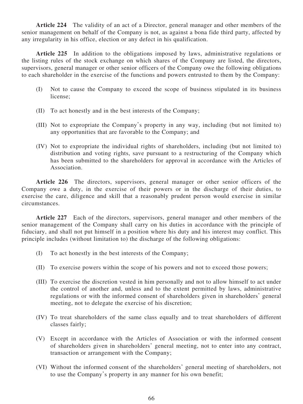**Article 224** The validity of an act of a Director, general manager and other members of the senior management on behalf of the Company is not, as against a bona fide third party, affected by any irregularity in his office, election or any defect in his qualification.

**Article 225** In addition to the obligations imposed by laws, administrative regulations or the listing rules of the stock exchange on which shares of the Company are listed, the directors, supervisors, general manager or other senior officers of the Company owe the following obligations to each shareholder in the exercise of the functions and powers entrusted to them by the Company:

- (I) Not to cause the Company to exceed the scope of business stipulated in its business license;
- (II) To act honestly and in the best interests of the Company;
- (III) Not to expropriate the Company's property in any way, including (but not limited to) any opportunities that are favorable to the Company; and
- (IV) Not to expropriate the individual rights of shareholders, including (but not limited to) distribution and voting rights, save pursuant to a restructuring of the Company which has been submitted to the shareholders for approval in accordance with the Articles of Association.

**Article 226** The directors, supervisors, general manager or other senior officers of the Company owe a duty, in the exercise of their powers or in the discharge of their duties, to exercise the care, diligence and skill that a reasonably prudent person would exercise in similar circumstances.

**Article 227** Each of the directors, supervisors, general manager and other members of the senior management of the Company shall carry on his duties in accordance with the principle of fiduciary, and shall not put himself in a position where his duty and his interest may conflict. This principle includes (without limitation to) the discharge of the following obligations:

- (I) To act honestly in the best interests of the Company;
- (II) To exercise powers within the scope of his powers and not to exceed those powers;
- (III) To exercise the discretion vested in him personally and not to allow himself to act under the control of another and, unless and to the extent permitted by laws, administrative regulations or with the informed consent of shareholders given in shareholders' general meeting, not to delegate the exercise of his discretion;
- (IV) To treat shareholders of the same class equally and to treat shareholders of different classes fairly;
- (V) Except in accordance with the Articles of Association or with the informed consent of shareholders given in shareholders' general meeting, not to enter into any contract, transaction or arrangement with the Company;
- (VI) Without the informed consent of the shareholders' general meeting of shareholders, not to use the Company's property in any manner for his own benefit;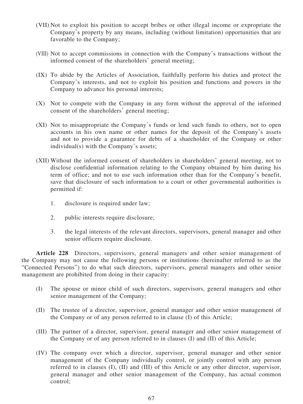- (VII) Not to exploit his position to accept bribes or other illegal income or expropriate the Company's property by any means, including (without limitation) opportunities that are favorable to the Company;
- (VIII) Not to accept commissions in connection with the Company's transactions without the informed consent of the shareholders' general meeting;
- (IX) To abide by the Articles of Association, faithfully perform his duties and protect the Company's interests, and not to exploit his position and functions and powers in the Company to advance his personal interests;
- (X) Not to compete with the Company in any form without the approval of the informed consent of the shareholders' general meeting;
- (XI) Not to misappropriate the Company's funds or lend such funds to others, not to open accounts in his own name or other names for the deposit of the Company's assets and not to provide a guarantee for debts of a shareholder of the Company or other individual(s) with the Company's assets;
- (XII) Without the informed consent of shareholders in shareholders' general meeting, not to disclose confidential information relating to the Company obtained by him during his term of office; and not to use such information other than for the Company's benefit, save that disclosure of such information to a court or other governmental authorities is permitted if:
	- 1. disclosure is required under law;
	- 2. public interests require disclosure;
	- 3. the legal interests of the relevant directors, supervisors, general manager and other senior officers require disclosure.

**Article 228** Directors, supervisors, general managers and other senior management of the Company may not cause the following persons or institutions (hereinafter referred to as the "Connected Persons") to do what such directors, supervisors, general managers and other senior management are prohibited from doing in their capacity:

- (I) The spouse or minor child of such directors, supervisors, general managers and other senior management of the Company;
- (II) The trustee of a director, supervisor, general manager and other senior management of the Company or of any person referred to in clause (I) of this Article;
- (III) The partner of a director, supervisor, general manager and other senior management of the Company or of any person referred to in clauses (I) and (II) of this Article;
- (IV) The company over which a director, supervisor, general manager and other senior management of the Company individually control, or jointly control with any person referred to in clauses (I), (II) and (III) of this Article or any other director, supervisor, general manager and other senior management of the Company, has actual common control;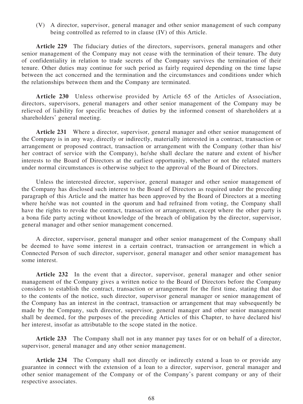(V) A director, supervisor, general manager and other senior management of such company being controlled as referred to in clause (IV) of this Article.

**Article 229** The fiduciary duties of the directors, supervisors, general managers and other senior management of the Company may not cease with the termination of their tenure. The duty of confidentiality in relation to trade secrets of the Company survives the termination of their tenure. Other duties may continue for such period as fairly required depending on the time lapse between the act concerned and the termination and the circumstances and conditions under which the relationships between them and the Company are terminated.

**Article 230** Unless otherwise provided by Article 65 of the Articles of Association, directors, supervisors, general managers and other senior management of the Company may be relieved of liability for specific breaches of duties by the informed consent of shareholders at a shareholders' general meeting.

**Article 231** Where a director, supervisor, general manager and other senior management of the Company is in any way, directly or indirectly, materially interested in a contract, transaction or arrangement or proposed contract, transaction or arrangement with the Company (other than his/ her contract of service with the Company), he/she shall declare the nature and extent of his/her interests to the Board of Directors at the earliest opportunity, whether or not the related matters under normal circumstances is otherwise subject to the approval of the Board of Directors.

Unless the interested director, supervisor, general manager and other senior management of the Company has disclosed such interest to the Board of Directors as required under the preceding paragraph of this Article and the matter has been approved by the Board of Directors at a meeting where he/she was not counted in the quorum and had refrained from voting, the Company shall have the rights to revoke the contract, transaction or arrangement, except where the other party is a bona fide party acting without knowledge of the breach of obligation by the director, supervisor, general manager and other senior management concerned.

A director, supervisor, general manager and other senior management of the Company shall be deemed to have some interest in a certain contract, transaction or arrangement in which a Connected Person of such director, supervisor, general manager and other senior management has some interest.

**Article 232** In the event that a director, supervisor, general manager and other senior management of the Company gives a written notice to the Board of Directors before the Company considers to establish the contract, transaction or arrangement for the first time, stating that due to the contents of the notice, such director, supervisor general manager or senior management of the Company has an interest in the contract, transaction or arrangement that may subsequently be made by the Company, such director, supervisor, general manager and other senior management shall be deemed, for the purposes of the preceding Articles of this Chapter, to have declared his/ her interest, insofar as attributable to the scope stated in the notice.

**Article 233** The Company shall not in any manner pay taxes for or on behalf of a director, supervisor, general manager and any other senior management.

**Article 234** The Company shall not directly or indirectly extend a loan to or provide any guarantee in connect with the extension of a loan to a director, supervisor, general manager and other senior management of the Company or of the Company's parent company or any of their respective associates.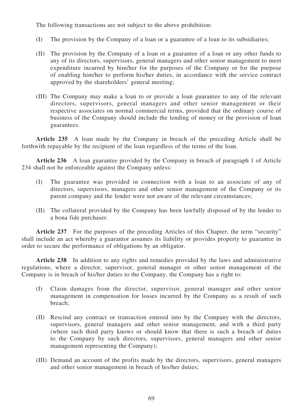The following transactions are not subject to the above prohibition:

- (I) The provision by the Company of a loan or a guarantee of a loan to its subsidiaries;
- (II) The provision by the Company of a loan or a guarantee of a loan or any other funds to any of its directors, supervisors, general managers and other senior management to meet expenditure incurred by him/her for the purposes of the Company or for the purpose of enabling him/her to perform his/her duties, in accordance with the service contract approved by the shareholders' general meeting;
- (III) The Company may make a loan to or provide a loan guarantee to any of the relevant directors, supervisors, general managers and other senior management or their respective associates on normal commercial terms, provided that the ordinary course of business of the Company should include the lending of money or the provision of loan guarantees.

**Article 235** A loan made by the Company in breach of the preceding Article shall be forthwith repayable by the recipient of the loan regardless of the terms of the loan.

**Article 236** A loan guarantee provided by the Company in breach of paragraph 1 of Article 234 shall not be enforceable against the Company unless:

- (I) The guarantee was provided in connection with a loan to an associate of any of directors, supervisors, managers and other senior management of the Company or its parent company and the lender were not aware of the relevant circumstances;
- (II) The collateral provided by the Company has been lawfully disposed of by the lender to a bona fide purchaser.

**Article 237** For the purposes of the preceding Articles of this Chapter, the term "security" shall include an act whereby a guarantor assumes its liability or provides property to guarantee in order to secure the performance of obligations by an obligator.

**Article 238** In addition to any rights and remedies provided by the laws and administrative regulations, where a director, supervisor, general manager or other senior management of the Company is in breach of his/her duties to the Company, the Company has a right to:

- (I) Claim damages from the director, supervisor, general manager and other senior management in compensation for losses incurred by the Company as a result of such breach;
- (II) Rescind any contract or transaction entered into by the Company with the directors, supervisors, general managers and other senior management, and with a third party (where such third party knows or should know that there is such a breach of duties to the Company by such directors, supervisors, general managers and other senior management representing the Company);
- (III) Demand an account of the profits made by the directors, supervisors, general managers and other senior management in breach of his/her duties;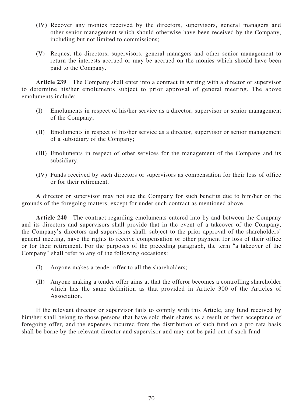- (IV) Recover any monies received by the directors, supervisors, general managers and other senior management which should otherwise have been received by the Company, including but not limited to commissions;
- (V) Request the directors, supervisors, general managers and other senior management to return the interests accrued or may be accrued on the monies which should have been paid to the Company.

**Article 239** The Company shall enter into a contract in writing with a director or supervisor to determine his/her emoluments subject to prior approval of general meeting. The above emoluments include:

- (I) Emoluments in respect of his/her service as a director, supervisor or senior management of the Company;
- (II) Emoluments in respect of his/her service as a director, supervisor or senior management of a subsidiary of the Company;
- (III) Emoluments in respect of other services for the management of the Company and its subsidiary;
- (IV) Funds received by such directors or supervisors as compensation for their loss of office or for their retirement.

A director or supervisor may not sue the Company for such benefits due to him/her on the grounds of the foregoing matters, except for under such contract as mentioned above.

**Article 240** The contract regarding emoluments entered into by and between the Company and its directors and supervisors shall provide that in the event of a takeover of the Company, the Company's directors and supervisors shall, subject to the prior approval of the shareholders' general meeting, have the rights to receive compensation or other payment for loss of their office or for their retirement. For the purposes of the preceding paragraph, the term "a takeover of the Company" shall refer to any of the following occasions:

- (I) Anyone makes a tender offer to all the shareholders;
- (II) Anyone making a tender offer aims at that the offeror becomes a controlling shareholder which has the same definition as that provided in Article 300 of the Articles of Association.

If the relevant director or supervisor fails to comply with this Article, any fund received by him/her shall belong to those persons that have sold their shares as a result of their acceptance of foregoing offer, and the expenses incurred from the distribution of such fund on a pro rata basis shall be borne by the relevant director and supervisor and may not be paid out of such fund.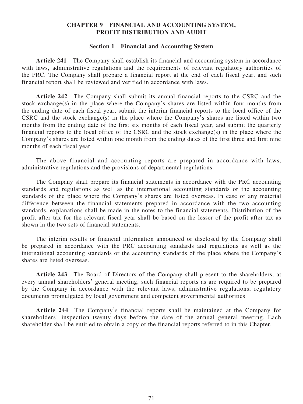## **CHAPTER 9 FINANCIAL AND ACCOUNTING SYSTEM, PROFIT DISTRIBUTION AND AUDIT**

## **Section 1 Financial and Accounting System**

**Article 241** The Company shall establish its financial and accounting system in accordance with laws, administrative regulations and the requirements of relevant regulatory authorities of the PRC. The Company shall prepare a financial report at the end of each fiscal year, and such financial report shall be reviewed and verified in accordance with laws.

**Article 242** The Company shall submit its annual financial reports to the CSRC and the stock exchange(s) in the place where the Company's shares are listed within four months from the ending date of each fiscal year, submit the interim financial reports to the local office of the CSRC and the stock exchange(s) in the place where the Company's shares are listed within two months from the ending date of the first six months of each fiscal year, and submit the quarterly financial reports to the local office of the CSRC and the stock exchange(s) in the place where the Company's shares are listed within one month from the ending dates of the first three and first nine months of each fiscal year.

The above financial and accounting reports are prepared in accordance with laws, administrative regulations and the provisions of departmental regulations.

The Company shall prepare its financial statements in accordance with the PRC accounting standards and regulations as well as the international accounting standards or the accounting standards of the place where the Company's shares are listed overseas. In case of any material difference between the financial statements prepared in accordance with the two accounting standards, explanations shall be made in the notes to the financial statements. Distribution of the profit after tax for the relevant fiscal year shall be based on the lesser of the profit after tax as shown in the two sets of financial statements.

The interim results or financial information announced or disclosed by the Company shall be prepared in accordance with the PRC accounting standards and regulations as well as the international accounting standards or the accounting standards of the place where the Company's shares are listed overseas.

**Article 243** The Board of Directors of the Company shall present to the shareholders, at every annual shareholders' general meeting, such financial reports as are required to be prepared by the Company in accordance with the relevant laws, administrative regulations, regulatory documents promulgated by local government and competent governmental authorities

**Article 244** The Company's financial reports shall be maintained at the Company for shareholders' inspection twenty days before the date of the annual general meeting. Each shareholder shall be entitled to obtain a copy of the financial reports referred to in this Chapter.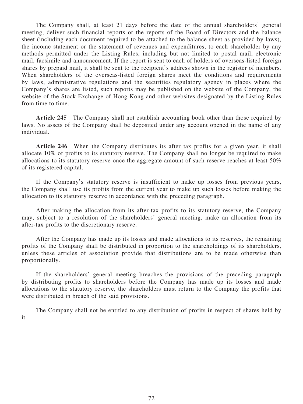The Company shall, at least 21 days before the date of the annual shareholders' general meeting, deliver such financial reports or the reports of the Board of Directors and the balance sheet (including each document required to be attached to the balance sheet as provided by laws), the income statement or the statement of revenues and expenditures, to each shareholder by any methods permitted under the Listing Rules, including but not limited to postal mail, electronic mail, facsimile and announcement. If the report is sent to each of holders of overseas-listed foreign shares by prepaid mail, it shall be sent to the recipient's address shown in the register of members. When shareholders of the overseas-listed foreign shares meet the conditions and requirements by laws, administrative regulations and the securities regulatory agency in places where the Company's shares are listed, such reports may be published on the website of the Company, the website of the Stock Exchange of Hong Kong and other websites designated by the Listing Rules from time to time.

**Article 245** The Company shall not establish accounting book other than those required by laws. No assets of the Company shall be deposited under any account opened in the name of any individual.

**Article 246** When the Company distributes its after tax profits for a given year, it shall allocate 10% of profits to its statutory reserve. The Company shall no longer be required to make allocations to its statutory reserve once the aggregate amount of such reserve reaches at least 50% of its registered capital.

If the Company's statutory reserve is insufficient to make up losses from previous years, the Company shall use its profits from the current year to make up such losses before making the allocation to its statutory reserve in accordance with the preceding paragraph.

After making the allocation from its after-tax profits to its statutory reserve, the Company may, subject to a resolution of the shareholders' general meeting, make an allocation from its after-tax profits to the discretionary reserve.

After the Company has made up its losses and made allocations to its reserves, the remaining profits of the Company shall be distributed in proportion to the shareholdings of its shareholders, unless these articles of association provide that distributions are to be made otherwise than proportionally.

If the shareholders' general meeting breaches the provisions of the preceding paragraph by distributing profits to shareholders before the Company has made up its losses and made allocations to the statutory reserve, the shareholders must return to the Company the profits that were distributed in breach of the said provisions.

The Company shall not be entitled to any distribution of profits in respect of shares held by it.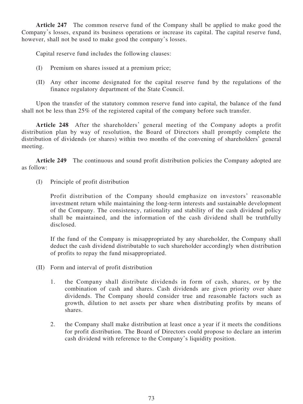**Article 247** The common reserve fund of the Company shall be applied to make good the Company's losses, expand its business operations or increase its capital. The capital reserve fund, however, shall not be used to make good the company's losses.

Capital reserve fund includes the following clauses:

- (I) Premium on shares issued at a premium price;
- (II) Any other income designated for the capital reserve fund by the regulations of the finance regulatory department of the State Council.

Upon the transfer of the statutory common reserve fund into capital, the balance of the fund shall not be less than 25% of the registered capital of the company before such transfer.

**Article 248** After the shareholders' general meeting of the Company adopts a profit distribution plan by way of resolution, the Board of Directors shall promptly complete the distribution of dividends (or shares) within two months of the convening of shareholders' general meeting.

**Article 249** The continuous and sound profit distribution policies the Company adopted are as follow:

(I) Principle of profit distribution

Profit distribution of the Company should emphasize on investors' reasonable investment return while maintaining the long-term interests and sustainable development of the Company. The consistency, rationality and stability of the cash dividend policy shall be maintained, and the information of the cash dividend shall be truthfully disclosed.

If the fund of the Company is misappropriated by any shareholder, the Company shall deduct the cash dividend distributable to such shareholder accordingly when distribution of profits to repay the fund misappropriated.

- (II) Form and interval of profit distribution
	- 1. the Company shall distribute dividends in form of cash, shares, or by the combination of cash and shares. Cash dividends are given priority over share dividends. The Company should consider true and reasonable factors such as growth, dilution to net assets per share when distributing profits by means of shares.
	- 2. the Company shall make distribution at least once a year if it meets the conditions for profit distribution. The Board of Directors could propose to declare an interim cash dividend with reference to the Company's liquidity position.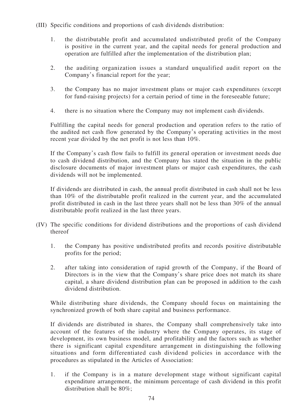- (III) Specific conditions and proportions of cash dividends distribution:
	- 1. the distributable profit and accumulated undistributed profit of the Company is positive in the current year, and the capital needs for general production and operation are fulfilled after the implementation of the distribution plan;
	- 2. the auditing organization issues a standard unqualified audit report on the Company's financial report for the year;
	- 3. the Company has no major investment plans or major cash expenditures (except for fund-raising projects) for a certain period of time in the foreseeable future;
	- 4. there is no situation where the Company may not implement cash dividends.

Fulfilling the capital needs for general production and operation refers to the ratio of the audited net cash flow generated by the Company's operating activities in the most recent year divided by the net profit is not less than 10%.

If the Company's cash flow fails to fulfill its general operation or investment needs due to cash dividend distribution, and the Company has stated the situation in the public disclosure documents of major investment plans or major cash expenditures, the cash dividends will not be implemented.

If dividends are distributed in cash, the annual profit distributed in cash shall not be less than 10% of the distributable profit realized in the current year, and the accumulated profit distributed in cash in the last three years shall not be less than 30% of the annual distributable profit realized in the last three years.

- (IV) The specific conditions for dividend distributions and the proportions of cash dividend thereof
	- 1. the Company has positive undistributed profits and records positive distributable profits for the period;
	- 2. after taking into consideration of rapid growth of the Company, if the Board of Directors is in the view that the Company's share price does not match its share capital, a share dividend distribution plan can be proposed in addition to the cash dividend distribution.

While distributing share dividends, the Company should focus on maintaining the synchronized growth of both share capital and business performance.

If dividends are distributed in shares, the Company shall comprehensively take into account of the features of the industry where the Company operates, its stage of development, its own business model, and profitability and the factors such as whether there is significant capital expenditure arrangement in distinguishing the following situations and form differentiated cash dividend policies in accordance with the procedures as stipulated in the Articles of Association:

1. if the Company is in a mature development stage without significant capital expenditure arrangement, the minimum percentage of cash dividend in this profit distribution shall be 80%;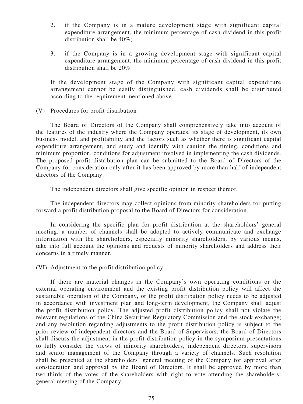- 2. if the Company is in a mature development stage with significant capital expenditure arrangement, the minimum percentage of cash dividend in this profit distribution shall be 40%;
- 3. if the Company is in a growing development stage with significant capital expenditure arrangement, the minimum percentage of cash dividend in this profit distribution shall be 20%.

If the development stage of the Company with significant capital expenditure arrangement cannot be easily distinguished, cash dividends shall be distributed according to the requirement mentioned above.

(V) Procedures for profit distribution

The Board of Directors of the Company shall comprehensively take into account of the features of the industry where the Company operates, its stage of development, its own business model, and profitability and the factors such as whether there is significant capital expenditure arrangement, and study and identify with caution the timing, conditions and minimum proportion, conditions for adjustment involved in implementing the cash dividends. The proposed profit distribution plan can be submitted to the Board of Directors of the Company for consideration only after it has been approved by more than half of independent directors of the Company.

The independent directors shall give specific opinion in respect thereof.

The independent directors may collect opinions from minority shareholders for putting forward a profit distribution proposal to the Board of Directors for consideration.

In considering the specific plan for profit distribution at the shareholders' general meeting, a number of channels shall be adopted to actively communicate and exchange information with the shareholders, especially minority shareholders, by various means, take into full account the opinions and requests of minority shareholders and address their concerns in a timely manner.

(VI) Adjustment to the profit distribution policy

If there are material changes in the Company's own operating conditions or the external operating environment and the existing profit distribution policy will affect the sustainable operation of the Company, or the profit distribution policy needs to be adjusted in accordance with investment plan and long-term development, the Company shall adjust the profit distribution policy. The adjusted profit distribution policy shall not violate the relevant regulations of the China Securities Regulatory Commission and the stock exchange; and any resolution regarding adjustments to the profit distribution policy is subject to the prior review of independent directors and the Board of Supervisors, the Board of Directors shall discuss the adjustment in the profit distribution policy in the symposium presentations to fully consider the views of minority shareholders, independent directors, supervisors and senior management of the Company through a variety of channels. Such resolution shall be presented at the shareholders' general meeting of the Company for approval after consideration and approval by the Board of Directors. It shall be approved by more than two-thirds of the votes of the shareholders with right to vote attending the shareholders' general meeting of the Company.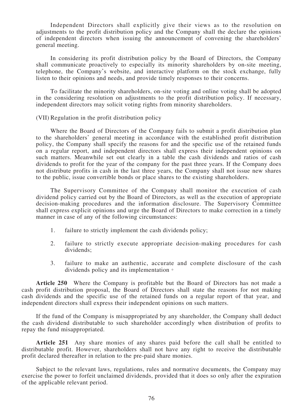Independent Directors shall explicitly give their views as to the resolution on adjustments to the profit distribution policy and the Company shall the declare the opinions of independent directors when issuing the announcement of convening the shareholders' general meeting.

In considering its profit distribution policy by the Board of Directors, the Company shall communicate proactively to especially its minority shareholders by on-site meeting, telephone, the Company's website, and interactive platform on the stock exchange, fully listen to their opinions and needs, and provide timely responses to their concerns.

To facilitate the minority shareholders, on-site voting and online voting shall be adopted in the considering resolution on adjustments to the profit distribution policy. If necessary, independent directors may solicit voting rights from minority shareholders.

#### (VII) Regulation in the profit distribution policy

Where the Board of Directors of the Company fails to submit a profit distribution plan to the shareholders' general meeting in accordance with the established profit distribution policy, the Company shall specify the reasons for and the specific use of the retained funds on a regular report, and independent directors shall express their independent opinions on such matters. Meanwhile set out clearly in a table the cash dividends and ratios of cash dividends to profit for the year of the company for the past three years. If the Company does not distribute profits in cash in the last three years, the Company shall not issue new shares to the public, issue convertible bonds or place shares to the existing shareholders.

The Supervisory Committee of the Company shall monitor the execution of cash dividend policy carried out by the Board of Directors, as well as the execution of appropriate decision-making procedures and the information disclosure. The Supervisory Committee shall express explicit opinions and urge the Board of Directors to make correction in a timely manner in case of any of the following circumstances:

- 1. failure to strictly implement the cash dividends policy;
- 2. failure to strictly execute appropriate decision-making procedures for cash dividends;
- 3. failure to make an authentic, accurate and complete disclosure of the cash dividends policy and its implementation。

**Article 250** Where the Company is profitable but the Board of Directors has not made a cash profit distribution proposal, the Board of Directors shall state the reasons for not making cash dividends and the specific use of the retained funds on a regular report of that year, and independent directors shall express their independent opinions on such matters.

If the fund of the Company is misappropriated by any shareholder, the Company shall deduct the cash dividend distributable to such shareholder accordingly when distribution of profits to repay the fund misappropriated.

**Article 251** Any share monies of any shares paid before the call shall be entitled to distributable profit. However, shareholders shall not have any right to receive the distributable profit declared thereafter in relation to the pre-paid share monies.

Subject to the relevant laws, regulations, rules and normative documents, the Company may exercise the power to forfeit unclaimed dividends, provided that it does so only after the expiration of the applicable relevant period.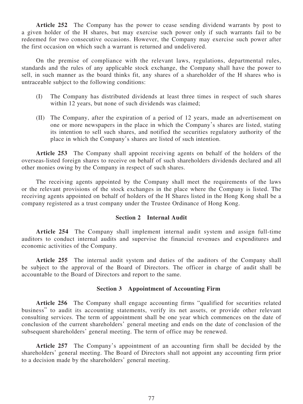**Article 252** The Company has the power to cease sending dividend warrants by post to a given holder of the H shares, but may exercise such power only if such warrants fail to be redeemed for two consecutive occasions. However, the Company may exercise such power after the first occasion on which such a warrant is returned and undelivered.

On the premise of compliance with the relevant laws, regulations, departmental rules, standards and the rules of any applicable stock exchange, the Company shall have the power to sell, in such manner as the board thinks fit, any shares of a shareholder of the H shares who is untraceable subject to the following conditions:

- (I) The Company has distributed dividends at least three times in respect of such shares within 12 years, but none of such dividends was claimed;
- (II) The Company, after the expiration of a period of 12 years, made an advertisement on one or more newspapers in the place in which the Company's shares are listed, stating its intention to sell such shares, and notified the securities regulatory authority of the place in which the Company's shares are listed of such intention.

**Article 253** The Company shall appoint receiving agents on behalf of the holders of the overseas-listed foreign shares to receive on behalf of such shareholders dividends declared and all other monies owing by the Company in respect of such shares.

The receiving agents appointed by the Company shall meet the requirements of the laws or the relevant provisions of the stock exchanges in the place where the Company is listed. The receiving agents appointed on behalf of holders of the H Shares listed in the Hong Kong shall be a company registered as a trust company under the Trustee Ordinance of Hong Kong.

#### **Section 2 Internal Audit**

**Article 254** The Company shall implement internal audit system and assign full-time auditors to conduct internal audits and supervise the financial revenues and expenditures and economic activities of the Company.

**Article 255** The internal audit system and duties of the auditors of the Company shall be subject to the approval of the Board of Directors. The officer in charge of audit shall be accountable to the Board of Directors and report to the same.

#### **Section 3 Appointment of Accounting Firm**

**Article 256** The Company shall engage accounting firms "qualified for securities related business" to audit its accounting statements, verify its net assets, or provide other relevant consulting services. The term of appointment shall be one year which commences on the date of conclusion of the current shareholders' general meeting and ends on the date of conclusion of the subsequent shareholders' general meeting. The term of office may be renewed.

**Article 257** The Company's appointment of an accounting firm shall be decided by the shareholders' general meeting. The Board of Directors shall not appoint any accounting firm prior to a decision made by the shareholders' general meeting.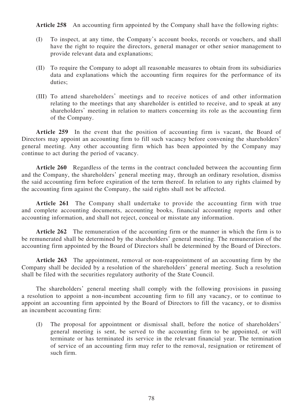**Article 258** An accounting firm appointed by the Company shall have the following rights:

- (I) To inspect, at any time, the Company's account books, records or vouchers, and shall have the right to require the directors, general manager or other senior management to provide relevant data and explanations;
- (II) To require the Company to adopt all reasonable measures to obtain from its subsidiaries data and explanations which the accounting firm requires for the performance of its duties;
- (III) To attend shareholders' meetings and to receive notices of and other information relating to the meetings that any shareholder is entitled to receive, and to speak at any shareholders' meeting in relation to matters concerning its role as the accounting firm of the Company.

**Article 259** In the event that the position of accounting firm is vacant, the Board of Directors may appoint an accounting firm to fill such vacancy before convening the shareholders' general meeting. Any other accounting firm which has been appointed by the Company may continue to act during the period of vacancy.

**Article 260** Regardless of the terms in the contract concluded between the accounting firm and the Company, the shareholders' general meeting may, through an ordinary resolution, dismiss the said accounting firm before expiration of the term thereof. In relation to any rights claimed by the accounting firm against the Company, the said rights shall not be affected.

**Article 261** The Company shall undertake to provide the accounting firm with true and complete accounting documents, accounting books, financial accounting reports and other accounting information, and shall not reject, conceal or misstate any information.

**Article 262** The remuneration of the accounting firm or the manner in which the firm is to be remunerated shall be determined by the shareholders' general meeting. The remuneration of the accounting firm appointed by the Board of Directors shall be determined by the Board of Directors.

**Article 263** The appointment, removal or non-reappointment of an accounting firm by the Company shall be decided by a resolution of the shareholders' general meeting. Such a resolution shall be filed with the securities regulatory authority of the State Council.

The shareholders' general meeting shall comply with the following provisions in passing a resolution to appoint a non-incumbent accounting firm to fill any vacancy, or to continue to appoint an accounting firm appointed by the Board of Directors to fill the vacancy, or to dismiss an incumbent accounting firm:

(I) The proposal for appointment or dismissal shall, before the notice of shareholders' general meeting is sent, be served to the accounting firm to be appointed, or will terminate or has terminated its service in the relevant financial year. The termination of service of an accounting firm may refer to the removal, resignation or retirement of such firm.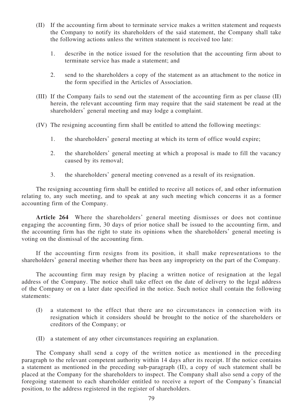- (II) If the accounting firm about to terminate service makes a written statement and requests the Company to notify its shareholders of the said statement, the Company shall take the following actions unless the written statement is received too late:
	- 1. describe in the notice issued for the resolution that the accounting firm about to terminate service has made a statement; and
	- 2. send to the shareholders a copy of the statement as an attachment to the notice in the form specified in the Articles of Association.
- (III) If the Company fails to send out the statement of the accounting firm as per clause (II) herein, the relevant accounting firm may require that the said statement be read at the shareholders' general meeting and may lodge a complaint.
- (IV) The resigning accounting firm shall be entitled to attend the following meetings:
	- 1. the shareholders' general meeting at which its term of office would expire;
	- 2. the shareholders' general meeting at which a proposal is made to fill the vacancy caused by its removal;
	- 3. the shareholders' general meeting convened as a result of its resignation.

The resigning accounting firm shall be entitled to receive all notices of, and other information relating to, any such meeting, and to speak at any such meeting which concerns it as a former accounting firm of the Company.

**Article 264** Where the shareholders' general meeting dismisses or does not continue engaging the accounting firm, 30 days of prior notice shall be issued to the accounting firm, and the accounting firm has the right to state its opinions when the shareholders' general meeting is voting on the dismissal of the accounting firm.

If the accounting firm resigns from its position, it shall make representations to the shareholders' general meeting whether there has been any impropriety on the part of the Company.

The accounting firm may resign by placing a written notice of resignation at the legal address of the Company. The notice shall take effect on the date of delivery to the legal address of the Company or on a later date specified in the notice. Such notice shall contain the following statements:

- (I) a statement to the effect that there are no circumstances in connection with its resignation which it considers should be brought to the notice of the shareholders or creditors of the Company; or
- (II) a statement of any other circumstances requiring an explanation.

The Company shall send a copy of the written notice as mentioned in the preceding paragraph to the relevant competent authority within 14 days after its receipt. If the notice contains a statement as mentioned in the preceding sub-paragraph (II), a copy of such statement shall be placed at the Company for the shareholders to inspect. The Company shall also send a copy of the foregoing statement to each shareholder entitled to receive a report of the Company's financial position, to the address registered in the register of shareholders.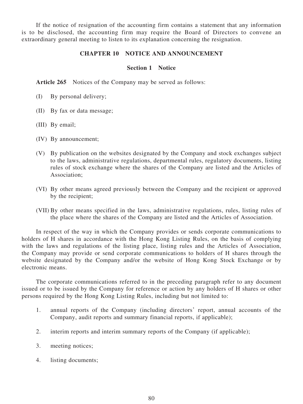If the notice of resignation of the accounting firm contains a statement that any information is to be disclosed, the accounting firm may require the Board of Directors to convene an extraordinary general meeting to listen to its explanation concerning the resignation.

## **CHAPTER 10 NOTICE AND ANNOUNCEMENT**

## **Section 1 Notice**

Article 265 Notices of the Company may be served as follows:

- (I) By personal delivery;
- (II) By fax or data message;
- (III) By email;
- (IV) By announcement;
- (V) By publication on the websites designated by the Company and stock exchanges subject to the laws, administrative regulations, departmental rules, regulatory documents, listing rules of stock exchange where the shares of the Company are listed and the Articles of Association;
- (VI) By other means agreed previously between the Company and the recipient or approved by the recipient;
- (VII) By other means specified in the laws, administrative regulations, rules, listing rules of the place where the shares of the Company are listed and the Articles of Association.

In respect of the way in which the Company provides or sends corporate communications to holders of H shares in accordance with the Hong Kong Listing Rules, on the basis of complying with the laws and regulations of the listing place, listing rules and the Articles of Association, the Company may provide or send corporate communications to holders of H shares through the website designated by the Company and/or the website of Hong Kong Stock Exchange or by electronic means.

The corporate communications referred to in the preceding paragraph refer to any document issued or to be issued by the Company for reference or action by any holders of H shares or other persons required by the Hong Kong Listing Rules, including but not limited to:

- 1. annual reports of the Company (including directors' report, annual accounts of the Company, audit reports and summary financial reports, if applicable);
- 2. interim reports and interim summary reports of the Company (if applicable);
- 3. meeting notices;
- 4. listing documents;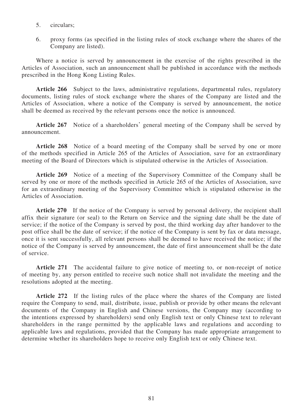- 5. circulars;
- 6. proxy forms (as specified in the listing rules of stock exchange where the shares of the Company are listed).

Where a notice is served by announcement in the exercise of the rights prescribed in the Articles of Association, such an announcement shall be published in accordance with the methods prescribed in the Hong Kong Listing Rules.

**Article 266** Subject to the laws, administrative regulations, departmental rules, regulatory documents, listing rules of stock exchange where the shares of the Company are listed and the Articles of Association, where a notice of the Company is served by announcement, the notice shall be deemed as received by the relevant persons once the notice is announced.

**Article 267** Notice of a shareholders' general meeting of the Company shall be served by announcement.

**Article 268** Notice of a board meeting of the Company shall be served by one or more of the methods specified in Article 265 of the Articles of Association, save for an extraordinary meeting of the Board of Directors which is stipulated otherwise in the Articles of Association.

**Article 269** Notice of a meeting of the Supervisory Committee of the Company shall be served by one or more of the methods specified in Article 265 of the Articles of Association, save for an extraordinary meeting of the Supervisory Committee which is stipulated otherwise in the Articles of Association.

Article 270 If the notice of the Company is served by personal delivery, the recipient shall affix their signature (or seal) to the Return on Service and the signing date shall be the date of service; if the notice of the Company is served by post, the third working day after handover to the post office shall be the date of service; if the notice of the Company is sent by fax or data message, once it is sent successfully, all relevant persons shall be deemed to have received the notice; if the notice of the Company is served by announcement, the date of first announcement shall be the date of service.

**Article 271** The accidental failure to give notice of meeting to, or non-receipt of notice of meeting by, any person entitled to receive such notice shall not invalidate the meeting and the resolutions adopted at the meeting.

**Article 272** If the listing rules of the place where the shares of the Company are listed require the Company to send, mail, distribute, issue, publish or provide by other means the relevant documents of the Company in English and Chinese versions, the Company may (according to the intentions expressed by shareholders) send only English text or only Chinese text to relevant shareholders in the range permitted by the applicable laws and regulations and according to applicable laws and regulations, provided that the Company has made appropriate arrangement to determine whether its shareholders hope to receive only English text or only Chinese text.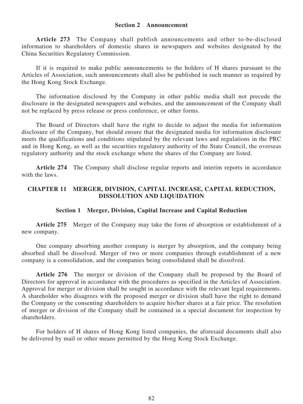### **Section 2 Announcement**

**Article 273** The Company shall publish announcements and other to-be-disclosed information to shareholders of domestic shares in newspapers and websites designated by the China Securities Regulatory Commission.

If it is required to make public announcements to the holders of H shares pursuant to the Articles of Association, such announcements shall also be published in such manner as required by the Hong Kong Stock Exchange.

The information disclosed by the Company in other public media shall not precede the disclosure in the designated newspapers and websites, and the announcement of the Company shall not be replaced by press release or press conference, or other forms.

The Board of Directors shall have the right to decide to adjust the media for information disclosure of the Company, but should ensure that the designated media for information disclosure meets the qualifications and conditions stipulated by the relevant laws and regulations in the PRC and in Hong Kong, as well as the securities regulatory authority of the State Council, the overseas regulatory authority and the stock exchange where the shares of the Company are listed.

**Article 274** The Company shall disclose regular reports and interim reports in accordance with the laws.

# **CHAPTER 11 MERGER, DIVISION, CAPITAL INCREASE, CAPITAL REDUCTION, DISSOLUTION AND LIQUIDATION**

### **Section 1 Merger, Division, Capital Increase and Capital Reduction**

**Article 275** Merger of the Company may take the form of absorption or establishment of a new company.

One company absorbing another company is merger by absorption, and the company being absorbed shall be dissolved. Merger of two or more companies through establishment of a new company is a consolidation, and the companies being consolidated shall be dissolved.

**Article 276** The merger or division of the Company shall be proposed by the Board of Directors for approval in accordance with the procedures as specified in the Articles of Association. Approval for merger or division shall be sought in accordance with the relevant legal requirements. A shareholder who disagrees with the proposed merger or division shall have the right to demand the Company or the consenting shareholders to acquire his/her shares at a fair price. The resolution of merger or division of the Company shall be contained in a special document for inspection by shareholders.

For holders of H shares of Hong Kong listed companies, the aforesaid documents shall also be delivered by mail or other means permitted by the Hong Kong Stock Exchange.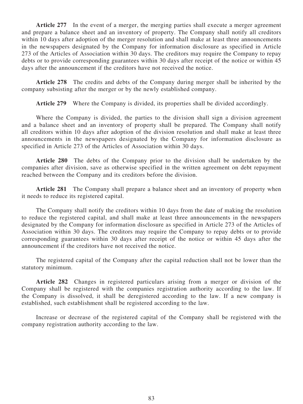**Article 277** In the event of a merger, the merging parties shall execute a merger agreement and prepare a balance sheet and an inventory of property. The Company shall notify all creditors within 10 days after adoption of the merger resolution and shall make at least three announcements in the newspapers designated by the Company for information disclosure as specified in Article 273 of the Articles of Association within 30 days. The creditors may require the Company to repay debts or to provide corresponding guarantees within 30 days after receipt of the notice or within 45 days after the announcement if the creditors have not received the notice.

**Article 278** The credits and debts of the Company during merger shall be inherited by the company subsisting after the merger or by the newly established company.

**Article 279** Where the Company is divided, its properties shall be divided accordingly.

Where the Company is divided, the parties to the division shall sign a division agreement and a balance sheet and an inventory of property shall be prepared. The Company shall notify all creditors within 10 days after adoption of the division resolution and shall make at least three announcements in the newspapers designated by the Company for information disclosure as specified in Article 273 of the Articles of Association within 30 days.

**Article 280** The debts of the Company prior to the division shall be undertaken by the companies after division, save as otherwise specified in the written agreement on debt repayment reached between the Company and its creditors before the division.

**Article 281** The Company shall prepare a balance sheet and an inventory of property when it needs to reduce its registered capital.

The Company shall notify the creditors within 10 days from the date of making the resolution to reduce the registered capital, and shall make at least three announcements in the newspapers designated by the Company for information disclosure as specified in Article 273 of the Articles of Association within 30 days. The creditors may require the Company to repay debts or to provide corresponding guarantees within 30 days after receipt of the notice or within 45 days after the announcement if the creditors have not received the notice.

The registered capital of the Company after the capital reduction shall not be lower than the statutory minimum.

**Article 282** Changes in registered particulars arising from a merger or division of the Company shall be registered with the companies registration authority according to the law. If the Company is dissolved, it shall be deregistered according to the law. If a new company is established, such establishment shall be registered according to the law.

Increase or decrease of the registered capital of the Company shall be registered with the company registration authority according to the law.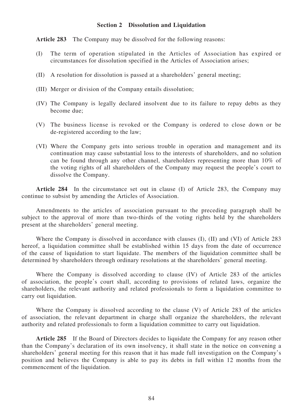## **Section 2 Dissolution and Liquidation**

**Article 283** The Company may be dissolved for the following reasons:

- (I) The term of operation stipulated in the Articles of Association has expired or circumstances for dissolution specified in the Articles of Association arises;
- (II) A resolution for dissolution is passed at a shareholders' general meeting;
- (III) Merger or division of the Company entails dissolution;
- (IV) The Company is legally declared insolvent due to its failure to repay debts as they become due;
- (V) The business license is revoked or the Company is ordered to close down or be de-registered according to the law;
- (VI) Where the Company gets into serious trouble in operation and management and its continuation may cause substantial loss to the interests of shareholders, and no solution can be found through any other channel, shareholders representing more than 10% of the voting rights of all shareholders of the Company may request the people's court to dissolve the Company.

**Article 284** In the circumstance set out in clause (I) of Article 283, the Company may continue to subsist by amending the Articles of Association.

Amendments to the articles of association pursuant to the preceding paragraph shall be subject to the approval of more than two-thirds of the voting rights held by the shareholders present at the shareholders' general meeting.

Where the Company is dissolved in accordance with clauses (I), (II) and (VI) of Article 283 hereof, a liquidation committee shall be established within 15 days from the date of occurrence of the cause of liquidation to start liquidate. The members of the liquidation committee shall be determined by shareholders through ordinary resolutions at the shareholders' general meeting.

Where the Company is dissolved according to clause (IV) of Article 283 of the articles of association, the people's court shall, according to provisions of related laws, organize the shareholders, the relevant authority and related professionals to form a liquidation committee to carry out liquidation.

Where the Company is dissolved according to the clause (V) of Article 283 of the articles of association, the relevant department in charge shall organize the shareholders, the relevant authority and related professionals to form a liquidation committee to carry out liquidation.

**Article 285** If the Board of Directors decides to liquidate the Company for any reason other than the Company's declaration of its own insolvency, it shall state in the notice on convening a shareholders' general meeting for this reason that it has made full investigation on the Company's position and believes the Company is able to pay its debts in full within 12 months from the commencement of the liquidation.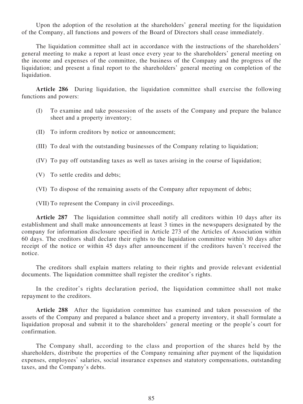Upon the adoption of the resolution at the shareholders' general meeting for the liquidation of the Company, all functions and powers of the Board of Directors shall cease immediately.

The liquidation committee shall act in accordance with the instructions of the shareholders' general meeting to make a report at least once every year to the shareholders' general meeting on the income and expenses of the committee, the business of the Company and the progress of the liquidation; and present a final report to the shareholders' general meeting on completion of the liquidation.

**Article 286** During liquidation, the liquidation committee shall exercise the following functions and powers:

- (I) To examine and take possession of the assets of the Company and prepare the balance sheet and a property inventory;
- (II) To inform creditors by notice or announcement;
- (III) To deal with the outstanding businesses of the Company relating to liquidation;
- (IV) To pay off outstanding taxes as well as taxes arising in the course of liquidation;
- (V) To settle credits and debts;
- (VI) To dispose of the remaining assets of the Company after repayment of debts;

(VII) To represent the Company in civil proceedings.

**Article 287** The liquidation committee shall notify all creditors within 10 days after its establishment and shall make announcements at least 3 times in the newspapers designated by the company for information disclosure specified in Article 273 of the Articles of Association within 60 days. The creditors shall declare their rights to the liquidation committee within 30 days after receipt of the notice or within 45 days after announcement if the creditors haven't received the notice.

The creditors shall explain matters relating to their rights and provide relevant evidential documents. The liquidation committee shall register the creditor's rights.

In the creditor's rights declaration period, the liquidation committee shall not make repayment to the creditors.

**Article 288** After the liquidation committee has examined and taken possession of the assets of the Company and prepared a balance sheet and a property inventory, it shall formulate a liquidation proposal and submit it to the shareholders' general meeting or the people's court for confirmation.

The Company shall, according to the class and proportion of the shares held by the shareholders, distribute the properties of the Company remaining after payment of the liquidation expenses, employees' salaries, social insurance expenses and statutory compensations, outstanding taxes, and the Company's debts.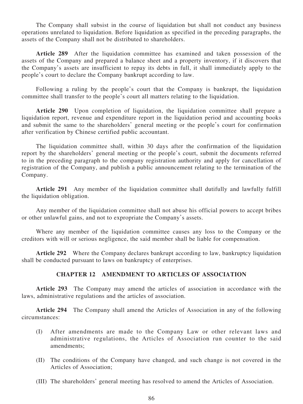The Company shall subsist in the course of liquidation but shall not conduct any business operations unrelated to liquidation. Before liquidation as specified in the preceding paragraphs, the assets of the Company shall not be distributed to shareholders.

**Article 289** After the liquidation committee has examined and taken possession of the assets of the Company and prepared a balance sheet and a property inventory, if it discovers that the Company's assets are insufficient to repay its debts in full, it shall immediately apply to the people's court to declare the Company bankrupt according to law.

Following a ruling by the people's court that the Company is bankrupt, the liquidation committee shall transfer to the people's court all matters relating to the liquidation.

**Article 290** Upon completion of liquidation, the liquidation committee shall prepare a liquidation report, revenue and expenditure report in the liquidation period and accounting books and submit the same to the shareholders' general meeting or the people's court for confirmation after verification by Chinese certified public accountant.

The liquidation committee shall, within 30 days after the confirmation of the liquidation report by the shareholders' general meeting or the people's court, submit the documents referred to in the preceding paragraph to the company registration authority and apply for cancellation of registration of the Company, and publish a public announcement relating to the termination of the Company.

**Article 291** Any member of the liquidation committee shall dutifully and lawfully fulfill the liquidation obligation.

Any member of the liquidation committee shall not abuse his official powers to accept bribes or other unlawful gains, and not to expropriate the Company's assets.

Where any member of the liquidation committee causes any loss to the Company or the creditors with will or serious negligence, the said member shall be liable for compensation.

**Article 292** Where the Company declares bankrupt according to law, bankruptcy liquidation shall be conducted pursuant to laws on bankruptcy of enterprises.

### **CHAPTER 12 AMENDMENT TO ARTICLES OF ASSOCIATION**

**Article 293** The Company may amend the articles of association in accordance with the laws, administrative regulations and the articles of association.

**Article 294** The Company shall amend the Articles of Association in any of the following circumstances:

- (I) After amendments are made to the Company Law or other relevant laws and administrative regulations, the Articles of Association run counter to the said amendments;
- (II) The conditions of the Company have changed, and such change is not covered in the Articles of Association;
- (III) The shareholders' general meeting has resolved to amend the Articles of Association.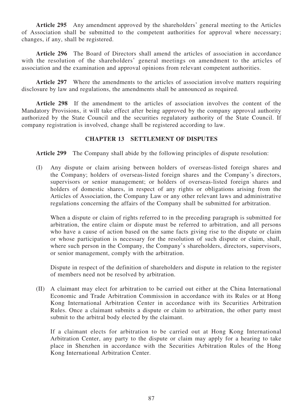**Article 295** Any amendment approved by the shareholders' general meeting to the Articles of Association shall be submitted to the competent authorities for approval where necessary; changes, if any, shall be registered.

**Article 296** The Board of Directors shall amend the articles of association in accordance with the resolution of the shareholders' general meetings on amendment to the articles of association and the examination and approval opinions from relevant competent authorities.

**Article 297** Where the amendments to the articles of association involve matters requiring disclosure by law and regulations, the amendments shall be announced as required.

**Article 298** If the amendment to the articles of association involves the content of the Mandatory Provisions, it will take effect after being approved by the company approval authority authorized by the State Council and the securities regulatory authority of the State Council. If company registration is involved, change shall be registered according to law.

# **CHAPTER 13 SETTLEMENT OF DISPUTES**

**Article 299** The Company shall abide by the following principles of dispute resolution:

(I) Any dispute or claim arising between holders of overseas-listed foreign shares and the Company; holders of overseas-listed foreign shares and the Company's directors, supervisors or senior management; or holders of overseas-listed foreign shares and holders of domestic shares, in respect of any rights or obligations arising from the Articles of Association, the Company Law or any other relevant laws and administrative regulations concerning the affairs of the Company shall be submitted for arbitration.

When a dispute or claim of rights referred to in the preceding paragraph is submitted for arbitration, the entire claim or dispute must be referred to arbitration, and all persons who have a cause of action based on the same facts giving rise to the dispute or claim or whose participation is necessary for the resolution of such dispute or claim, shall, where such person in the Company, the Company's shareholders, directors, supervisors, or senior management, comply with the arbitration.

Dispute in respect of the definition of shareholders and dispute in relation to the register of members need not be resolved by arbitration.

(II) A claimant may elect for arbitration to be carried out either at the China International Economic and Trade Arbitration Commission in accordance with its Rules or at Hong Kong International Arbitration Center in accordance with its Securities Arbitration Rules. Once a claimant submits a dispute or claim to arbitration, the other party must submit to the arbitral body elected by the claimant.

If a claimant elects for arbitration to be carried out at Hong Kong International Arbitration Center, any party to the dispute or claim may apply for a hearing to take place in Shenzhen in accordance with the Securities Arbitration Rules of the Hong Kong International Arbitration Center.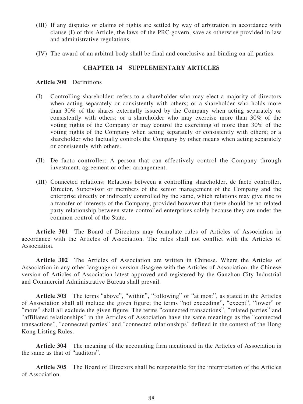- (III) If any disputes or claims of rights are settled by way of arbitration in accordance with clause (I) of this Article, the laws of the PRC govern, save as otherwise provided in law and administrative regulations.
- (IV) The award of an arbitral body shall be final and conclusive and binding on all parties.

# **CHAPTER 14 SUPPLEMENTARY ARTICLES**

### **Article 300** Definitions

- (I) Controlling shareholder: refers to a shareholder who may elect a majority of directors when acting separately or consistently with others; or a shareholder who holds more than 30% of the shares externally issued by the Company when acting separately or consistently with others; or a shareholder who may exercise more than 30% of the voting rights of the Company or may control the exercising of more than 30% of the voting rights of the Company when acting separately or consistently with others; or a shareholder who factually controls the Company by other means when acting separately or consistently with others.
- (II) De facto controller: A person that can effectively control the Company through investment, agreement or other arrangement.
- (III) Connected relations: Relations between a controlling shareholder, de facto controller, Director, Supervisor or members of the senior management of the Company and the enterprise directly or indirectly controlled by the same, which relations may give rise to a transfer of interests of the Company, provided however that there should be no related party relationship between state-controlled enterprises solely because they are under the common control of the State.

**Article 301** The Board of Directors may formulate rules of Articles of Association in accordance with the Articles of Association. The rules shall not conflict with the Articles of Association.

**Article 302** The Articles of Association are written in Chinese. Where the Articles of Association in any other language or version disagree with the Articles of Association, the Chinese version of Articles of Association latest approved and registered by the Ganzhou City Industrial and Commercial Administrative Bureau shall prevail.

**Article 303** The terms "above", "within", "following" or "at most", as stated in the Articles of Association shall all include the given figure; the terms "not exceeding", "except", "lower" or "more" shall all exclude the given figure. The terms "connected transactions", "related parties" and "affiliated relationships" in the Articles of Association have the same meanings as the "connected transactions", "connected parties" and "connected relationships" defined in the context of the Hong Kong Listing Rules.

**Article 304** The meaning of the accounting firm mentioned in the Articles of Association is the same as that of "auditors".

**Article 305** The Board of Directors shall be responsible for the interpretation of the Articles of Association.